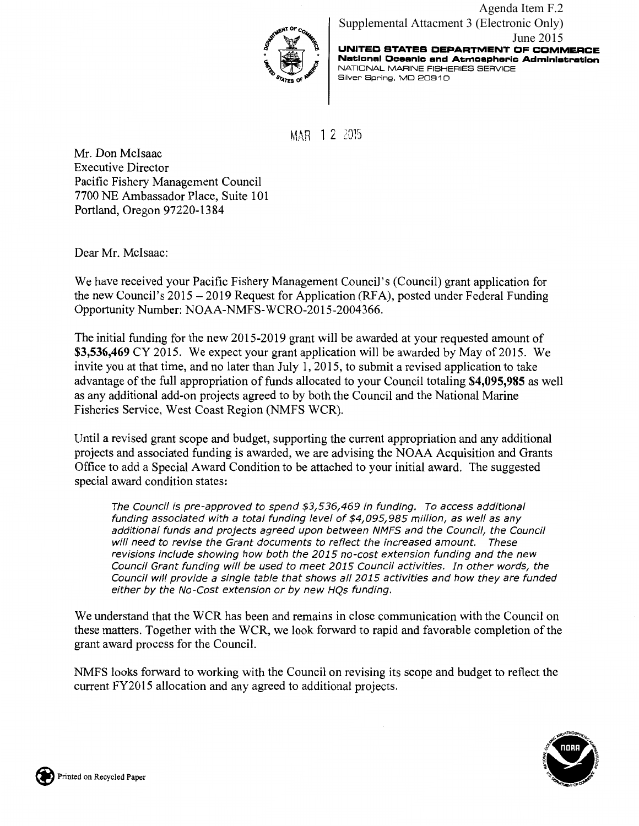

**UNITED STATES DEPARTMENT CF COMMERCE National Oceanic and Atmospheric Administration**  NATIONAL MARINE FISHERIES SERVICE Silver Spring, MD 20910 Agenda Item F.2 Supplemental Attachment 3 (Electronic Only) June 2015

MAR 12 2015

Mr. Don Mcisaac Executive Director Pacific Fishery Management Council 7700 NE Ambassador Place, Suite 101 Portland, Oregon 97220-13 84

Dear Mr. McIsaac:

We have received your Pacific Fishery Management Council's (Council) grant application for the new Council's 2015 -2019 Request for Application (RFA), posted under Federal Funding Opportunity Number: NOAA-NMFS-WCR0-2015-2004366.

The initial funding for the new 2015-2019 grant will be awarded at your requested amount of **\$3,536,469** CY 2015. We expect your grant application will be awarded by May of 2015. We invite you at that time, and no later than July 1, 2015, to submit a revised application to take advantage of the full appropriation of funds allocated to your Council totaling **\$4,095,985** as well as any additional add-on projects agreed to by both the Council and the National Marine Fisheries Service, West Coast Region (NMFS WCR).

Until a revised grant scope and budget, supporting the current appropriation and any additional projects and associated funding is awarded, we are advising the NOAA Acquisition and Grants Office to add a Special Award Condition to be attached to your initial award. The suggested special award condition states:

The Council is pre-approved to spend \$3,536,469 in funding. To access additional funding associated with a total funding level of \$4,095,985 million, as well as any additional funds and projects agreed upon between NMFS and the Council, the Council will need to revise the Grant documents to reflect the increased amount. These revisions include showing how both the 2015 no-cost extension funding and the new Council Grant funding will be used to meet 2015 Council activities. In other words, the Council will provide a single table that shows all 2015 activities and how they are funded either by the No-Cost extension or by new HQs funding.

We understand that the WCR has been and remains in close communication with the Council on these matters. Together with the WCR, we look forward to rapid and favorable completion of the grant award process for the Council.

NMFS looks forward to working with the Council on revising its scope and budget to reflect the current FY2015 allocation and any agreed to additional projects.



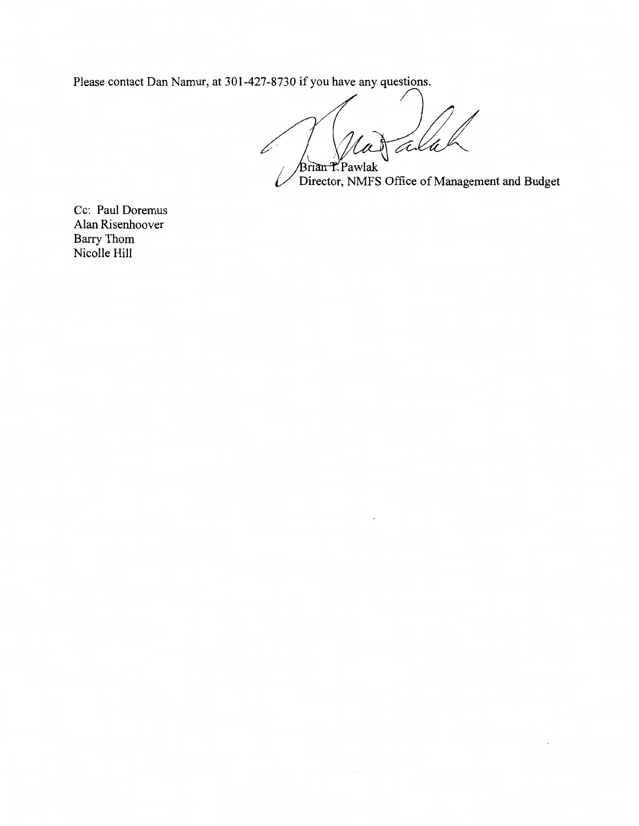Please contact Dan Namur, at 301-427-8730 if you have any questions.

Tex ∠ rian K<sup>P</sup>awlak

 $\epsilon$ 

Director, NMFS Office of Management and Budget

Cc: Paul Doremus Alan Risenhoover Barry Thom Nicolle Hill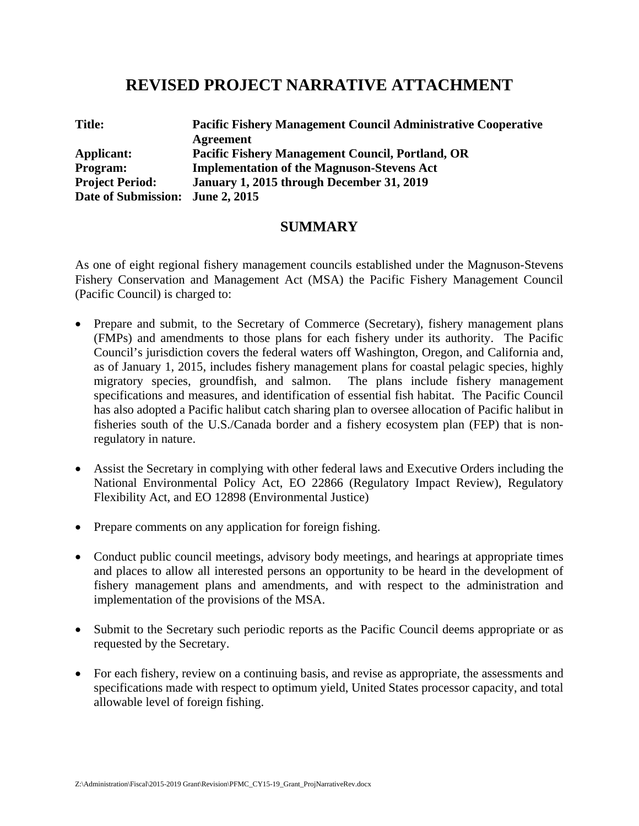## **REVISED PROJECT NARRATIVE ATTACHMENT**

| <b>Title:</b>                    | <b>Pacific Fishery Management Council Administrative Cooperative</b> |  |
|----------------------------------|----------------------------------------------------------------------|--|
|                                  | Agreement                                                            |  |
| Applicant:                       | <b>Pacific Fishery Management Council, Portland, OR</b>              |  |
| <b>Program:</b>                  | <b>Implementation of the Magnuson-Stevens Act</b>                    |  |
| <b>Project Period:</b>           | January 1, 2015 through December 31, 2019                            |  |
| Date of Submission: June 2, 2015 |                                                                      |  |

### **SUMMARY**

As one of eight regional fishery management councils established under the Magnuson-Stevens Fishery Conservation and Management Act (MSA) the Pacific Fishery Management Council (Pacific Council) is charged to:

- Prepare and submit, to the Secretary of Commerce (Secretary), fishery management plans (FMPs) and amendments to those plans for each fishery under its authority. The Pacific Council's jurisdiction covers the federal waters off Washington, Oregon, and California and, as of January 1, 2015, includes fishery management plans for coastal pelagic species, highly migratory species, groundfish, and salmon. The plans include fishery management specifications and measures, and identification of essential fish habitat. The Pacific Council has also adopted a Pacific halibut catch sharing plan to oversee allocation of Pacific halibut in fisheries south of the U.S./Canada border and a fishery ecosystem plan (FEP) that is nonregulatory in nature.
- Assist the Secretary in complying with other federal laws and Executive Orders including the National Environmental Policy Act, EO 22866 (Regulatory Impact Review), Regulatory Flexibility Act, and EO 12898 (Environmental Justice)
- Prepare comments on any application for foreign fishing.
- Conduct public council meetings, advisory body meetings, and hearings at appropriate times and places to allow all interested persons an opportunity to be heard in the development of fishery management plans and amendments, and with respect to the administration and implementation of the provisions of the MSA.
- Submit to the Secretary such periodic reports as the Pacific Council deems appropriate or as requested by the Secretary.
- For each fishery, review on a continuing basis, and revise as appropriate, the assessments and specifications made with respect to optimum yield, United States processor capacity, and total allowable level of foreign fishing.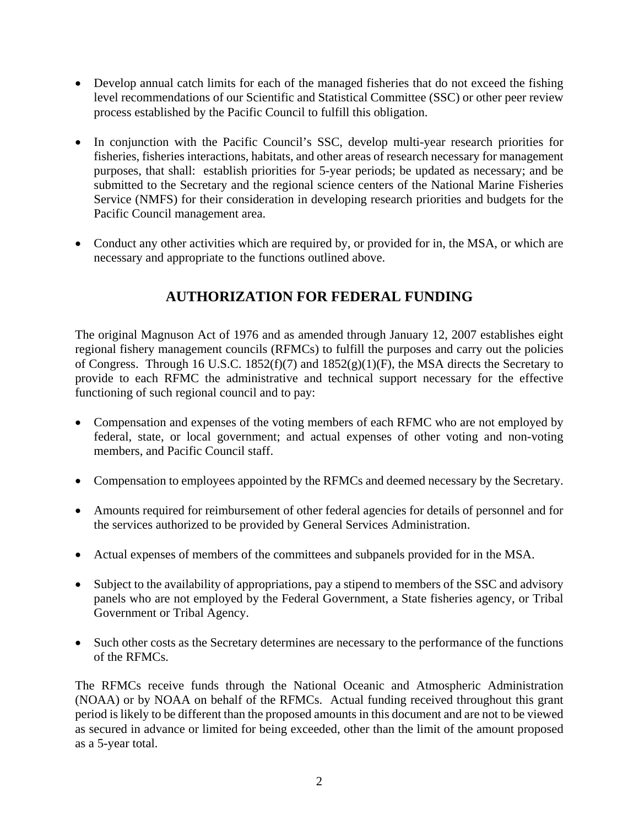- Develop annual catch limits for each of the managed fisheries that do not exceed the fishing level recommendations of our Scientific and Statistical Committee (SSC) or other peer review process established by the Pacific Council to fulfill this obligation.
- In conjunction with the Pacific Council's SSC, develop multi-year research priorities for fisheries, fisheries interactions, habitats, and other areas of research necessary for management purposes, that shall: establish priorities for 5-year periods; be updated as necessary; and be submitted to the Secretary and the regional science centers of the National Marine Fisheries Service (NMFS) for their consideration in developing research priorities and budgets for the Pacific Council management area.
- Conduct any other activities which are required by, or provided for in, the MSA, or which are necessary and appropriate to the functions outlined above.

## **AUTHORIZATION FOR FEDERAL FUNDING**

The original Magnuson Act of 1976 and as amended through January 12, 2007 establishes eight regional fishery management councils (RFMCs) to fulfill the purposes and carry out the policies of Congress. Through 16 U.S.C. 1852(f)(7) and  $1852(g)(1)(F)$ , the MSA directs the Secretary to provide to each RFMC the administrative and technical support necessary for the effective functioning of such regional council and to pay:

- Compensation and expenses of the voting members of each RFMC who are not employed by federal, state, or local government; and actual expenses of other voting and non-voting members, and Pacific Council staff.
- Compensation to employees appointed by the RFMCs and deemed necessary by the Secretary.
- Amounts required for reimbursement of other federal agencies for details of personnel and for the services authorized to be provided by General Services Administration.
- Actual expenses of members of the committees and subpanels provided for in the MSA.
- Subject to the availability of appropriations, pay a stipend to members of the SSC and advisory panels who are not employed by the Federal Government, a State fisheries agency, or Tribal Government or Tribal Agency.
- Such other costs as the Secretary determines are necessary to the performance of the functions of the RFMCs.

The RFMCs receive funds through the National Oceanic and Atmospheric Administration (NOAA) or by NOAA on behalf of the RFMCs. Actual funding received throughout this grant period is likely to be different than the proposed amounts in this document and are not to be viewed as secured in advance or limited for being exceeded, other than the limit of the amount proposed as a 5-year total.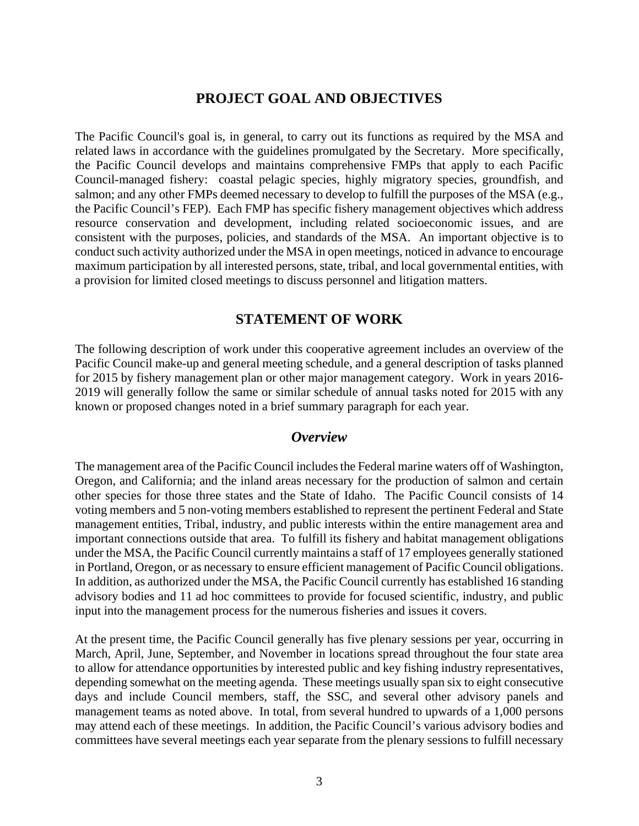## **PROJECT GOAL AND OBJECTIVES**

The Pacific Council's goal is, in general, to carry out its functions as required by the MSA and related laws in accordance with the guidelines promulgated by the Secretary. More specifically, the Pacific Council develops and maintains comprehensive FMPs that apply to each Pacific Council-managed fishery: coastal pelagic species, highly migratory species, groundfish, and salmon; and any other FMPs deemed necessary to develop to fulfill the purposes of the MSA (e.g., the Pacific Council's FEP). Each FMP has specific fishery management objectives which address resource conservation and development, including related socioeconomic issues, and are consistent with the purposes, policies, and standards of the MSA. An important objective is to conduct such activity authorized under the MSA in open meetings, noticed in advance to encourage maximum participation by all interested persons, state, tribal, and local governmental entities, with a provision for limited closed meetings to discuss personnel and litigation matters.

## **STATEMENT OF WORK**

The following description of work under this cooperative agreement includes an overview of the Pacific Council make-up and general meeting schedule, and a general description of tasks planned for 2015 by fishery management plan or other major management category. Work in years 2016- 2019 will generally follow the same or similar schedule of annual tasks noted for 2015 with any known or proposed changes noted in a brief summary paragraph for each year.

### *Overview*

The management area of the Pacific Council includes the Federal marine waters off of Washington, Oregon, and California; and the inland areas necessary for the production of salmon and certain other species for those three states and the State of Idaho. The Pacific Council consists of 14 voting members and 5 non-voting members established to represent the pertinent Federal and State management entities, Tribal, industry, and public interests within the entire management area and important connections outside that area. To fulfill its fishery and habitat management obligations under the MSA, the Pacific Council currently maintains a staff of 17 employees generally stationed in Portland, Oregon, or as necessary to ensure efficient management of Pacific Council obligations. In addition, as authorized under the MSA, the Pacific Council currently has established 16 standing advisory bodies and 11 ad hoc committees to provide for focused scientific, industry, and public input into the management process for the numerous fisheries and issues it covers.

At the present time, the Pacific Council generally has five plenary sessions per year, occurring in March, April, June, September, and November in locations spread throughout the four state area to allow for attendance opportunities by interested public and key fishing industry representatives, depending somewhat on the meeting agenda. These meetings usually span six to eight consecutive days and include Council members, staff, the SSC, and several other advisory panels and management teams as noted above. In total, from several hundred to upwards of a 1,000 persons may attend each of these meetings. In addition, the Pacific Council's various advisory bodies and committees have several meetings each year separate from the plenary sessions to fulfill necessary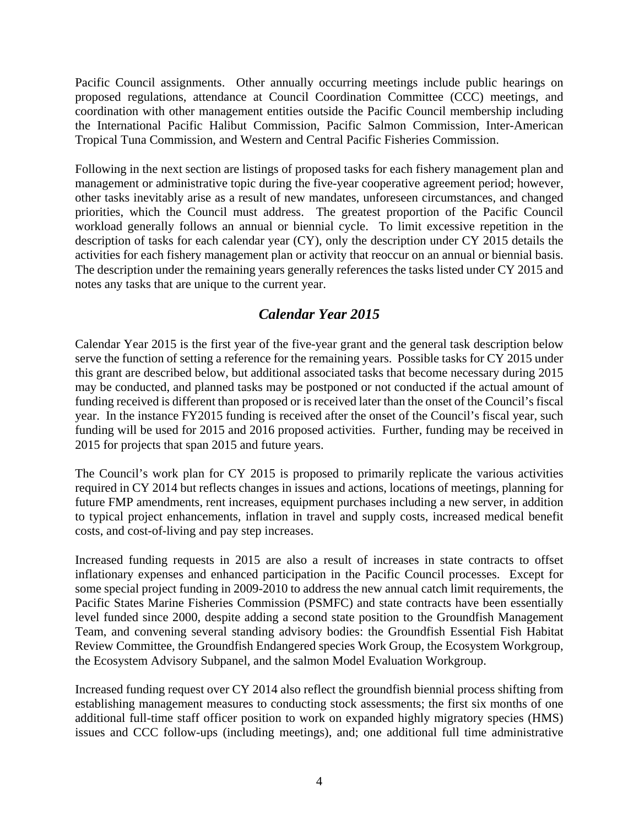Pacific Council assignments. Other annually occurring meetings include public hearings on proposed regulations, attendance at Council Coordination Committee (CCC) meetings, and coordination with other management entities outside the Pacific Council membership including the International Pacific Halibut Commission, Pacific Salmon Commission, Inter-American Tropical Tuna Commission, and Western and Central Pacific Fisheries Commission.

Following in the next section are listings of proposed tasks for each fishery management plan and management or administrative topic during the five-year cooperative agreement period; however, other tasks inevitably arise as a result of new mandates, unforeseen circumstances, and changed priorities, which the Council must address. The greatest proportion of the Pacific Council workload generally follows an annual or biennial cycle. To limit excessive repetition in the description of tasks for each calendar year (CY), only the description under CY 2015 details the activities for each fishery management plan or activity that reoccur on an annual or biennial basis. The description under the remaining years generally references the tasks listed under CY 2015 and notes any tasks that are unique to the current year.

## *Calendar Year 2015*

Calendar Year 2015 is the first year of the five-year grant and the general task description below serve the function of setting a reference for the remaining years. Possible tasks for CY 2015 under this grant are described below, but additional associated tasks that become necessary during 2015 may be conducted, and planned tasks may be postponed or not conducted if the actual amount of funding received is different than proposed or is received later than the onset of the Council's fiscal year. In the instance FY2015 funding is received after the onset of the Council's fiscal year, such funding will be used for 2015 and 2016 proposed activities. Further, funding may be received in 2015 for projects that span 2015 and future years.

The Council's work plan for CY 2015 is proposed to primarily replicate the various activities required in CY 2014 but reflects changes in issues and actions, locations of meetings, planning for future FMP amendments, rent increases, equipment purchases including a new server, in addition to typical project enhancements, inflation in travel and supply costs, increased medical benefit costs, and cost-of-living and pay step increases.

Increased funding requests in 2015 are also a result of increases in state contracts to offset inflationary expenses and enhanced participation in the Pacific Council processes. Except for some special project funding in 2009-2010 to address the new annual catch limit requirements, the Pacific States Marine Fisheries Commission (PSMFC) and state contracts have been essentially level funded since 2000, despite adding a second state position to the Groundfish Management Team, and convening several standing advisory bodies: the Groundfish Essential Fish Habitat Review Committee, the Groundfish Endangered species Work Group, the Ecosystem Workgroup, the Ecosystem Advisory Subpanel, and the salmon Model Evaluation Workgroup.

Increased funding request over CY 2014 also reflect the groundfish biennial process shifting from establishing management measures to conducting stock assessments; the first six months of one additional full-time staff officer position to work on expanded highly migratory species (HMS) issues and CCC follow-ups (including meetings), and; one additional full time administrative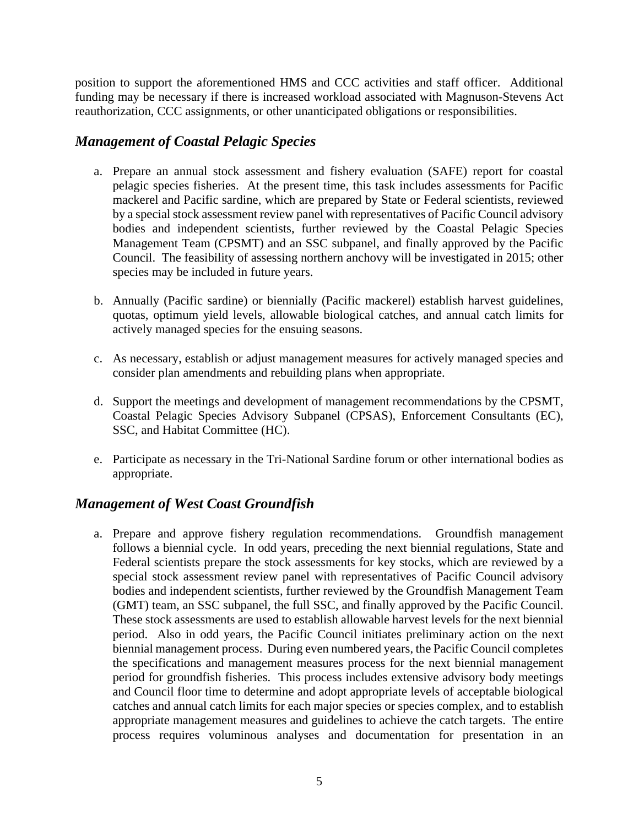position to support the aforementioned HMS and CCC activities and staff officer. Additional funding may be necessary if there is increased workload associated with Magnuson-Stevens Act reauthorization, CCC assignments, or other unanticipated obligations or responsibilities.

## *Management of Coastal Pelagic Species*

- a. Prepare an annual stock assessment and fishery evaluation (SAFE) report for coastal pelagic species fisheries. At the present time, this task includes assessments for Pacific mackerel and Pacific sardine, which are prepared by State or Federal scientists, reviewed by a special stock assessment review panel with representatives of Pacific Council advisory bodies and independent scientists, further reviewed by the Coastal Pelagic Species Management Team (CPSMT) and an SSC subpanel, and finally approved by the Pacific Council. The feasibility of assessing northern anchovy will be investigated in 2015; other species may be included in future years.
- b. Annually (Pacific sardine) or biennially (Pacific mackerel) establish harvest guidelines, quotas, optimum yield levels, allowable biological catches, and annual catch limits for actively managed species for the ensuing seasons.
- c. As necessary, establish or adjust management measures for actively managed species and consider plan amendments and rebuilding plans when appropriate.
- d. Support the meetings and development of management recommendations by the CPSMT, Coastal Pelagic Species Advisory Subpanel (CPSAS), Enforcement Consultants (EC), SSC, and Habitat Committee (HC).
- e. Participate as necessary in the Tri-National Sardine forum or other international bodies as appropriate.

## *Management of West Coast Groundfish*

a. Prepare and approve fishery regulation recommendations. Groundfish management follows a biennial cycle. In odd years, preceding the next biennial regulations, State and Federal scientists prepare the stock assessments for key stocks, which are reviewed by a special stock assessment review panel with representatives of Pacific Council advisory bodies and independent scientists, further reviewed by the Groundfish Management Team (GMT) team, an SSC subpanel, the full SSC, and finally approved by the Pacific Council. These stock assessments are used to establish allowable harvest levels for the next biennial period. Also in odd years, the Pacific Council initiates preliminary action on the next biennial management process. During even numbered years, the Pacific Council completes the specifications and management measures process for the next biennial management period for groundfish fisheries. This process includes extensive advisory body meetings and Council floor time to determine and adopt appropriate levels of acceptable biological catches and annual catch limits for each major species or species complex, and to establish appropriate management measures and guidelines to achieve the catch targets. The entire process requires voluminous analyses and documentation for presentation in an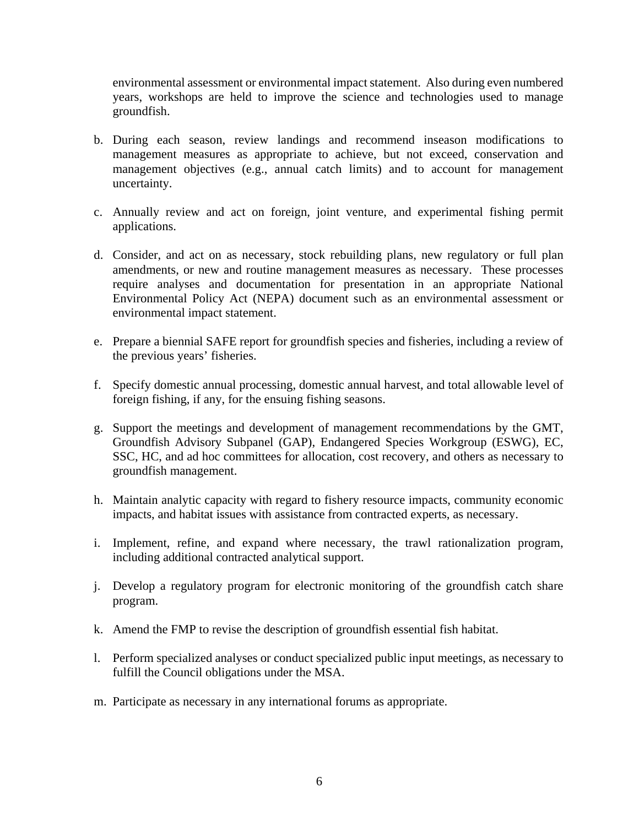environmental assessment or environmental impact statement. Also during even numbered years, workshops are held to improve the science and technologies used to manage groundfish.

- b. During each season, review landings and recommend inseason modifications to management measures as appropriate to achieve, but not exceed, conservation and management objectives (e.g., annual catch limits) and to account for management uncertainty.
- c. Annually review and act on foreign, joint venture, and experimental fishing permit applications.
- d. Consider, and act on as necessary, stock rebuilding plans, new regulatory or full plan amendments, or new and routine management measures as necessary. These processes require analyses and documentation for presentation in an appropriate National Environmental Policy Act (NEPA) document such as an environmental assessment or environmental impact statement.
- e. Prepare a biennial SAFE report for groundfish species and fisheries, including a review of the previous years' fisheries.
- f. Specify domestic annual processing, domestic annual harvest, and total allowable level of foreign fishing, if any, for the ensuing fishing seasons.
- g. Support the meetings and development of management recommendations by the GMT, Groundfish Advisory Subpanel (GAP), Endangered Species Workgroup (ESWG), EC, SSC, HC, and ad hoc committees for allocation, cost recovery, and others as necessary to groundfish management.
- h. Maintain analytic capacity with regard to fishery resource impacts, community economic impacts, and habitat issues with assistance from contracted experts, as necessary.
- i. Implement, refine, and expand where necessary, the trawl rationalization program, including additional contracted analytical support.
- j. Develop a regulatory program for electronic monitoring of the groundfish catch share program.
- k. Amend the FMP to revise the description of groundfish essential fish habitat.
- l. Perform specialized analyses or conduct specialized public input meetings, as necessary to fulfill the Council obligations under the MSA.
- m. Participate as necessary in any international forums as appropriate.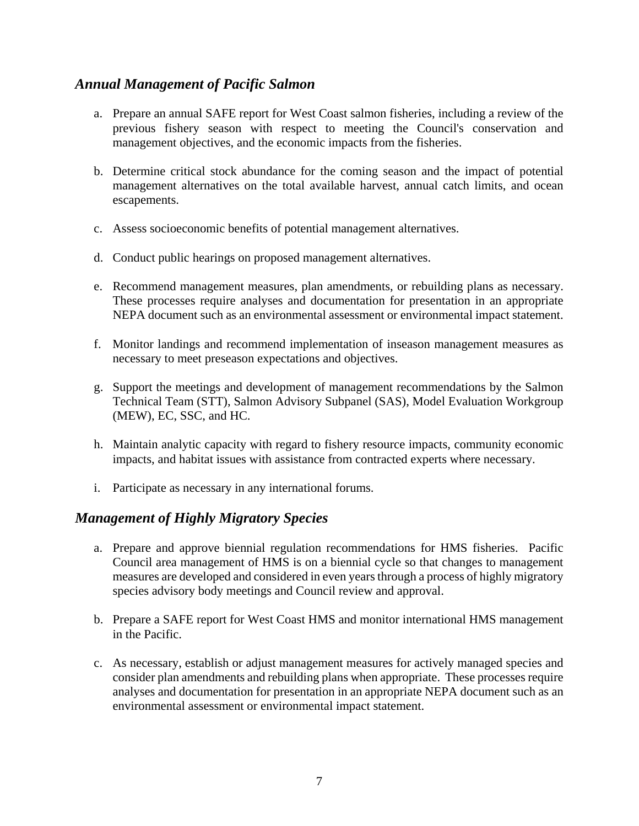## *Annual Management of Pacific Salmon*

- a. Prepare an annual SAFE report for West Coast salmon fisheries, including a review of the previous fishery season with respect to meeting the Council's conservation and management objectives, and the economic impacts from the fisheries.
- b. Determine critical stock abundance for the coming season and the impact of potential management alternatives on the total available harvest, annual catch limits, and ocean escapements.
- c. Assess socioeconomic benefits of potential management alternatives.
- d. Conduct public hearings on proposed management alternatives.
- e. Recommend management measures, plan amendments, or rebuilding plans as necessary. These processes require analyses and documentation for presentation in an appropriate NEPA document such as an environmental assessment or environmental impact statement.
- f. Monitor landings and recommend implementation of inseason management measures as necessary to meet preseason expectations and objectives.
- g. Support the meetings and development of management recommendations by the Salmon Technical Team (STT), Salmon Advisory Subpanel (SAS), Model Evaluation Workgroup (MEW), EC, SSC, and HC.
- h. Maintain analytic capacity with regard to fishery resource impacts, community economic impacts, and habitat issues with assistance from contracted experts where necessary.
- i. Participate as necessary in any international forums.

### *Management of Highly Migratory Species*

- a. Prepare and approve biennial regulation recommendations for HMS fisheries. Pacific Council area management of HMS is on a biennial cycle so that changes to management measures are developed and considered in even years through a process of highly migratory species advisory body meetings and Council review and approval.
- b. Prepare a SAFE report for West Coast HMS and monitor international HMS management in the Pacific.
- c. As necessary, establish or adjust management measures for actively managed species and consider plan amendments and rebuilding plans when appropriate. These processes require analyses and documentation for presentation in an appropriate NEPA document such as an environmental assessment or environmental impact statement.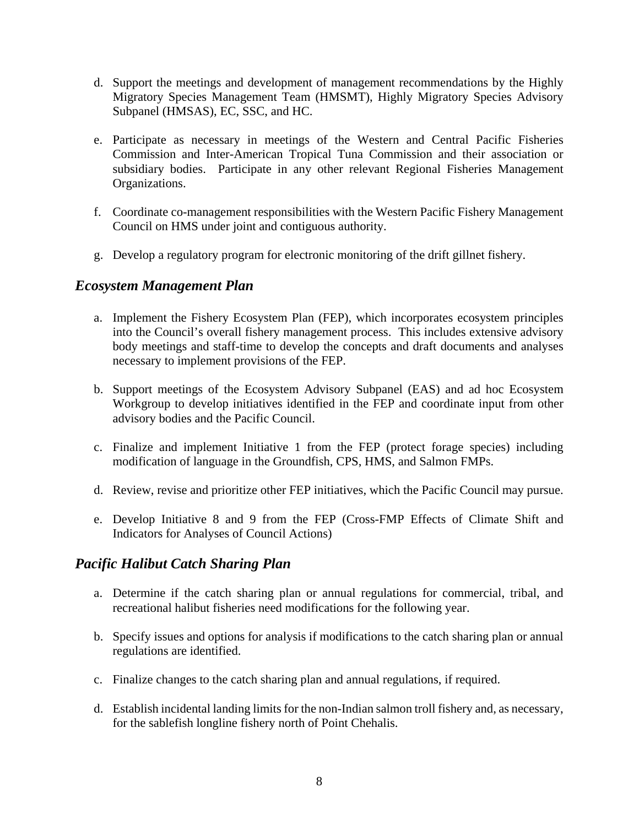- d. Support the meetings and development of management recommendations by the Highly Migratory Species Management Team (HMSMT), Highly Migratory Species Advisory Subpanel (HMSAS), EC, SSC, and HC.
- e. Participate as necessary in meetings of the Western and Central Pacific Fisheries Commission and Inter-American Tropical Tuna Commission and their association or subsidiary bodies. Participate in any other relevant Regional Fisheries Management Organizations.
- f. Coordinate co-management responsibilities with the Western Pacific Fishery Management Council on HMS under joint and contiguous authority.
- g. Develop a regulatory program for electronic monitoring of the drift gillnet fishery.

### *Ecosystem Management Plan*

- a. Implement the Fishery Ecosystem Plan (FEP), which incorporates ecosystem principles into the Council's overall fishery management process. This includes extensive advisory body meetings and staff-time to develop the concepts and draft documents and analyses necessary to implement provisions of the FEP.
- b. Support meetings of the Ecosystem Advisory Subpanel (EAS) and ad hoc Ecosystem Workgroup to develop initiatives identified in the FEP and coordinate input from other advisory bodies and the Pacific Council.
- c. Finalize and implement Initiative 1 from the FEP (protect forage species) including modification of language in the Groundfish, CPS, HMS, and Salmon FMPs.
- d. Review, revise and prioritize other FEP initiatives, which the Pacific Council may pursue.
- e. Develop Initiative 8 and 9 from the FEP (Cross-FMP Effects of Climate Shift and Indicators for Analyses of Council Actions)

### *Pacific Halibut Catch Sharing Plan*

- a. Determine if the catch sharing plan or annual regulations for commercial, tribal, and recreational halibut fisheries need modifications for the following year.
- b. Specify issues and options for analysis if modifications to the catch sharing plan or annual regulations are identified.
- c. Finalize changes to the catch sharing plan and annual regulations, if required.
- d. Establish incidental landing limits for the non-Indian salmon troll fishery and, as necessary, for the sablefish longline fishery north of Point Chehalis.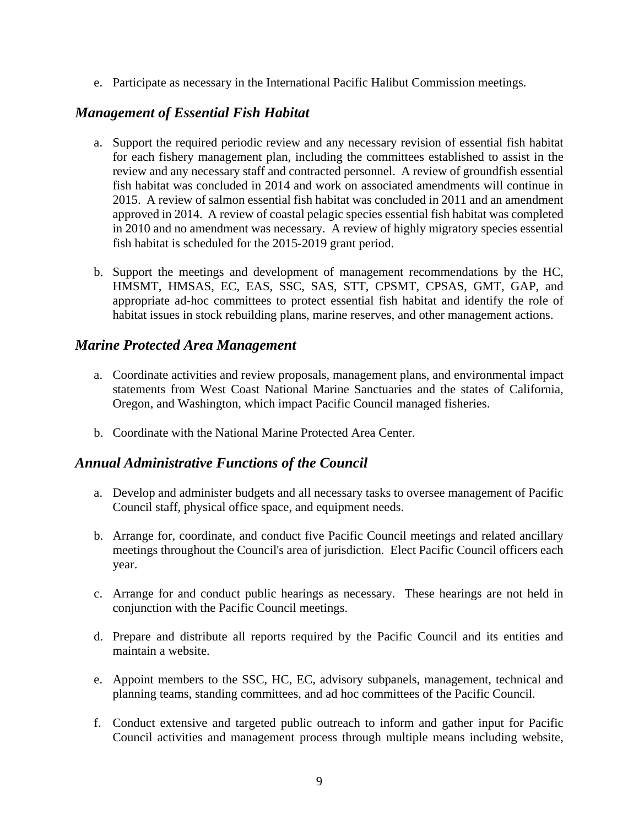e. Participate as necessary in the International Pacific Halibut Commission meetings.

## *Management of Essential Fish Habitat*

- a. Support the required periodic review and any necessary revision of essential fish habitat for each fishery management plan, including the committees established to assist in the review and any necessary staff and contracted personnel. A review of groundfish essential fish habitat was concluded in 2014 and work on associated amendments will continue in 2015. A review of salmon essential fish habitat was concluded in 2011 and an amendment approved in 2014. A review of coastal pelagic species essential fish habitat was completed in 2010 and no amendment was necessary. A review of highly migratory species essential fish habitat is scheduled for the 2015-2019 grant period.
- b. Support the meetings and development of management recommendations by the HC, HMSMT, HMSAS, EC, EAS, SSC, SAS, STT, CPSMT, CPSAS, GMT, GAP, and appropriate ad-hoc committees to protect essential fish habitat and identify the role of habitat issues in stock rebuilding plans, marine reserves, and other management actions.

### *Marine Protected Area Management*

- a. Coordinate activities and review proposals, management plans, and environmental impact statements from West Coast National Marine Sanctuaries and the states of California, Oregon, and Washington, which impact Pacific Council managed fisheries.
- b. Coordinate with the National Marine Protected Area Center.

### *Annual Administrative Functions of the Council*

- a. Develop and administer budgets and all necessary tasks to oversee management of Pacific Council staff, physical office space, and equipment needs.
- b. Arrange for, coordinate, and conduct five Pacific Council meetings and related ancillary meetings throughout the Council's area of jurisdiction. Elect Pacific Council officers each year.
- c. Arrange for and conduct public hearings as necessary. These hearings are not held in conjunction with the Pacific Council meetings.
- d. Prepare and distribute all reports required by the Pacific Council and its entities and maintain a website.
- e. Appoint members to the SSC, HC, EC, advisory subpanels, management, technical and planning teams, standing committees, and ad hoc committees of the Pacific Council.
- f. Conduct extensive and targeted public outreach to inform and gather input for Pacific Council activities and management process through multiple means including website,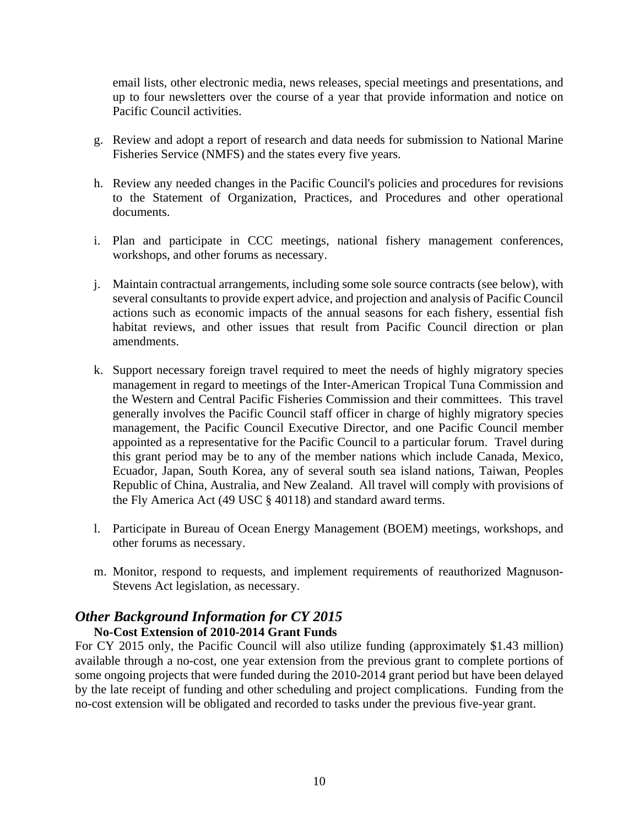email lists, other electronic media, news releases, special meetings and presentations, and up to four newsletters over the course of a year that provide information and notice on Pacific Council activities.

- g. Review and adopt a report of research and data needs for submission to National Marine Fisheries Service (NMFS) and the states every five years.
- h. Review any needed changes in the Pacific Council's policies and procedures for revisions to the Statement of Organization, Practices, and Procedures and other operational documents.
- i. Plan and participate in CCC meetings, national fishery management conferences, workshops, and other forums as necessary.
- j. Maintain contractual arrangements, including some sole source contracts (see below), with several consultants to provide expert advice, and projection and analysis of Pacific Council actions such as economic impacts of the annual seasons for each fishery, essential fish habitat reviews, and other issues that result from Pacific Council direction or plan amendments.
- k. Support necessary foreign travel required to meet the needs of highly migratory species management in regard to meetings of the Inter-American Tropical Tuna Commission and the Western and Central Pacific Fisheries Commission and their committees. This travel generally involves the Pacific Council staff officer in charge of highly migratory species management, the Pacific Council Executive Director, and one Pacific Council member appointed as a representative for the Pacific Council to a particular forum. Travel during this grant period may be to any of the member nations which include Canada, Mexico, Ecuador, Japan, South Korea, any of several south sea island nations, Taiwan, Peoples Republic of China, Australia, and New Zealand. All travel will comply with provisions of the Fly America Act (49 USC § 40118) and standard award terms.
- l. Participate in Bureau of Ocean Energy Management (BOEM) meetings, workshops, and other forums as necessary.
- m. Monitor, respond to requests, and implement requirements of reauthorized Magnuson-Stevens Act legislation, as necessary.

## *Other Background Information for CY 2015*

## **No-Cost Extension of 2010-2014 Grant Funds**

For CY 2015 only, the Pacific Council will also utilize funding (approximately \$1.43 million) available through a no-cost, one year extension from the previous grant to complete portions of some ongoing projects that were funded during the 2010-2014 grant period but have been delayed by the late receipt of funding and other scheduling and project complications. Funding from the no-cost extension will be obligated and recorded to tasks under the previous five-year grant.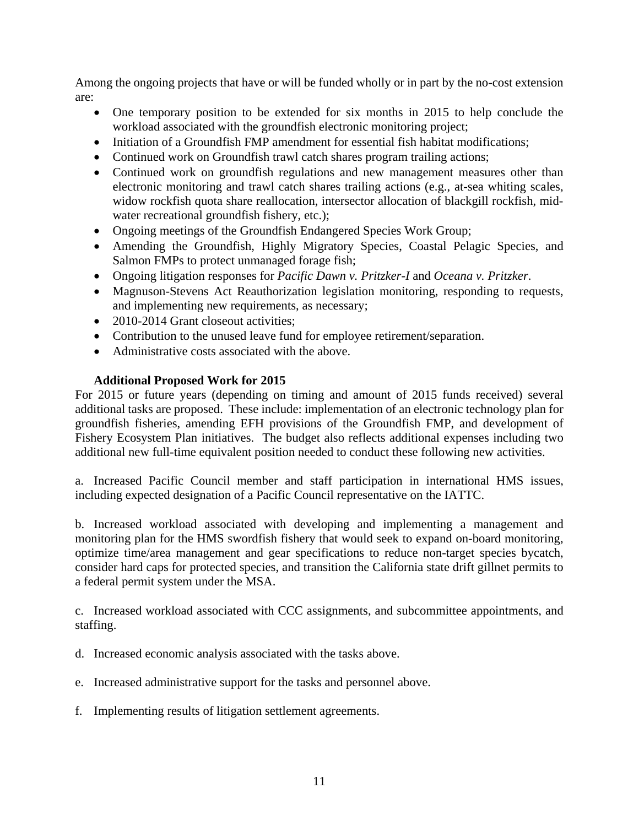Among the ongoing projects that have or will be funded wholly or in part by the no-cost extension are:

- One temporary position to be extended for six months in 2015 to help conclude the workload associated with the groundfish electronic monitoring project;
- Initiation of a Groundfish FMP amendment for essential fish habitat modifications;
- Continued work on Groundfish trawl catch shares program trailing actions;
- Continued work on groundfish regulations and new management measures other than electronic monitoring and trawl catch shares trailing actions (e.g., at-sea whiting scales, widow rockfish quota share reallocation, intersector allocation of blackgill rockfish, midwater recreational groundfish fishery, etc.);
- Ongoing meetings of the Groundfish Endangered Species Work Group;
- Amending the Groundfish, Highly Migratory Species, Coastal Pelagic Species, and Salmon FMPs to protect unmanaged forage fish;
- Ongoing litigation responses for *Pacific Dawn v. Pritzker-I* and *Oceana v. Pritzker*.
- Magnuson-Stevens Act Reauthorization legislation monitoring, responding to requests, and implementing new requirements, as necessary;
- 2010-2014 Grant closeout activities;
- Contribution to the unused leave fund for employee retirement/separation.
- Administrative costs associated with the above.

### **Additional Proposed Work for 2015**

For 2015 or future years (depending on timing and amount of 2015 funds received) several additional tasks are proposed. These include: implementation of an electronic technology plan for groundfish fisheries, amending EFH provisions of the Groundfish FMP, and development of Fishery Ecosystem Plan initiatives. The budget also reflects additional expenses including two additional new full-time equivalent position needed to conduct these following new activities.

a. Increased Pacific Council member and staff participation in international HMS issues, including expected designation of a Pacific Council representative on the IATTC.

b. Increased workload associated with developing and implementing a management and monitoring plan for the HMS swordfish fishery that would seek to expand on-board monitoring, optimize time/area management and gear specifications to reduce non-target species bycatch, consider hard caps for protected species, and transition the California state drift gillnet permits to a federal permit system under the MSA.

c. Increased workload associated with CCC assignments, and subcommittee appointments, and staffing.

- d. Increased economic analysis associated with the tasks above.
- e. Increased administrative support for the tasks and personnel above.
- f. Implementing results of litigation settlement agreements.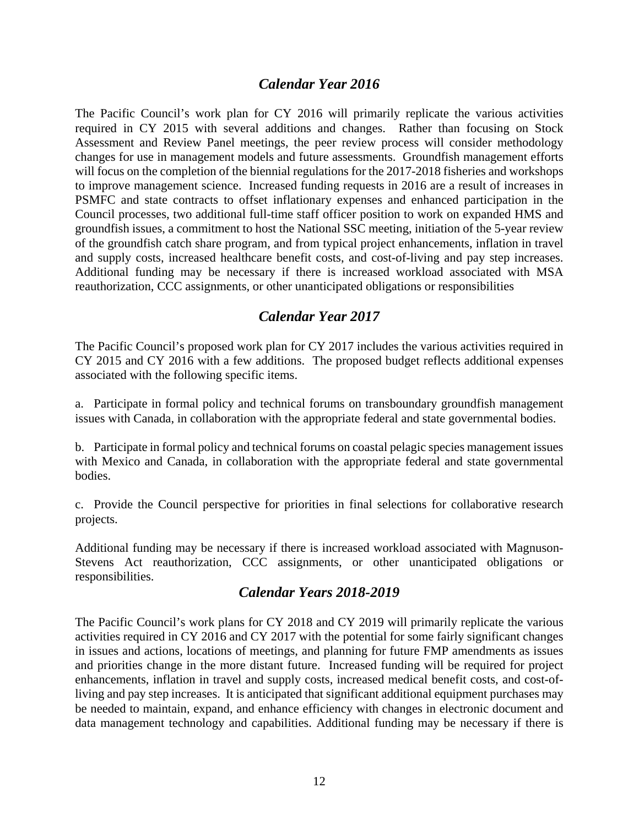### *Calendar Year 2016*

The Pacific Council's work plan for CY 2016 will primarily replicate the various activities required in CY 2015 with several additions and changes. Rather than focusing on Stock Assessment and Review Panel meetings, the peer review process will consider methodology changes for use in management models and future assessments. Groundfish management efforts will focus on the completion of the biennial regulations for the 2017-2018 fisheries and workshops to improve management science. Increased funding requests in 2016 are a result of increases in PSMFC and state contracts to offset inflationary expenses and enhanced participation in the Council processes, two additional full-time staff officer position to work on expanded HMS and groundfish issues, a commitment to host the National SSC meeting, initiation of the 5-year review of the groundfish catch share program, and from typical project enhancements, inflation in travel and supply costs, increased healthcare benefit costs, and cost-of-living and pay step increases. Additional funding may be necessary if there is increased workload associated with MSA reauthorization, CCC assignments, or other unanticipated obligations or responsibilities

### *Calendar Year 2017*

The Pacific Council's proposed work plan for CY 2017 includes the various activities required in CY 2015 and CY 2016 with a few additions. The proposed budget reflects additional expenses associated with the following specific items.

a. Participate in formal policy and technical forums on transboundary groundfish management issues with Canada, in collaboration with the appropriate federal and state governmental bodies.

b. Participate in formal policy and technical forums on coastal pelagic species management issues with Mexico and Canada, in collaboration with the appropriate federal and state governmental bodies.

c. Provide the Council perspective for priorities in final selections for collaborative research projects.

Additional funding may be necessary if there is increased workload associated with Magnuson-Stevens Act reauthorization, CCC assignments, or other unanticipated obligations or responsibilities.

### *Calendar Years 2018-2019*

The Pacific Council's work plans for CY 2018 and CY 2019 will primarily replicate the various activities required in CY 2016 and CY 2017 with the potential for some fairly significant changes in issues and actions, locations of meetings, and planning for future FMP amendments as issues and priorities change in the more distant future. Increased funding will be required for project enhancements, inflation in travel and supply costs, increased medical benefit costs, and cost-ofliving and pay step increases. It is anticipated that significant additional equipment purchases may be needed to maintain, expand, and enhance efficiency with changes in electronic document and data management technology and capabilities. Additional funding may be necessary if there is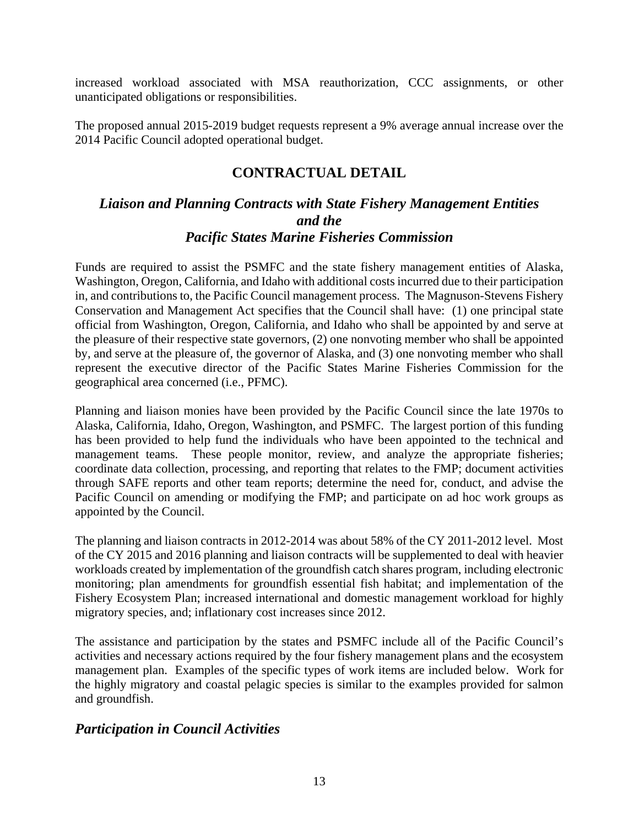increased workload associated with MSA reauthorization, CCC assignments, or other unanticipated obligations or responsibilities.

The proposed annual 2015-2019 budget requests represent a 9% average annual increase over the 2014 Pacific Council adopted operational budget.

## **CONTRACTUAL DETAIL**

## *Liaison and Planning Contracts with State Fishery Management Entities and the Pacific States Marine Fisheries Commission*

Funds are required to assist the PSMFC and the state fishery management entities of Alaska, Washington, Oregon, California, and Idaho with additional costs incurred due to their participation in, and contributions to, the Pacific Council management process. The Magnuson-Stevens Fishery Conservation and Management Act specifies that the Council shall have: (1) one principal state official from Washington, Oregon, California, and Idaho who shall be appointed by and serve at the pleasure of their respective state governors, (2) one nonvoting member who shall be appointed by, and serve at the pleasure of, the governor of Alaska, and (3) one nonvoting member who shall represent the executive director of the Pacific States Marine Fisheries Commission for the geographical area concerned (i.e., PFMC).

Planning and liaison monies have been provided by the Pacific Council since the late 1970s to Alaska, California, Idaho, Oregon, Washington, and PSMFC. The largest portion of this funding has been provided to help fund the individuals who have been appointed to the technical and management teams. These people monitor, review, and analyze the appropriate fisheries; coordinate data collection, processing, and reporting that relates to the FMP; document activities through SAFE reports and other team reports; determine the need for, conduct, and advise the Pacific Council on amending or modifying the FMP; and participate on ad hoc work groups as appointed by the Council.

The planning and liaison contracts in 2012-2014 was about 58% of the CY 2011-2012 level. Most of the CY 2015 and 2016 planning and liaison contracts will be supplemented to deal with heavier workloads created by implementation of the groundfish catch shares program, including electronic monitoring; plan amendments for groundfish essential fish habitat; and implementation of the Fishery Ecosystem Plan; increased international and domestic management workload for highly migratory species, and; inflationary cost increases since 2012.

The assistance and participation by the states and PSMFC include all of the Pacific Council's activities and necessary actions required by the four fishery management plans and the ecosystem management plan. Examples of the specific types of work items are included below. Work for the highly migratory and coastal pelagic species is similar to the examples provided for salmon and groundfish.

### *Participation in Council Activities*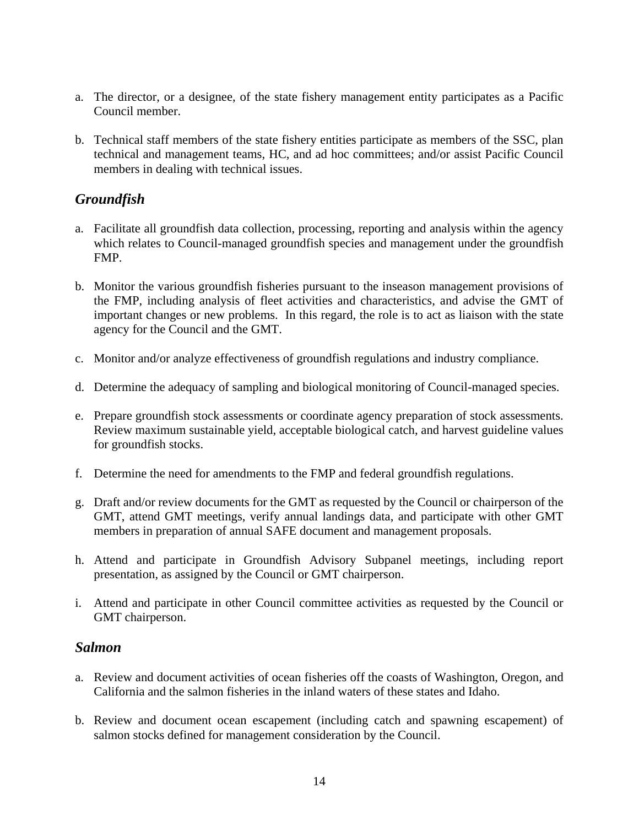- a. The director, or a designee, of the state fishery management entity participates as a Pacific Council member.
- b. Technical staff members of the state fishery entities participate as members of the SSC, plan technical and management teams, HC, and ad hoc committees; and/or assist Pacific Council members in dealing with technical issues.

## *Groundfish*

- a. Facilitate all groundfish data collection, processing, reporting and analysis within the agency which relates to Council-managed groundfish species and management under the groundfish FMP.
- b. Monitor the various groundfish fisheries pursuant to the inseason management provisions of the FMP, including analysis of fleet activities and characteristics, and advise the GMT of important changes or new problems. In this regard, the role is to act as liaison with the state agency for the Council and the GMT.
- c. Monitor and/or analyze effectiveness of groundfish regulations and industry compliance.
- d. Determine the adequacy of sampling and biological monitoring of Council-managed species.
- e. Prepare groundfish stock assessments or coordinate agency preparation of stock assessments. Review maximum sustainable yield, acceptable biological catch, and harvest guideline values for groundfish stocks.
- f. Determine the need for amendments to the FMP and federal groundfish regulations.
- g. Draft and/or review documents for the GMT as requested by the Council or chairperson of the GMT, attend GMT meetings, verify annual landings data, and participate with other GMT members in preparation of annual SAFE document and management proposals.
- h. Attend and participate in Groundfish Advisory Subpanel meetings, including report presentation, as assigned by the Council or GMT chairperson.
- i. Attend and participate in other Council committee activities as requested by the Council or GMT chairperson.

### *Salmon*

- a. Review and document activities of ocean fisheries off the coasts of Washington, Oregon, and California and the salmon fisheries in the inland waters of these states and Idaho.
- b. Review and document ocean escapement (including catch and spawning escapement) of salmon stocks defined for management consideration by the Council.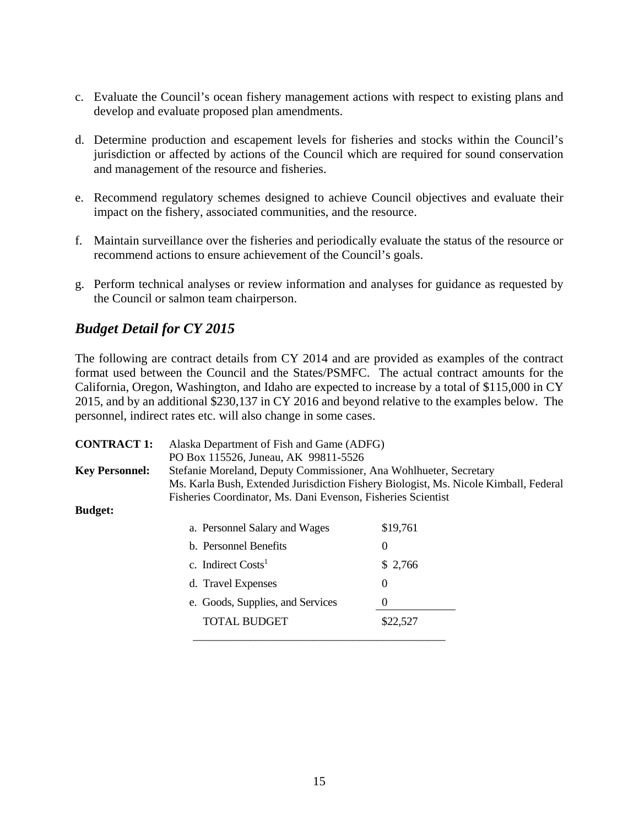- c. Evaluate the Council's ocean fishery management actions with respect to existing plans and develop and evaluate proposed plan amendments.
- d. Determine production and escapement levels for fisheries and stocks within the Council's jurisdiction or affected by actions of the Council which are required for sound conservation and management of the resource and fisheries.
- e. Recommend regulatory schemes designed to achieve Council objectives and evaluate their impact on the fishery, associated communities, and the resource.
- f. Maintain surveillance over the fisheries and periodically evaluate the status of the resource or recommend actions to ensure achievement of the Council's goals.
- g. Perform technical analyses or review information and analyses for guidance as requested by the Council or salmon team chairperson.

## *Budget Detail for CY 2015*

The following are contract details from CY 2014 and are provided as examples of the contract format used between the Council and the States/PSMFC. The actual contract amounts for the California, Oregon, Washington, and Idaho are expected to increase by a total of \$115,000 in CY 2015, and by an additional \$230,137 in CY 2016 and beyond relative to the examples below. The personnel, indirect rates etc. will also change in some cases.

| <b>CONTRACT 1:</b>    | Alaska Department of Fish and Game (ADFG)<br>PO Box 115526, Juneau, AK 99811-5526                                                                                                                                         |          |  |
|-----------------------|---------------------------------------------------------------------------------------------------------------------------------------------------------------------------------------------------------------------------|----------|--|
| <b>Key Personnel:</b> | Stefanie Moreland, Deputy Commissioner, Ana Wohlhueter, Secretary<br>Ms. Karla Bush, Extended Jurisdiction Fishery Biologist, Ms. Nicole Kimball, Federal<br>Fisheries Coordinator, Ms. Dani Evenson, Fisheries Scientist |          |  |
| <b>Budget:</b>        |                                                                                                                                                                                                                           |          |  |
|                       | \$19,761<br>a. Personnel Salary and Wages                                                                                                                                                                                 |          |  |
|                       | b. Personnel Benefits                                                                                                                                                                                                     | 0        |  |
|                       | c. Indirect $Costs1$                                                                                                                                                                                                      | \$2,766  |  |
|                       | d. Travel Expenses                                                                                                                                                                                                        | $\Omega$ |  |
|                       | e. Goods, Supplies, and Services                                                                                                                                                                                          | $\theta$ |  |
|                       | <b>TOTAL BUDGET</b>                                                                                                                                                                                                       | \$22,527 |  |
|                       |                                                                                                                                                                                                                           |          |  |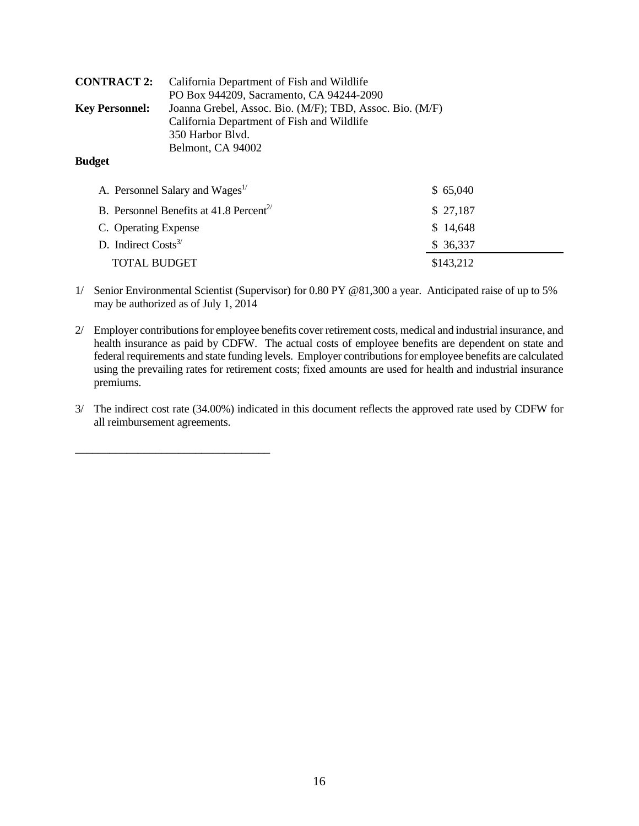|                       | <b>CONTRACT 2:</b> California Department of Fish and Wildlife |
|-----------------------|---------------------------------------------------------------|
|                       | PO Box 944209, Sacramento, CA 94244-2090                      |
| <b>Key Personnel:</b> | Joanna Grebel, Assoc. Bio. (M/F); TBD, Assoc. Bio. (M/F)      |
|                       | California Department of Fish and Wildlife                    |
|                       | 350 Harbor Blvd.                                              |
|                       | Belmont, CA 94002                                             |
| <b>Budget</b>         |                                                               |

| A. Personnel Salary and Wages <sup>1/</sup>         | \$65,040  |
|-----------------------------------------------------|-----------|
| B. Personnel Benefits at 41.8 Percent <sup>2/</sup> | \$27,187  |
| C. Operating Expense                                | \$14,648  |
| D. Indirect $Costs3/$                               | \$36,337  |
| <b>TOTAL BUDGET</b>                                 | \$143,212 |

- 1/ Senior Environmental Scientist (Supervisor) for 0.80 PY @81,300 a year. Anticipated raise of up to 5% may be authorized as of July 1, 2014
- 2/ Employer contributions for employee benefits cover retirement costs, medical and industrial insurance, and health insurance as paid by CDFW. The actual costs of employee benefits are dependent on state and federal requirements and state funding levels. Employer contributions for employee benefits are calculated using the prevailing rates for retirement costs; fixed amounts are used for health and industrial insurance premiums.
- 3/ The indirect cost rate (34.00%) indicated in this document reflects the approved rate used by CDFW for all reimbursement agreements.

\_\_\_\_\_\_\_\_\_\_\_\_\_\_\_\_\_\_\_\_\_\_\_\_\_\_\_\_\_\_\_\_\_\_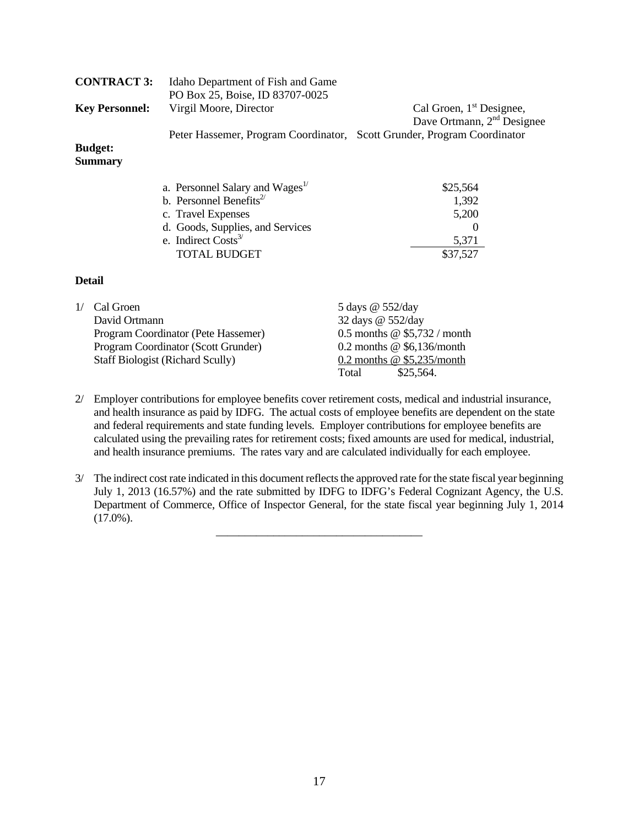|    | <b>CONTRACT 3:</b>         | Idaho Department of Fish and Game           |                                                                         |
|----|----------------------------|---------------------------------------------|-------------------------------------------------------------------------|
|    |                            | PO Box 25, Boise, ID 83707-0025             |                                                                         |
|    | <b>Key Personnel:</b>      | Virgil Moore, Director                      | Cal Groen, 1 <sup>st</sup> Designee,                                    |
|    |                            |                                             | Dave Ortmann, 2 <sup>nd</sup> Designee                                  |
|    |                            |                                             | Peter Hassemer, Program Coordinator, Scott Grunder, Program Coordinator |
|    | <b>Budget:</b>             |                                             |                                                                         |
|    | <b>Summary</b>             |                                             |                                                                         |
|    |                            |                                             |                                                                         |
|    |                            | a. Personnel Salary and Wages <sup>1/</sup> | \$25,564                                                                |
|    |                            | b. Personnel Benefits <sup>2/</sup>         | 1,392                                                                   |
|    |                            | c. Travel Expenses                          | 5,200                                                                   |
|    |                            | d. Goods, Supplies, and Services            | $\left( \right)$                                                        |
|    |                            | e. Indirect $Costs^3$                       | 5,371                                                                   |
|    |                            | TOTAL BUDGET                                | \$37,527                                                                |
|    | <b>Detail</b>              |                                             |                                                                         |
| 1/ | Cal Groen<br>David Ortmann |                                             | 5 days @ 552/day<br>32 days @ 552/day                                   |
|    |                            |                                             |                                                                         |

| David Ortmann |                                         | 32 days $\omega$ 552/day |                                |
|---------------|-----------------------------------------|--------------------------|--------------------------------|
|               | Program Coordinator (Pete Hassemer)     |                          | 0.5 months $@$ \$5,732 / month |
|               | Program Coordinator (Scott Grunder)     |                          | 0.2 months $@$ \$6,136/month   |
|               | <b>Staff Biologist (Richard Scully)</b> |                          | 0.2 months $@$ \$5,235/month   |
|               |                                         | Total                    | \$25,564.                      |
|               |                                         |                          |                                |

 $\overline{\phantom{a}}$  ,  $\overline{\phantom{a}}$  ,  $\overline{\phantom{a}}$  ,  $\overline{\phantom{a}}$  ,  $\overline{\phantom{a}}$  ,  $\overline{\phantom{a}}$  ,  $\overline{\phantom{a}}$  ,  $\overline{\phantom{a}}$  ,  $\overline{\phantom{a}}$  ,  $\overline{\phantom{a}}$  ,  $\overline{\phantom{a}}$  ,  $\overline{\phantom{a}}$  ,  $\overline{\phantom{a}}$  ,  $\overline{\phantom{a}}$  ,  $\overline{\phantom{a}}$  ,  $\overline{\phantom{a}}$ 

- 2/ Employer contributions for employee benefits cover retirement costs, medical and industrial insurance, and health insurance as paid by IDFG. The actual costs of employee benefits are dependent on the state and federal requirements and state funding levels. Employer contributions for employee benefits are calculated using the prevailing rates for retirement costs; fixed amounts are used for medical, industrial, and health insurance premiums. The rates vary and are calculated individually for each employee.
- 3/ The indirect cost rate indicated in this document reflects the approved rate for the state fiscal year beginning July 1, 2013 (16.57%) and the rate submitted by IDFG to IDFG's Federal Cognizant Agency, the U.S. Department of Commerce, Office of Inspector General, for the state fiscal year beginning July 1, 2014  $(17.0\%)$ .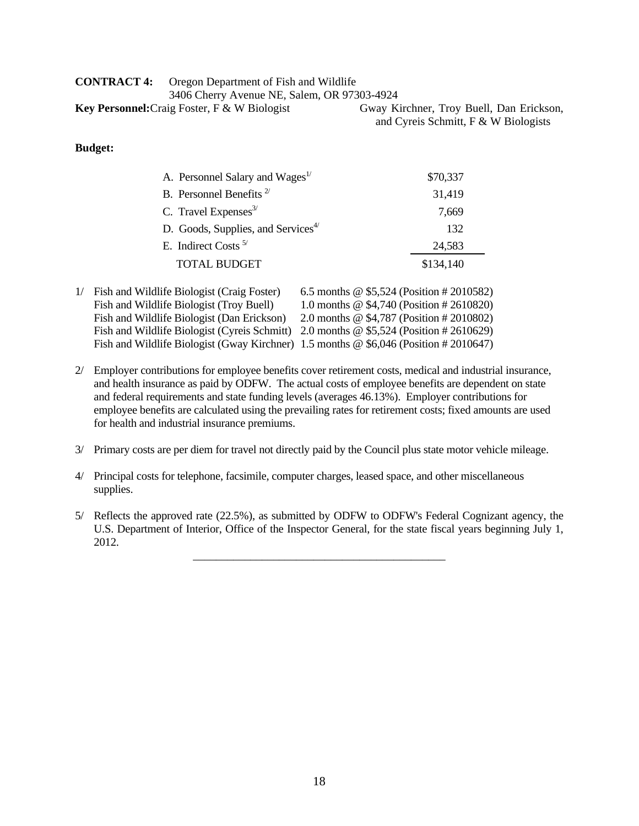| <b>CONTRACT 4:</b> | Oregon Department of Fish and Wildlife              |            |
|--------------------|-----------------------------------------------------|------------|
|                    | 3406 Cherry Avenue NE, Salem, OR 97303-4924         |            |
|                    | <b>Key Personnel:</b> Craig Foster, F & W Biologist | Gway Kirch |
|                    |                                                     |            |

ner, Troy Buell, Dan Erickson, and Cyreis Schmitt, F & W Biologists

#### **Budget:**

| A. Personnel Salary and Wages <sup>1/</sup>    | \$70,337  |
|------------------------------------------------|-----------|
| B. Personnel Benefits <sup>2/</sup>            | 31,419    |
| C. Travel Expenses $3/$                        | 7.669     |
| D. Goods, Supplies, and Services <sup>4/</sup> | 132       |
| E. Indirect Costs $5/$                         | 24,583    |
| <b>TOTAL BUDGET</b>                            | \$134,140 |
|                                                |           |

| 1/ | Fish and Wildlife Biologist (Craig Foster)                                             | 6.5 months $\omega$ \$5,524 (Position # 2010582) |
|----|----------------------------------------------------------------------------------------|--------------------------------------------------|
|    | Fish and Wildlife Biologist (Troy Buell)                                               | 1.0 months $\omega$ \$4,740 (Position # 2610820) |
|    | Fish and Wildlife Biologist (Dan Erickson)                                             | 2.0 months $\omega$ \$4,787 (Position # 2010802) |
|    | Fish and Wildlife Biologist (Cyreis Schmitt) 2.0 months @ \$5,524 (Position # 2610629) |                                                  |
|    | Fish and Wildlife Biologist (Gway Kirchner) 1.5 months @ \$6,046 (Position #2010647)   |                                                  |

- 2/ Employer contributions for employee benefits cover retirement costs, medical and industrial insurance, and health insurance as paid by ODFW. The actual costs of employee benefits are dependent on state and federal requirements and state funding levels (averages 46.13%). Employer contributions for employee benefits are calculated using the prevailing rates for retirement costs; fixed amounts are used for health and industrial insurance premiums.
- 3/ Primary costs are per diem for travel not directly paid by the Council plus state motor vehicle mileage.
- 4/ Principal costs for telephone, facsimile, computer charges, leased space, and other miscellaneous supplies.

 $\overline{\phantom{a}}$  ,  $\overline{\phantom{a}}$  ,  $\overline{\phantom{a}}$  ,  $\overline{\phantom{a}}$  ,  $\overline{\phantom{a}}$  ,  $\overline{\phantom{a}}$  ,  $\overline{\phantom{a}}$  ,  $\overline{\phantom{a}}$  ,  $\overline{\phantom{a}}$  ,  $\overline{\phantom{a}}$  ,  $\overline{\phantom{a}}$  ,  $\overline{\phantom{a}}$  ,  $\overline{\phantom{a}}$  ,  $\overline{\phantom{a}}$  ,  $\overline{\phantom{a}}$  ,  $\overline{\phantom{a}}$ 

5/ Reflects the approved rate (22.5%), as submitted by ODFW to ODFW's Federal Cognizant agency, the U.S. Department of Interior, Office of the Inspector General, for the state fiscal years beginning July 1, 2012.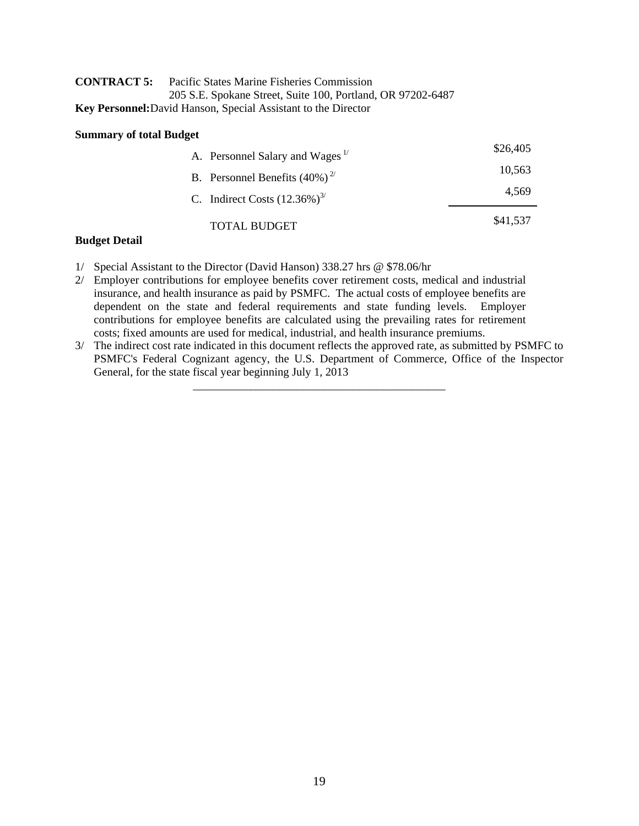| <b>CONTRACT 5:</b> | Pacific States Marine Fisheries Commission                            |  |
|--------------------|-----------------------------------------------------------------------|--|
|                    | 205 S.E. Spokane Street, Suite 100, Portland, OR 97202-6487           |  |
|                    | <b>Key Personnel:</b> David Hanson, Special Assistant to the Director |  |

#### **Summary of total Budget**

| \$26,405 | A. Personnel Salary and Wages <sup>1/</sup> |  |
|----------|---------------------------------------------|--|
| 10,563   | B. Personnel Benefits $(40\%)^{2/2}$        |  |
| 4.569    | C. Indirect Costs $(12.36\%)^{3/2}$         |  |
| \$41,537 | TOTAL BUDGET                                |  |

#### **Budget Detail**

1/ Special Assistant to the Director (David Hanson) 338.27 hrs @ \$78.06/hr

 $\overline{\phantom{a}}$  ,  $\overline{\phantom{a}}$  ,  $\overline{\phantom{a}}$  ,  $\overline{\phantom{a}}$  ,  $\overline{\phantom{a}}$  ,  $\overline{\phantom{a}}$  ,  $\overline{\phantom{a}}$  ,  $\overline{\phantom{a}}$  ,  $\overline{\phantom{a}}$  ,  $\overline{\phantom{a}}$  ,  $\overline{\phantom{a}}$  ,  $\overline{\phantom{a}}$  ,  $\overline{\phantom{a}}$  ,  $\overline{\phantom{a}}$  ,  $\overline{\phantom{a}}$  ,  $\overline{\phantom{a}}$ 

- 2/ Employer contributions for employee benefits cover retirement costs, medical and industrial insurance, and health insurance as paid by PSMFC. The actual costs of employee benefits are dependent on the state and federal requirements and state funding levels. Employer contributions for employee benefits are calculated using the prevailing rates for retirement costs; fixed amounts are used for medical, industrial, and health insurance premiums.
- 3/ The indirect cost rate indicated in this document reflects the approved rate, as submitted by PSMFC to PSMFC's Federal Cognizant agency, the U.S. Department of Commerce, Office of the Inspector General, for the state fiscal year beginning July 1, 2013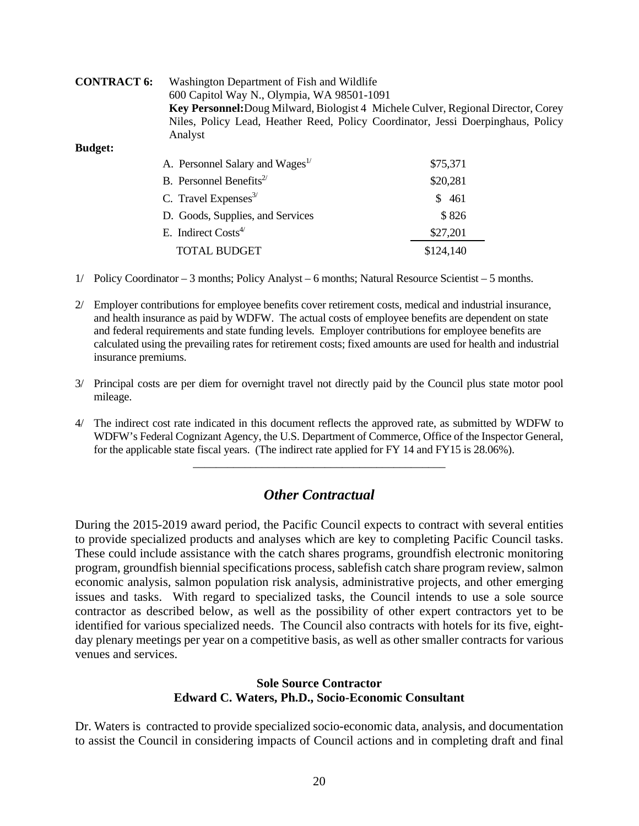| <b>CONTRACT 6:</b> | Washington Department of Fish and Wildlife<br>600 Capitol Way N., Olympia, WA 98501-1091<br>Key Personnel: Doug Milward, Biologist 4 Michele Culver, Regional Director, Corey<br>Niles, Policy Lead, Heather Reed, Policy Coordinator, Jessi Doerpinghaus, Policy |           |  |
|--------------------|-------------------------------------------------------------------------------------------------------------------------------------------------------------------------------------------------------------------------------------------------------------------|-----------|--|
|                    |                                                                                                                                                                                                                                                                   |           |  |
|                    |                                                                                                                                                                                                                                                                   |           |  |
|                    |                                                                                                                                                                                                                                                                   |           |  |
|                    | Analyst                                                                                                                                                                                                                                                           |           |  |
| <b>Budget:</b>     |                                                                                                                                                                                                                                                                   |           |  |
|                    | A. Personnel Salary and Wages <sup>1/</sup>                                                                                                                                                                                                                       | \$75,371  |  |
|                    | B. Personnel Benefits <sup>2/</sup>                                                                                                                                                                                                                               | \$20,281  |  |
|                    | C. Travel Expenses $3/$                                                                                                                                                                                                                                           | \$ 461    |  |
|                    | D. Goods, Supplies, and Services                                                                                                                                                                                                                                  | \$826     |  |
|                    | E. Indirect $Cost4$                                                                                                                                                                                                                                               | \$27,201  |  |
|                    | <b>TOTAL BUDGET</b>                                                                                                                                                                                                                                               | \$124,140 |  |
|                    |                                                                                                                                                                                                                                                                   |           |  |

- 1/ Policy Coordinator 3 months; Policy Analyst 6 months; Natural Resource Scientist 5 months.
- 2/ Employer contributions for employee benefits cover retirement costs, medical and industrial insurance, and health insurance as paid by WDFW. The actual costs of employee benefits are dependent on state and federal requirements and state funding levels. Employer contributions for employee benefits are calculated using the prevailing rates for retirement costs; fixed amounts are used for health and industrial insurance premiums.
- 3/ Principal costs are per diem for overnight travel not directly paid by the Council plus state motor pool mileage.
- 4/ The indirect cost rate indicated in this document reflects the approved rate, as submitted by WDFW to WDFW's Federal Cognizant Agency, the U.S. Department of Commerce, Office of the Inspector General, for the applicable state fiscal years. (The indirect rate applied for FY 14 and FY15 is 28.06%).

 $\overline{\phantom{a}}$  ,  $\overline{\phantom{a}}$  ,  $\overline{\phantom{a}}$  ,  $\overline{\phantom{a}}$  ,  $\overline{\phantom{a}}$  ,  $\overline{\phantom{a}}$  ,  $\overline{\phantom{a}}$  ,  $\overline{\phantom{a}}$  ,  $\overline{\phantom{a}}$  ,  $\overline{\phantom{a}}$  ,  $\overline{\phantom{a}}$  ,  $\overline{\phantom{a}}$  ,  $\overline{\phantom{a}}$  ,  $\overline{\phantom{a}}$  ,  $\overline{\phantom{a}}$  ,  $\overline{\phantom{a}}$ 

## *Other Contractual*

During the 2015-2019 award period, the Pacific Council expects to contract with several entities to provide specialized products and analyses which are key to completing Pacific Council tasks. These could include assistance with the catch shares programs, groundfish electronic monitoring program, groundfish biennial specifications process, sablefish catch share program review, salmon economic analysis, salmon population risk analysis, administrative projects, and other emerging issues and tasks. With regard to specialized tasks, the Council intends to use a sole source contractor as described below, as well as the possibility of other expert contractors yet to be identified for various specialized needs. The Council also contracts with hotels for its five, eightday plenary meetings per year on a competitive basis, as well as other smaller contracts for various venues and services.

### **Sole Source Contractor Edward C. Waters, Ph.D., Socio-Economic Consultant**

Dr. Waters is contracted to provide specialized socio-economic data, analysis, and documentation to assist the Council in considering impacts of Council actions and in completing draft and final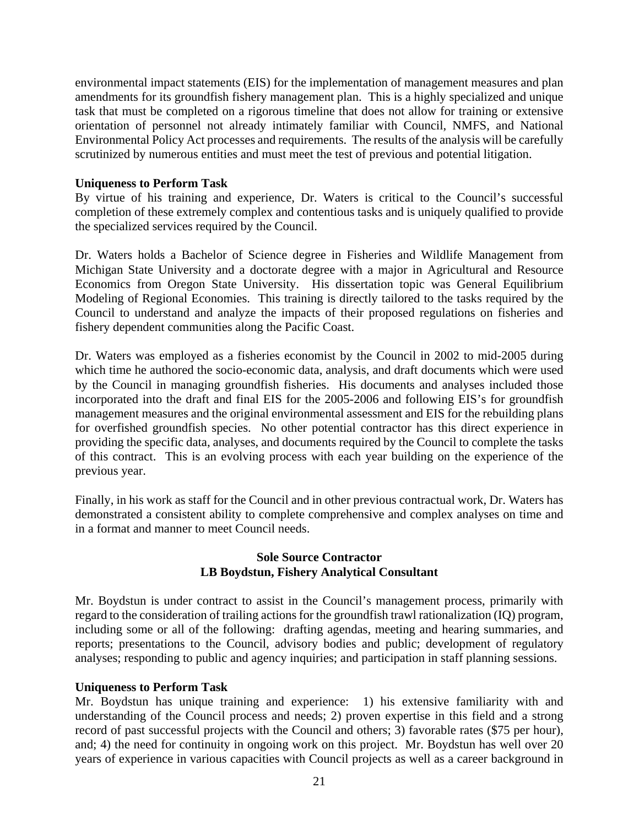environmental impact statements (EIS) for the implementation of management measures and plan amendments for its groundfish fishery management plan. This is a highly specialized and unique task that must be completed on a rigorous timeline that does not allow for training or extensive orientation of personnel not already intimately familiar with Council, NMFS, and National Environmental Policy Act processes and requirements. The results of the analysis will be carefully scrutinized by numerous entities and must meet the test of previous and potential litigation.

### **Uniqueness to Perform Task**

By virtue of his training and experience, Dr. Waters is critical to the Council's successful completion of these extremely complex and contentious tasks and is uniquely qualified to provide the specialized services required by the Council.

Dr. Waters holds a Bachelor of Science degree in Fisheries and Wildlife Management from Michigan State University and a doctorate degree with a major in Agricultural and Resource Economics from Oregon State University. His dissertation topic was General Equilibrium Modeling of Regional Economies. This training is directly tailored to the tasks required by the Council to understand and analyze the impacts of their proposed regulations on fisheries and fishery dependent communities along the Pacific Coast.

Dr. Waters was employed as a fisheries economist by the Council in 2002 to mid-2005 during which time he authored the socio-economic data, analysis, and draft documents which were used by the Council in managing groundfish fisheries. His documents and analyses included those incorporated into the draft and final EIS for the 2005-2006 and following EIS's for groundfish management measures and the original environmental assessment and EIS for the rebuilding plans for overfished groundfish species. No other potential contractor has this direct experience in providing the specific data, analyses, and documents required by the Council to complete the tasks of this contract. This is an evolving process with each year building on the experience of the previous year.

Finally, in his work as staff for the Council and in other previous contractual work, Dr. Waters has demonstrated a consistent ability to complete comprehensive and complex analyses on time and in a format and manner to meet Council needs.

### **Sole Source Contractor LB Boydstun, Fishery Analytical Consultant**

Mr. Boydstun is under contract to assist in the Council's management process, primarily with regard to the consideration of trailing actions for the groundfish trawl rationalization (IQ) program, including some or all of the following: drafting agendas, meeting and hearing summaries, and reports; presentations to the Council, advisory bodies and public; development of regulatory analyses; responding to public and agency inquiries; and participation in staff planning sessions.

#### **Uniqueness to Perform Task**

Mr. Boydstun has unique training and experience: 1) his extensive familiarity with and understanding of the Council process and needs; 2) proven expertise in this field and a strong record of past successful projects with the Council and others; 3) favorable rates (\$75 per hour), and; 4) the need for continuity in ongoing work on this project. Mr. Boydstun has well over 20 years of experience in various capacities with Council projects as well as a career background in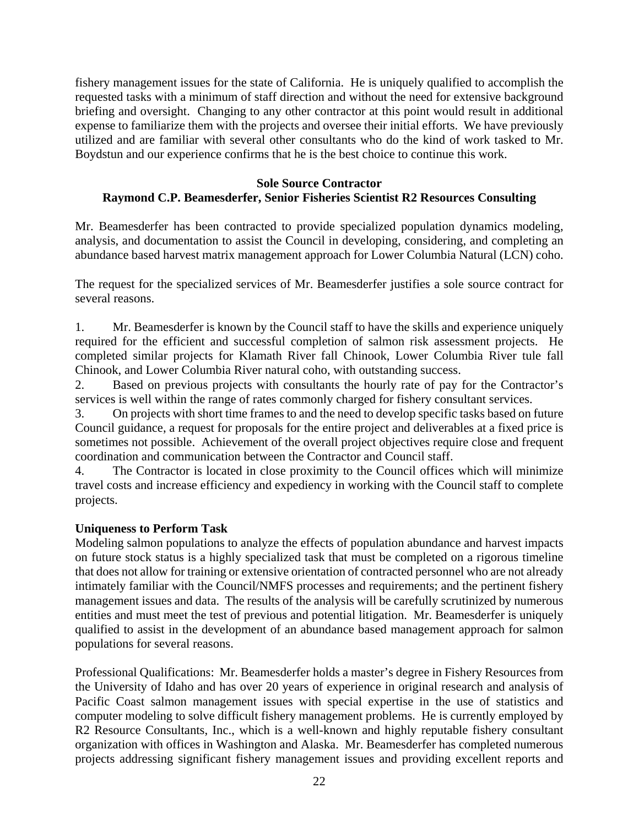fishery management issues for the state of California. He is uniquely qualified to accomplish the requested tasks with a minimum of staff direction and without the need for extensive background briefing and oversight. Changing to any other contractor at this point would result in additional expense to familiarize them with the projects and oversee their initial efforts. We have previously utilized and are familiar with several other consultants who do the kind of work tasked to Mr. Boydstun and our experience confirms that he is the best choice to continue this work.

### **Sole Source Contractor Raymond C.P. Beamesderfer, Senior Fisheries Scientist R2 Resources Consulting**

Mr. Beamesderfer has been contracted to provide specialized population dynamics modeling, analysis, and documentation to assist the Council in developing, considering, and completing an abundance based harvest matrix management approach for Lower Columbia Natural (LCN) coho.

The request for the specialized services of Mr. Beamesderfer justifies a sole source contract for several reasons.

1. Mr. Beamesderfer is known by the Council staff to have the skills and experience uniquely required for the efficient and successful completion of salmon risk assessment projects. He completed similar projects for Klamath River fall Chinook, Lower Columbia River tule fall Chinook, and Lower Columbia River natural coho, with outstanding success.

2. Based on previous projects with consultants the hourly rate of pay for the Contractor's services is well within the range of rates commonly charged for fishery consultant services.

3. On projects with short time frames to and the need to develop specific tasks based on future Council guidance, a request for proposals for the entire project and deliverables at a fixed price is sometimes not possible. Achievement of the overall project objectives require close and frequent coordination and communication between the Contractor and Council staff.

4. The Contractor is located in close proximity to the Council offices which will minimize travel costs and increase efficiency and expediency in working with the Council staff to complete projects.

### **Uniqueness to Perform Task**

Modeling salmon populations to analyze the effects of population abundance and harvest impacts on future stock status is a highly specialized task that must be completed on a rigorous timeline that does not allow for training or extensive orientation of contracted personnel who are not already intimately familiar with the Council/NMFS processes and requirements; and the pertinent fishery management issues and data. The results of the analysis will be carefully scrutinized by numerous entities and must meet the test of previous and potential litigation. Mr. Beamesderfer is uniquely qualified to assist in the development of an abundance based management approach for salmon populations for several reasons.

Professional Qualifications: Mr. Beamesderfer holds a master's degree in Fishery Resources from the University of Idaho and has over 20 years of experience in original research and analysis of Pacific Coast salmon management issues with special expertise in the use of statistics and computer modeling to solve difficult fishery management problems. He is currently employed by R2 Resource Consultants, Inc., which is a well-known and highly reputable fishery consultant organization with offices in Washington and Alaska. Mr. Beamesderfer has completed numerous projects addressing significant fishery management issues and providing excellent reports and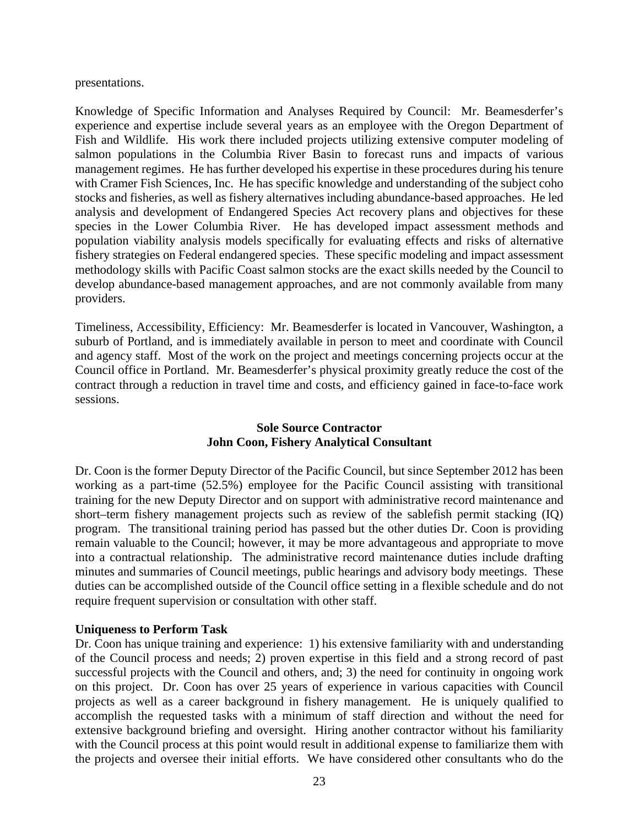presentations.

Knowledge of Specific Information and Analyses Required by Council: Mr. Beamesderfer's experience and expertise include several years as an employee with the Oregon Department of Fish and Wildlife. His work there included projects utilizing extensive computer modeling of salmon populations in the Columbia River Basin to forecast runs and impacts of various management regimes. He has further developed his expertise in these procedures during his tenure with Cramer Fish Sciences, Inc. He has specific knowledge and understanding of the subject coho stocks and fisheries, as well as fishery alternatives including abundance-based approaches. He led analysis and development of Endangered Species Act recovery plans and objectives for these species in the Lower Columbia River. He has developed impact assessment methods and population viability analysis models specifically for evaluating effects and risks of alternative fishery strategies on Federal endangered species. These specific modeling and impact assessment methodology skills with Pacific Coast salmon stocks are the exact skills needed by the Council to develop abundance-based management approaches, and are not commonly available from many providers.

Timeliness, Accessibility, Efficiency: Mr. Beamesderfer is located in Vancouver, Washington, a suburb of Portland, and is immediately available in person to meet and coordinate with Council and agency staff. Most of the work on the project and meetings concerning projects occur at the Council office in Portland. Mr. Beamesderfer's physical proximity greatly reduce the cost of the contract through a reduction in travel time and costs, and efficiency gained in face-to-face work sessions.

### **Sole Source Contractor John Coon, Fishery Analytical Consultant**

Dr. Coon is the former Deputy Director of the Pacific Council, but since September 2012 has been working as a part-time (52.5%) employee for the Pacific Council assisting with transitional training for the new Deputy Director and on support with administrative record maintenance and short–term fishery management projects such as review of the sablefish permit stacking (IQ) program. The transitional training period has passed but the other duties Dr. Coon is providing remain valuable to the Council; however, it may be more advantageous and appropriate to move into a contractual relationship. The administrative record maintenance duties include drafting minutes and summaries of Council meetings, public hearings and advisory body meetings. These duties can be accomplished outside of the Council office setting in a flexible schedule and do not require frequent supervision or consultation with other staff.

### **Uniqueness to Perform Task**

Dr. Coon has unique training and experience: 1) his extensive familiarity with and understanding of the Council process and needs; 2) proven expertise in this field and a strong record of past successful projects with the Council and others, and; 3) the need for continuity in ongoing work on this project. Dr. Coon has over 25 years of experience in various capacities with Council projects as well as a career background in fishery management. He is uniquely qualified to accomplish the requested tasks with a minimum of staff direction and without the need for extensive background briefing and oversight. Hiring another contractor without his familiarity with the Council process at this point would result in additional expense to familiarize them with the projects and oversee their initial efforts. We have considered other consultants who do the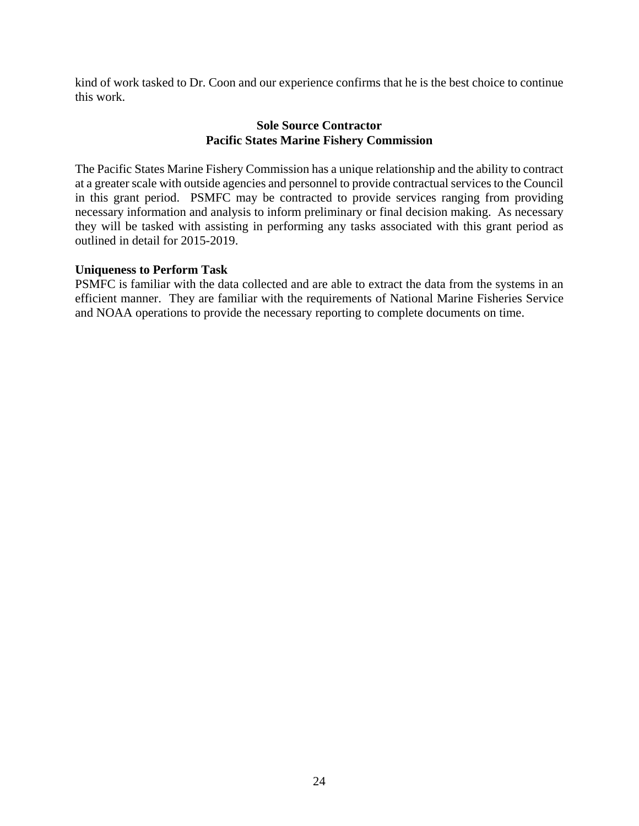kind of work tasked to Dr. Coon and our experience confirms that he is the best choice to continue this work.

### **Sole Source Contractor Pacific States Marine Fishery Commission**

The Pacific States Marine Fishery Commission has a unique relationship and the ability to contract at a greater scale with outside agencies and personnel to provide contractual services to the Council in this grant period. PSMFC may be contracted to provide services ranging from providing necessary information and analysis to inform preliminary or final decision making. As necessary they will be tasked with assisting in performing any tasks associated with this grant period as outlined in detail for 2015-2019.

### **Uniqueness to Perform Task**

PSMFC is familiar with the data collected and are able to extract the data from the systems in an efficient manner. They are familiar with the requirements of National Marine Fisheries Service and NOAA operations to provide the necessary reporting to complete documents on time.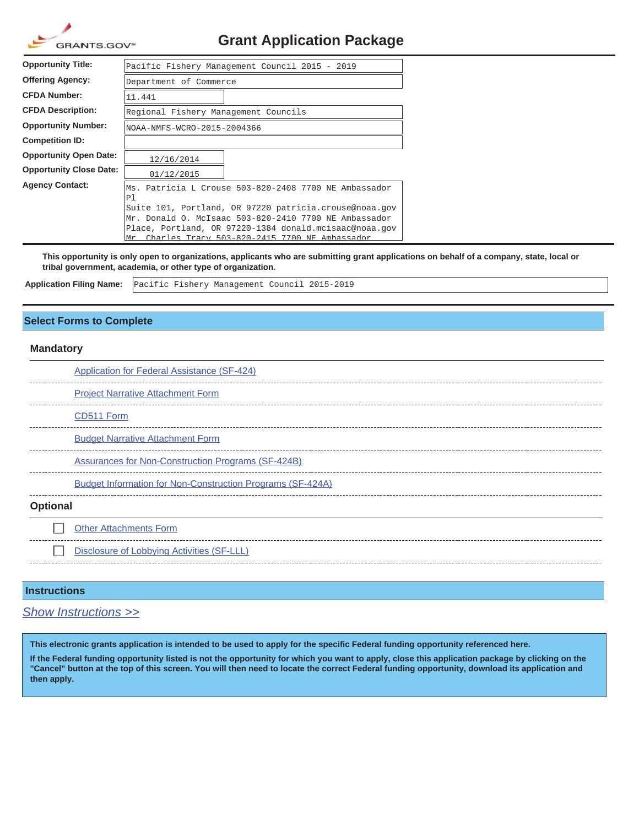| GRANTS.GOV <sup>*</sup> |
|-------------------------|

## **Grant Application Package**

| <b>Opportunity Title:</b>      | Pacific Fishery Management Council 2015 - 2019                                                                  |  |  |  |  |  |  |  |  |  |  |
|--------------------------------|-----------------------------------------------------------------------------------------------------------------|--|--|--|--|--|--|--|--|--|--|
| Offering Agency:               | Department of Commerce                                                                                          |  |  |  |  |  |  |  |  |  |  |
| <b>CFDA Number:</b>            | 11.441                                                                                                          |  |  |  |  |  |  |  |  |  |  |
| <b>CFDA Description:</b>       | Regional Fishery Management Councils                                                                            |  |  |  |  |  |  |  |  |  |  |
| <b>Opportunity Number:</b>     | NOAA-NMFS-WCRO-2015-2004366                                                                                     |  |  |  |  |  |  |  |  |  |  |
| <b>Competition ID:</b>         |                                                                                                                 |  |  |  |  |  |  |  |  |  |  |
| <b>Opportunity Open Date:</b>  | 12/16/2014                                                                                                      |  |  |  |  |  |  |  |  |  |  |
| <b>Opportunity Close Date:</b> | 01/12/2015                                                                                                      |  |  |  |  |  |  |  |  |  |  |
| <b>Agency Contact:</b>         | Ms. Patricia L Crouse 503-820-2408 7700 NE Ambassador<br>P1                                                     |  |  |  |  |  |  |  |  |  |  |
|                                | Suite 101, Portland, OR 97220 patricia.crouse@noaa.gov                                                          |  |  |  |  |  |  |  |  |  |  |
|                                | Mr. Donald O. McIsaac 503-820-2410 7700 NE Ambassador<br>Place, Portland, OR 97220-1384 donald.mcisaac@noaa.qov |  |  |  |  |  |  |  |  |  |  |
|                                | Charles Tracy 503-820-2415 7700 NF Ambassador<br>lM∽                                                            |  |  |  |  |  |  |  |  |  |  |

**This opportunity is only open to organizations, applicants who are submitting grant applications on behalf of a company, state, local or tribal government, academia, or other type of organization.**

**Application Filing Name:**

Pacific Fishery Management Council 2015-2019

#### **Select Forms to Complete**

#### **Mandatory**

|                 | <b>Application for Federal Assistance (SF-424)</b>                |
|-----------------|-------------------------------------------------------------------|
|                 | <b>Project Narrative Attachment Form</b>                          |
|                 | CD511 Form                                                        |
|                 | <b>Budget Narrative Attachment Form</b>                           |
|                 | <b>Assurances for Non-Construction Programs (SF-424B)</b>         |
|                 | <b>Budget Information for Non-Construction Programs (SF-424A)</b> |
| <b>Optional</b> |                                                                   |
|                 | <b>Other Attachments Form</b>                                     |
|                 | Disclosure of Lobbying Activities (SF-LLL)                        |
|                 |                                                                   |

#### **Instructions**

*Show Instructions >>*

**This electronic grants application is intended to be used to apply for the specific Federal funding opportunity referenced here.**

**If the Federal funding opportunity listed is not the opportunity for which you want to apply, close this application package by clicking on the "Cancel" button at the top of this screen. You will then need to locate the correct Federal funding opportunity, download its application and then apply.**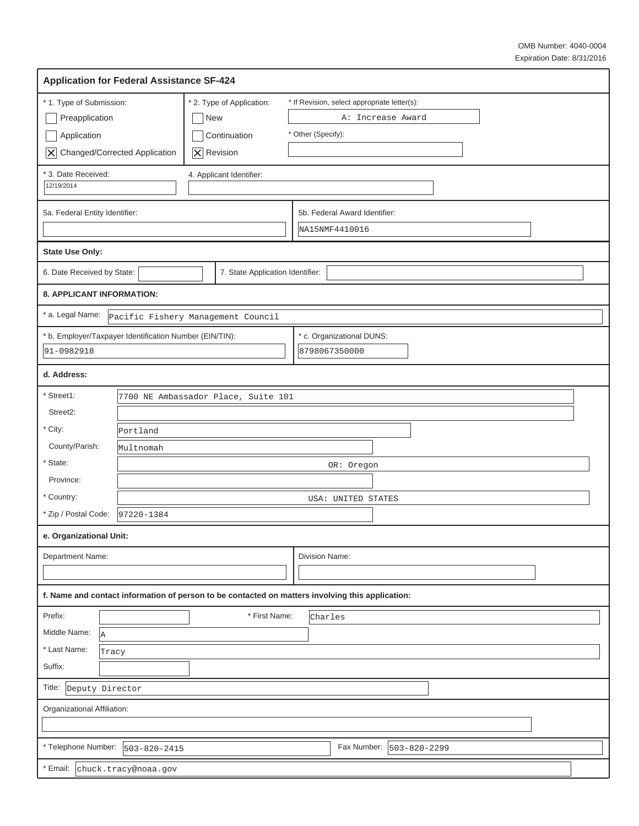| <b>Application for Federal Assistance SF-424</b>        |                      |                                     |  |                                                                                                  |  |  |  |  |  |  |  |  |
|---------------------------------------------------------|----------------------|-------------------------------------|--|--------------------------------------------------------------------------------------------------|--|--|--|--|--|--|--|--|
| * 1. Type of Submission:                                |                      | * 2. Type of Application:           |  | * If Revision, select appropriate letter(s):                                                     |  |  |  |  |  |  |  |  |
| Preapplication                                          |                      | New                                 |  | A: Increase Award                                                                                |  |  |  |  |  |  |  |  |
| Application                                             |                      | Continuation                        |  | * Other (Specify):                                                                               |  |  |  |  |  |  |  |  |
| X Changed/Corrected Application                         |                      | $ \mathsf{X} $ Revision             |  |                                                                                                  |  |  |  |  |  |  |  |  |
| * 3. Date Received:                                     |                      | 4. Applicant Identifier:            |  |                                                                                                  |  |  |  |  |  |  |  |  |
| 12/19/2014                                              |                      |                                     |  |                                                                                                  |  |  |  |  |  |  |  |  |
| 5a. Federal Entity Identifier:                          |                      |                                     |  | 5b. Federal Award Identifier:                                                                    |  |  |  |  |  |  |  |  |
|                                                         |                      |                                     |  | NA15NMF4410016                                                                                   |  |  |  |  |  |  |  |  |
| <b>State Use Only:</b>                                  |                      |                                     |  |                                                                                                  |  |  |  |  |  |  |  |  |
| 6. Date Received by State:                              |                      | 7. State Application Identifier:    |  |                                                                                                  |  |  |  |  |  |  |  |  |
| 8. APPLICANT INFORMATION:                               |                      |                                     |  |                                                                                                  |  |  |  |  |  |  |  |  |
| * a. Legal Name:                                        |                      | Pacific Fishery Management Council  |  |                                                                                                  |  |  |  |  |  |  |  |  |
| * b. Employer/Taxpayer Identification Number (EIN/TIN): |                      |                                     |  | * c. Organizational DUNS:                                                                        |  |  |  |  |  |  |  |  |
| 91-0982918                                              |                      |                                     |  | 8798067350000                                                                                    |  |  |  |  |  |  |  |  |
| d. Address:                                             |                      |                                     |  |                                                                                                  |  |  |  |  |  |  |  |  |
| * Street1:                                              |                      | 7700 NE Ambassador Place, Suite 101 |  |                                                                                                  |  |  |  |  |  |  |  |  |
| Street2:                                                |                      |                                     |  |                                                                                                  |  |  |  |  |  |  |  |  |
| * City:                                                 | Portland             |                                     |  |                                                                                                  |  |  |  |  |  |  |  |  |
| County/Parish:                                          | Multnomah            |                                     |  |                                                                                                  |  |  |  |  |  |  |  |  |
| * State:                                                |                      |                                     |  | OR: Oregon                                                                                       |  |  |  |  |  |  |  |  |
| Province:                                               |                      |                                     |  |                                                                                                  |  |  |  |  |  |  |  |  |
| * Country:                                              |                      |                                     |  | USA: UNITED STATES                                                                               |  |  |  |  |  |  |  |  |
| * Zip / Postal Code:                                    | 97220-1384           |                                     |  |                                                                                                  |  |  |  |  |  |  |  |  |
| e. Organizational Unit:                                 |                      |                                     |  |                                                                                                  |  |  |  |  |  |  |  |  |
| <b>Department Name:</b>                                 |                      |                                     |  | Division Name:                                                                                   |  |  |  |  |  |  |  |  |
|                                                         |                      |                                     |  |                                                                                                  |  |  |  |  |  |  |  |  |
|                                                         |                      |                                     |  | f. Name and contact information of person to be contacted on matters involving this application: |  |  |  |  |  |  |  |  |
| Prefix:                                                 |                      | * First Name:                       |  | Charles                                                                                          |  |  |  |  |  |  |  |  |
| Middle Name:<br>la                                      |                      |                                     |  |                                                                                                  |  |  |  |  |  |  |  |  |
| * Last Name:<br>Tracy                                   |                      |                                     |  |                                                                                                  |  |  |  |  |  |  |  |  |
| Suffix:                                                 |                      |                                     |  |                                                                                                  |  |  |  |  |  |  |  |  |
| Title:<br>Deputy Director                               |                      |                                     |  |                                                                                                  |  |  |  |  |  |  |  |  |
| Organizational Affiliation:                             |                      |                                     |  |                                                                                                  |  |  |  |  |  |  |  |  |
|                                                         |                      |                                     |  |                                                                                                  |  |  |  |  |  |  |  |  |
| * Telephone Number: $ 503-820-2415$                     |                      |                                     |  | Fax Number:   503-820-2299                                                                       |  |  |  |  |  |  |  |  |
| * Email:                                                | chuck.tracy@noaa.gov |                                     |  |                                                                                                  |  |  |  |  |  |  |  |  |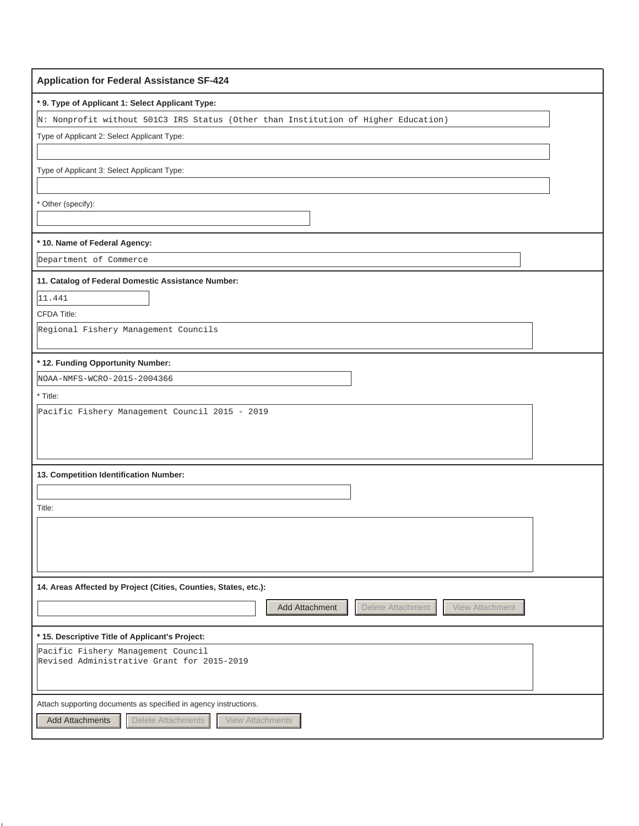| <b>Application for Federal Assistance SF-424</b>                                   |
|------------------------------------------------------------------------------------|
| * 9. Type of Applicant 1: Select Applicant Type:                                   |
| N: Nonprofit without 501C3 IRS Status (Other than Institution of Higher Education) |
| Type of Applicant 2: Select Applicant Type:                                        |
|                                                                                    |
| Type of Applicant 3: Select Applicant Type:                                        |
|                                                                                    |
| * Other (specify):                                                                 |
|                                                                                    |
| * 10. Name of Federal Agency:                                                      |
| Department of Commerce                                                             |
| 11. Catalog of Federal Domestic Assistance Number:                                 |
| 11.441                                                                             |
| <b>CFDA Title:</b>                                                                 |
| Regional Fishery Management Councils                                               |
|                                                                                    |
| * 12. Funding Opportunity Number:                                                  |
| NOAA-NMFS-WCRO-2015-2004366                                                        |
| * Title:                                                                           |
| Pacific Fishery Management Council 2015 - 2019                                     |
|                                                                                    |
|                                                                                    |
| 13. Competition Identification Number:                                             |
|                                                                                    |
| Title:                                                                             |
|                                                                                    |
|                                                                                    |
|                                                                                    |
| 14. Areas Affected by Project (Cities, Counties, States, etc.):                    |
|                                                                                    |
| Delete Attachment<br>View Attachment<br>Add Attachment                             |
| * 15. Descriptive Title of Applicant's Project:                                    |
| Pacific Fishery Management Council<br>Revised Administrative Grant for 2015-2019   |
|                                                                                    |
|                                                                                    |
| Attach supporting documents as specified in agency instructions.                   |
| <b>Add Attachments</b><br>Delete Attachments<br><b>View Attachments</b>            |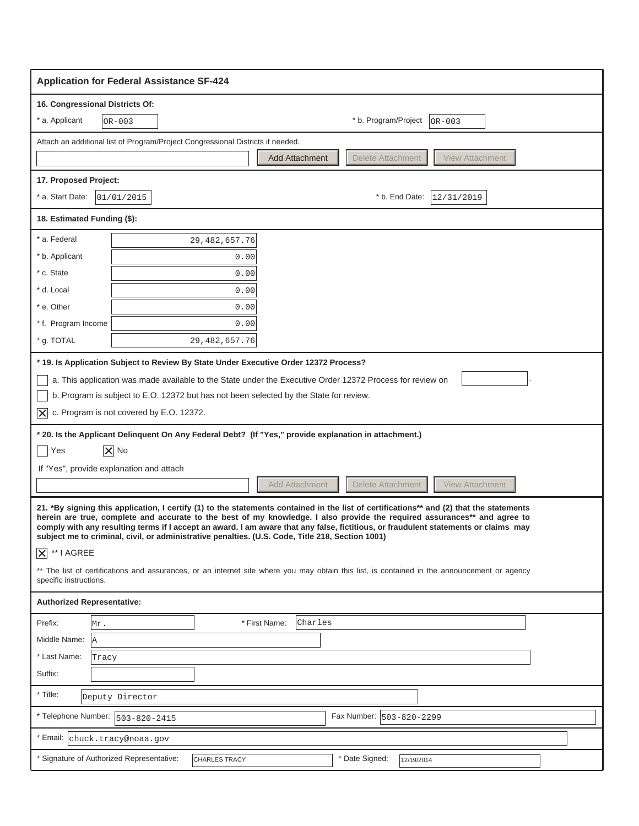|                                                                                                                                                                                                                                                                                                                                                                                                                                                                                                                                                                                                                                                                                                                                                                                                                                                                                                                                                                                                                                                                                                                                                             | <b>Application for Federal Assistance SF-424</b>                                |                  |                       |         |                   |  |                                  |  |  |
|-------------------------------------------------------------------------------------------------------------------------------------------------------------------------------------------------------------------------------------------------------------------------------------------------------------------------------------------------------------------------------------------------------------------------------------------------------------------------------------------------------------------------------------------------------------------------------------------------------------------------------------------------------------------------------------------------------------------------------------------------------------------------------------------------------------------------------------------------------------------------------------------------------------------------------------------------------------------------------------------------------------------------------------------------------------------------------------------------------------------------------------------------------------|---------------------------------------------------------------------------------|------------------|-----------------------|---------|-------------------|--|----------------------------------|--|--|
|                                                                                                                                                                                                                                                                                                                                                                                                                                                                                                                                                                                                                                                                                                                                                                                                                                                                                                                                                                                                                                                                                                                                                             | 16. Congressional Districts Of:                                                 |                  |                       |         |                   |  |                                  |  |  |
| * a. Applicant                                                                                                                                                                                                                                                                                                                                                                                                                                                                                                                                                                                                                                                                                                                                                                                                                                                                                                                                                                                                                                                                                                                                              | OR-003                                                                          |                  |                       |         |                   |  | * b. Program/Project<br>$OR-003$ |  |  |
|                                                                                                                                                                                                                                                                                                                                                                                                                                                                                                                                                                                                                                                                                                                                                                                                                                                                                                                                                                                                                                                                                                                                                             | Attach an additional list of Program/Project Congressional Districts if needed. |                  |                       |         |                   |  |                                  |  |  |
|                                                                                                                                                                                                                                                                                                                                                                                                                                                                                                                                                                                                                                                                                                                                                                                                                                                                                                                                                                                                                                                                                                                                                             |                                                                                 |                  | <b>Add Attachment</b> |         | Delete Attachment |  | <b>View Attachment</b>           |  |  |
| 17. Proposed Project:                                                                                                                                                                                                                                                                                                                                                                                                                                                                                                                                                                                                                                                                                                                                                                                                                                                                                                                                                                                                                                                                                                                                       |                                                                                 |                  |                       |         |                   |  |                                  |  |  |
| * a. Start Date:                                                                                                                                                                                                                                                                                                                                                                                                                                                                                                                                                                                                                                                                                                                                                                                                                                                                                                                                                                                                                                                                                                                                            | 01/01/2015                                                                      |                  |                       |         |                   |  | * b. End Date:<br>12/31/2019     |  |  |
| 18. Estimated Funding (\$):                                                                                                                                                                                                                                                                                                                                                                                                                                                                                                                                                                                                                                                                                                                                                                                                                                                                                                                                                                                                                                                                                                                                 |                                                                                 |                  |                       |         |                   |  |                                  |  |  |
| * a. Federal                                                                                                                                                                                                                                                                                                                                                                                                                                                                                                                                                                                                                                                                                                                                                                                                                                                                                                                                                                                                                                                                                                                                                |                                                                                 | 29, 482, 657.76  |                       |         |                   |  |                                  |  |  |
| * b. Applicant                                                                                                                                                                                                                                                                                                                                                                                                                                                                                                                                                                                                                                                                                                                                                                                                                                                                                                                                                                                                                                                                                                                                              |                                                                                 | 0.00             |                       |         |                   |  |                                  |  |  |
| * c. State                                                                                                                                                                                                                                                                                                                                                                                                                                                                                                                                                                                                                                                                                                                                                                                                                                                                                                                                                                                                                                                                                                                                                  |                                                                                 | 0.00             |                       |         |                   |  |                                  |  |  |
| * d. Local                                                                                                                                                                                                                                                                                                                                                                                                                                                                                                                                                                                                                                                                                                                                                                                                                                                                                                                                                                                                                                                                                                                                                  |                                                                                 | 0.00             |                       |         |                   |  |                                  |  |  |
| * e. Other                                                                                                                                                                                                                                                                                                                                                                                                                                                                                                                                                                                                                                                                                                                                                                                                                                                                                                                                                                                                                                                                                                                                                  |                                                                                 | 0.00             |                       |         |                   |  |                                  |  |  |
| * f. Program Income                                                                                                                                                                                                                                                                                                                                                                                                                                                                                                                                                                                                                                                                                                                                                                                                                                                                                                                                                                                                                                                                                                                                         |                                                                                 | 0.00             |                       |         |                   |  |                                  |  |  |
| * g. TOTAL                                                                                                                                                                                                                                                                                                                                                                                                                                                                                                                                                                                                                                                                                                                                                                                                                                                                                                                                                                                                                                                                                                                                                  |                                                                                 | 29, 482, 657. 76 |                       |         |                   |  |                                  |  |  |
| b. Program is subject to E.O. 12372 but has not been selected by the State for review.<br>c. Program is not covered by E.O. 12372.<br>$ \boldsymbol{\times} $<br>* 20. Is the Applicant Delinquent On Any Federal Debt? (If "Yes," provide explanation in attachment.)<br>$ \overline{\mathsf{x}} $ No<br>Yes<br>If "Yes", provide explanation and attach<br>Delete Attachment<br><b>View Attachment</b><br><b>Add Attachment</b><br>21. *By signing this application, I certify (1) to the statements contained in the list of certifications** and (2) that the statements<br>herein are true, complete and accurate to the best of my knowledge. I also provide the required assurances** and agree to<br>comply with any resulting terms if I accept an award. I am aware that any false, fictitious, or fraudulent statements or claims may<br>subject me to criminal, civil, or administrative penalties. (U.S. Code, Title 218, Section 1001)<br>$\overline{X}$ ** I AGREE<br>** The list of certifications and assurances, or an internet site where you may obtain this list, is contained in the announcement or agency<br>specific instructions. |                                                                                 |                  |                       |         |                   |  |                                  |  |  |
| <b>Authorized Representative:</b>                                                                                                                                                                                                                                                                                                                                                                                                                                                                                                                                                                                                                                                                                                                                                                                                                                                                                                                                                                                                                                                                                                                           |                                                                                 |                  |                       |         |                   |  |                                  |  |  |
| Prefix:                                                                                                                                                                                                                                                                                                                                                                                                                                                                                                                                                                                                                                                                                                                                                                                                                                                                                                                                                                                                                                                                                                                                                     | Mr.                                                                             |                  | * First Name:         | Charles |                   |  |                                  |  |  |
| Middle Name:                                                                                                                                                                                                                                                                                                                                                                                                                                                                                                                                                                                                                                                                                                                                                                                                                                                                                                                                                                                                                                                                                                                                                | lA.                                                                             |                  |                       |         |                   |  |                                  |  |  |
| * Last Name:                                                                                                                                                                                                                                                                                                                                                                                                                                                                                                                                                                                                                                                                                                                                                                                                                                                                                                                                                                                                                                                                                                                                                | Tracy                                                                           |                  |                       |         |                   |  |                                  |  |  |
| Suffix:                                                                                                                                                                                                                                                                                                                                                                                                                                                                                                                                                                                                                                                                                                                                                                                                                                                                                                                                                                                                                                                                                                                                                     |                                                                                 |                  |                       |         |                   |  |                                  |  |  |
| * Title:                                                                                                                                                                                                                                                                                                                                                                                                                                                                                                                                                                                                                                                                                                                                                                                                                                                                                                                                                                                                                                                                                                                                                    | Deputy Director                                                                 |                  |                       |         |                   |  |                                  |  |  |
| * Telephone Number:                                                                                                                                                                                                                                                                                                                                                                                                                                                                                                                                                                                                                                                                                                                                                                                                                                                                                                                                                                                                                                                                                                                                         | $503 - 820 - 2415$                                                              |                  |                       |         |                   |  | Fax Number:  503-820-2299        |  |  |
|                                                                                                                                                                                                                                                                                                                                                                                                                                                                                                                                                                                                                                                                                                                                                                                                                                                                                                                                                                                                                                                                                                                                                             | Email: chuck.tracy@noaa.gov                                                     |                  |                       |         |                   |  |                                  |  |  |
|                                                                                                                                                                                                                                                                                                                                                                                                                                                                                                                                                                                                                                                                                                                                                                                                                                                                                                                                                                                                                                                                                                                                                             | Signature of Authorized Representative:                                         | CHARLES TRACY    |                       |         | * Date Signed:    |  | 12/19/2014                       |  |  |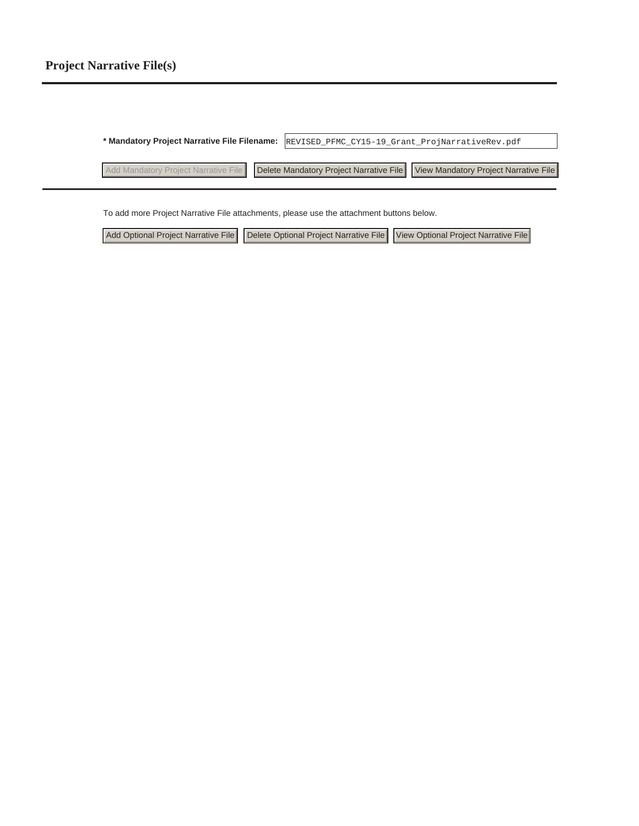**\* Mandatory Project Narrative File Filename:** REVISED\_PFMC\_CY15-19\_Grant\_ProjNarrativeRev.pdf Add Mandatory Project Narrative File Delete Mandatory Project Narrative File View Mandatory Project Narrative File

To add more Project Narrative File attachments, please use the attachment buttons below.

|  | Add Optional Project Narrative File   Delete Optional Project Narrative File   View Optional Project Narrative File |  |
|--|---------------------------------------------------------------------------------------------------------------------|--|
|--|---------------------------------------------------------------------------------------------------------------------|--|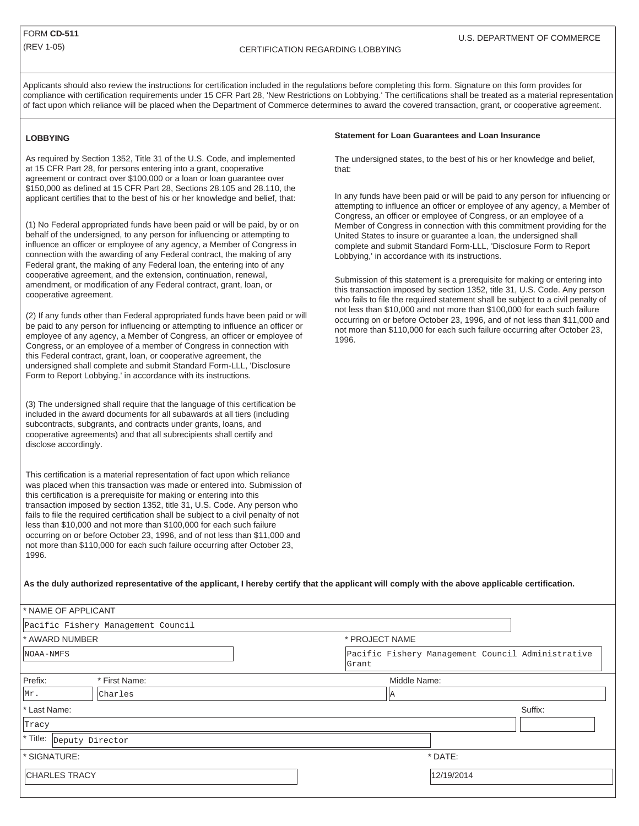Applicants should also review the instructions for certification included in the regulations before completing this form. Signature on this form provides for compliance with certification requirements under 15 CFR Part 28, 'New Restrictions on Lobbying.' The certifications shall be treated as a material representation of fact upon which reliance will be placed when the Department of Commerce determines to award the covered transaction, grant, or cooperative agreement.

#### **LOBBYING**

As required by Section 1352, Title 31 of the U.S. Code, and implemented at 15 CFR Part 28, for persons entering into a grant, cooperative agreement or contract over \$100,000 or a loan or loan guarantee over \$150,000 as defined at 15 CFR Part 28, Sections 28.105 and 28.110, the applicant certifies that to the best of his or her knowledge and belief, that:

(1) No Federal appropriated funds have been paid or will be paid, by or on behalf of the undersigned, to any person for influencing or attempting to influence an officer or employee of any agency, a Member of Congress in connection with the awarding of any Federal contract, the making of any Federal grant, the making of any Federal loan, the entering into of any cooperative agreement, and the extension, continuation, renewal, amendment, or modification of any Federal contract, grant, loan, or cooperative agreement.

(2) If any funds other than Federal appropriated funds have been paid or will be paid to any person for influencing or attempting to influence an officer or employee of any agency, a Member of Congress, an officer or employee of Congress, or an employee of a member of Congress in connection with this Federal contract, grant, loan, or cooperative agreement, the undersigned shall complete and submit Standard Form-LLL, 'Disclosure Form to Report Lobbying.' in accordance with its instructions.

(3) The undersigned shall require that the language of this certification be included in the award documents for all subawards at all tiers (including subcontracts, subgrants, and contracts under grants, loans, and cooperative agreements) and that all subrecipients shall certify and disclose accordingly.

This certification is a material representation of fact upon which reliance was placed when this transaction was made or entered into. Submission of this certification is a prerequisite for making or entering into this transaction imposed by section 1352, title 31, U.S. Code. Any person who fails to file the required certification shall be subject to a civil penalty of not less than \$10,000 and not more than \$100,000 for each such failure occurring on or before October 23, 1996, and of not less than \$11,000 and not more than \$110,000 for each such failure occurring after October 23, 1996.

#### **Statement for Loan Guarantees and Loan Insurance**

The undersigned states, to the best of his or her knowledge and belief, that:

In any funds have been paid or will be paid to any person for influencing or attempting to influence an officer or employee of any agency, a Member of Congress, an officer or employee of Congress, or an employee of a Member of Congress in connection with this commitment providing for the United States to insure or guarantee a loan, the undersigned shall complete and submit Standard Form-LLL, 'Disclosure Form to Report Lobbying,' in accordance with its instructions.

Submission of this statement is a prerequisite for making or entering into this transaction imposed by section 1352, title 31, U.S. Code. Any person who fails to file the required statement shall be subject to a civil penalty of not less than \$10,000 and not more than \$100,000 for each such failure occurring on or before October 23, 1996, and of not less than \$11,000 and not more than \$110,000 for each such failure occurring after October 23, 1996.

#### **As the duly authorized representative of the applicant, I hereby certify that the applicant will comply with the above applicable certification.**

| <sup>*</sup> NAME OF APPLICANT      |                                    |                                                            |            |         |  |  |  |  |
|-------------------------------------|------------------------------------|------------------------------------------------------------|------------|---------|--|--|--|--|
|                                     | Pacific Fishery Management Council |                                                            |            |         |  |  |  |  |
| * AWARD NUMBER                      |                                    | * PROJECT NAME                                             |            |         |  |  |  |  |
| NOAA-NMFS                           |                                    | Pacific Fishery Management Council Administrative<br>Grant |            |         |  |  |  |  |
| Prefix:                             | * First Name:                      | Middle Name:                                               |            |         |  |  |  |  |
| Mr.                                 | Charles                            | IΙA                                                        |            |         |  |  |  |  |
| * Last Name:                        |                                    |                                                            |            | Suffix: |  |  |  |  |
| Tracy                               |                                    |                                                            |            |         |  |  |  |  |
| <sup>*</sup> Title: Deputy Director |                                    |                                                            |            |         |  |  |  |  |
| * SIGNATURE:                        |                                    |                                                            | * DATE:    |         |  |  |  |  |
| <b>CHARLES TRACY</b>                |                                    |                                                            | 12/19/2014 |         |  |  |  |  |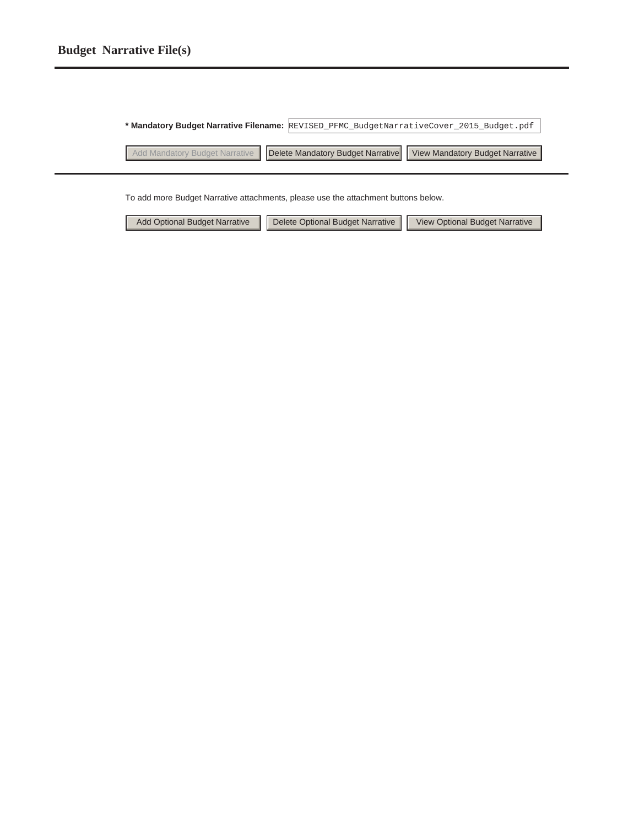### **Budget Narrative File(s)**

**\* Mandatory Budget Narrative Filename:** REVISED\_PFMC\_BudgetNarrativeCover\_2015\_Budget.pdf Add Mandatory Budget Narrative | Delete Mandatory Budget Narrative | View Mandatory Budget Narrative

To add more Budget Narrative attachments, please use the attachment buttons below.

|  |  | Add Optional Budget Narrative   Delete Optional Budget Narrative   View Optional Budget Narrative |  |  |
|--|--|---------------------------------------------------------------------------------------------------|--|--|
|--|--|---------------------------------------------------------------------------------------------------|--|--|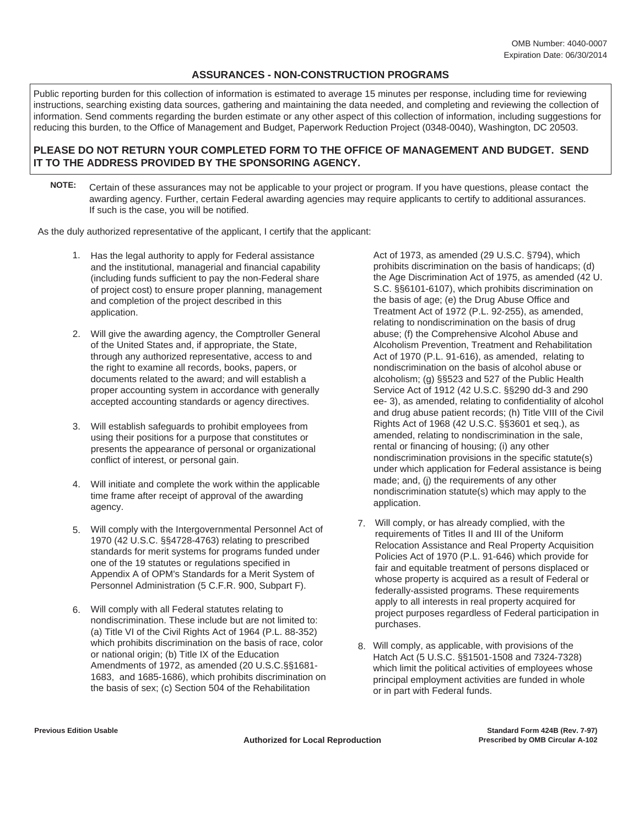#### **ASSURANCES - NON-CONSTRUCTION PROGRAMS**

Public reporting burden for this collection of information is estimated to average 15 minutes per response, including time for reviewing instructions, searching existing data sources, gathering and maintaining the data needed, and completing and reviewing the collection of information. Send comments regarding the burden estimate or any other aspect of this collection of information, including suggestions for reducing this burden, to the Office of Management and Budget, Paperwork Reduction Project (0348-0040), Washington, DC 20503.

#### **PLEASE DO NOT RETURN YOUR COMPLETED FORM TO THE OFFICE OF MANAGEMENT AND BUDGET. SEND IT TO THE ADDRESS PROVIDED BY THE SPONSORING AGENCY.**

**NOTE:** Certain of these assurances may not be applicable to your project or program. If you have questions, please contact the awarding agency. Further, certain Federal awarding agencies may require applicants to certify to additional assurances. If such is the case, you will be notified.

As the duly authorized representative of the applicant, I certify that the applicant:

- 1. Has the legal authority to apply for Federal assistance and the institutional, managerial and financial capability (including funds sufficient to pay the non-Federal share of project cost) to ensure proper planning, management and completion of the project described in this application.
- 2. Will give the awarding agency, the Comptroller General of the United States and, if appropriate, the State, through any authorized representative, access to and the right to examine all records, books, papers, or documents related to the award; and will establish a proper accounting system in accordance with generally accepted accounting standards or agency directives.
- 3. Will establish safeguards to prohibit employees from using their positions for a purpose that constitutes or presents the appearance of personal or organizational conflict of interest, or personal gain.
- 4. Will initiate and complete the work within the applicable time frame after receipt of approval of the awarding agency.
- 5. Will comply with the Intergovernmental Personnel Act of 1970 (42 U.S.C. §§4728-4763) relating to prescribed standards for merit systems for programs funded under one of the 19 statutes or regulations specified in Appendix A of OPM's Standards for a Merit System of Personnel Administration (5 C.F.R. 900, Subpart F).
- 6. Will comply with all Federal statutes relating to nondiscrimination. These include but are not limited to: (a) Title VI of the Civil Rights Act of 1964 (P.L. 88-352) which prohibits discrimination on the basis of race, color or national origin; (b) Title IX of the Education Amendments of 1972, as amended (20 U.S.C.§§1681- 1683, and 1685-1686), which prohibits discrimination on the basis of sex; (c) Section 504 of the Rehabilitation

Act of 1973, as amended (29 U.S.C. §794), which prohibits discrimination on the basis of handicaps; (d) the Age Discrimination Act of 1975, as amended (42 U. S.C. §§6101-6107), which prohibits discrimination on the basis of age; (e) the Drug Abuse Office and Treatment Act of 1972 (P.L. 92-255), as amended, relating to nondiscrimination on the basis of drug abuse; (f) the Comprehensive Alcohol Abuse and Alcoholism Prevention, Treatment and Rehabilitation Act of 1970 (P.L. 91-616), as amended, relating to nondiscrimination on the basis of alcohol abuse or alcoholism; (g) §§523 and 527 of the Public Health Service Act of 1912 (42 U.S.C. §§290 dd-3 and 290 ee- 3), as amended, relating to confidentiality of alcohol and drug abuse patient records; (h) Title VIII of the Civil Rights Act of 1968 (42 U.S.C. §§3601 et seq.), as amended, relating to nondiscrimination in the sale, rental or financing of housing; (i) any other nondiscrimination provisions in the specific statute(s) under which application for Federal assistance is being made; and, (j) the requirements of any other nondiscrimination statute(s) which may apply to the application.

- 7. Will comply, or has already complied, with the requirements of Titles II and III of the Uniform Relocation Assistance and Real Property Acquisition Policies Act of 1970 (P.L. 91-646) which provide for fair and equitable treatment of persons displaced or whose property is acquired as a result of Federal or federally-assisted programs. These requirements apply to all interests in real property acquired for project purposes regardless of Federal participation in purchases.
- 8. Will comply, as applicable, with provisions of the Hatch Act (5 U.S.C. §§1501-1508 and 7324-7328) which limit the political activities of employees whose principal employment activities are funded in whole or in part with Federal funds.

**Authorized for Local Reproduction** 

**Previous Edition Usable Standard Form 424B (Rev. 7-97)**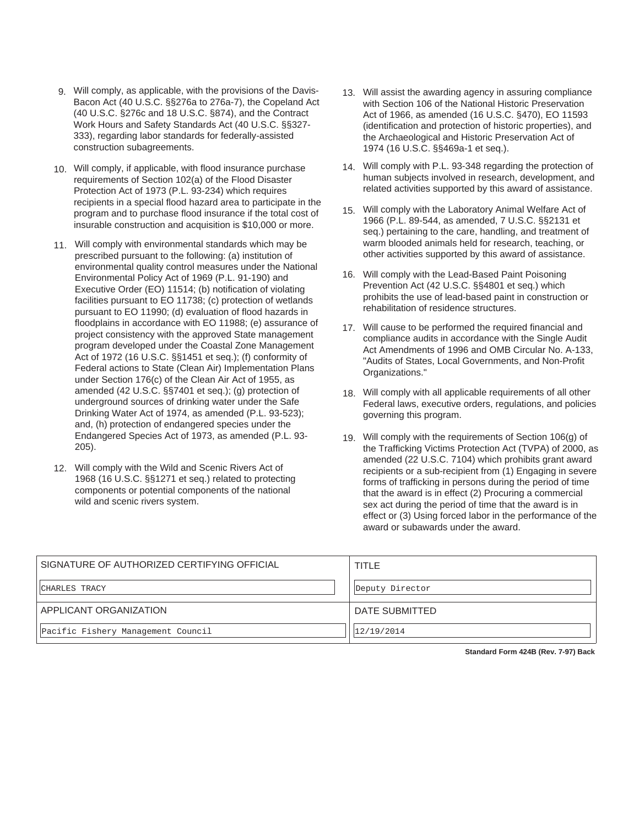- 9. Will comply, as applicable, with the provisions of the Davis-Bacon Act (40 U.S.C. §§276a to 276a-7), the Copeland Act (40 U.S.C. §276c and 18 U.S.C. §874), and the Contract Work Hours and Safety Standards Act (40 U.S.C. §§327- 333), regarding labor standards for federally-assisted construction subagreements.
- 10. Will comply, if applicable, with flood insurance purchase requirements of Section 102(a) of the Flood Disaster Protection Act of 1973 (P.L. 93-234) which requires recipients in a special flood hazard area to participate in the program and to purchase flood insurance if the total cost of insurable construction and acquisition is \$10,000 or more.
- 11. Will comply with environmental standards which may be prescribed pursuant to the following: (a) institution of environmental quality control measures under the National Environmental Policy Act of 1969 (P.L. 91-190) and Executive Order (EO) 11514; (b) notification of violating facilities pursuant to EO 11738; (c) protection of wetlands pursuant to EO 11990; (d) evaluation of flood hazards in floodplains in accordance with EO 11988; (e) assurance of project consistency with the approved State management program developed under the Coastal Zone Management Act of 1972 (16 U.S.C. §§1451 et seq.); (f) conformity of Federal actions to State (Clean Air) Implementation Plans under Section 176(c) of the Clean Air Act of 1955, as amended (42 U.S.C. §§7401 et seq.); (g) protection of underground sources of drinking water under the Safe Drinking Water Act of 1974, as amended (P.L. 93-523); and, (h) protection of endangered species under the Endangered Species Act of 1973, as amended (P.L. 93- 205).
- 12. Will comply with the Wild and Scenic Rivers Act of 1968 (16 U.S.C. §§1271 et seq.) related to protecting components or potential components of the national wild and scenic rivers system.
- 13. Will assist the awarding agency in assuring compliance with Section 106 of the National Historic Preservation Act of 1966, as amended (16 U.S.C. §470), EO 11593 (identification and protection of historic properties), and the Archaeological and Historic Preservation Act of 1974 (16 U.S.C. §§469a-1 et seq.).
- 14. Will comply with P.L. 93-348 regarding the protection of human subjects involved in research, development, and related activities supported by this award of assistance.
- 15. Will comply with the Laboratory Animal Welfare Act of 1966 (P.L. 89-544, as amended, 7 U.S.C. §§2131 et seq.) pertaining to the care, handling, and treatment of warm blooded animals held for research, teaching, or other activities supported by this award of assistance.
- 16. Will comply with the Lead-Based Paint Poisoning Prevention Act (42 U.S.C. §§4801 et seq.) which prohibits the use of lead-based paint in construction or rehabilitation of residence structures.
- 17. Will cause to be performed the required financial and compliance audits in accordance with the Single Audit Act Amendments of 1996 and OMB Circular No. A-133, "Audits of States, Local Governments, and Non-Profit Organizations."
- 18. Will comply with all applicable requirements of all other Federal laws, executive orders, regulations, and policies governing this program.
- Will comply with the requirements of Section 106(g) of 19. the Trafficking Victims Protection Act (TVPA) of 2000, as amended (22 U.S.C. 7104) which prohibits grant award recipients or a sub-recipient from (1) Engaging in severe forms of trafficking in persons during the period of time that the award is in effect (2) Procuring a commercial sex act during the period of time that the award is in effect or (3) Using forced labor in the performance of the award or subawards under the award.

| SIGNATURE OF AUTHORIZED CERTIFYING OFFICIAL | TITLE           |
|---------------------------------------------|-----------------|
| CHARLES TRACY                               | Deputy Director |
| APPLICANT ORGANIZATION                      | DATE SUBMITTED  |
| Pacific Fishery Management Council          | 12/19/2014      |

**Standard Form 424B (Rev. 7-97) Back**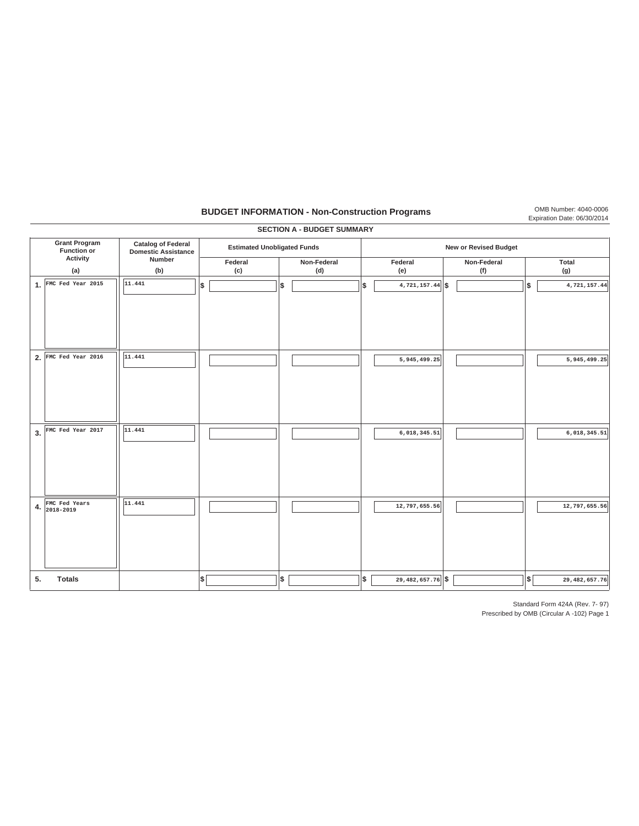### **BUDGET INFORMATION - Non-Construction Programs** OMB Number: 4040-0006

|                                                                      |                              |                                                         |                                    |    | <b>SECTION A - BUDGET SUMMARY</b> |    |                              |                    |  |    |  |                  |  |  |  |
|----------------------------------------------------------------------|------------------------------|---------------------------------------------------------|------------------------------------|----|-----------------------------------|----|------------------------------|--------------------|--|----|--|------------------|--|--|--|
| <b>Grant Program</b><br><b>Function or</b><br><b>Activity</b><br>(a) |                              | <b>Catalog of Federal</b><br><b>Domestic Assistance</b> | <b>Estimated Unobligated Funds</b> |    |                                   |    | <b>New or Revised Budget</b> |                    |  |    |  |                  |  |  |  |
|                                                                      |                              | Number<br>(b)                                           | Federal<br>(c)                     |    | Non-Federal<br>(d)                |    | Federal<br>(e)               | Non-Federal<br>(f) |  |    |  | Total<br>(g)     |  |  |  |
|                                                                      | 1. FMC Fed Year 2015         | 11.441                                                  | \$                                 | \$ |                                   | \$ | $4,721,157.44$ \$            |                    |  | \$ |  | 4,721,157.44     |  |  |  |
| 2.                                                                   | FMC Fed Year 2016            | 11.441                                                  |                                    |    |                                   |    | 5,945,499.25                 |                    |  |    |  | 5,945,499.25     |  |  |  |
| 3.                                                                   | FMC Fed Year 2017            | 11.441                                                  |                                    |    |                                   |    | 6,018,345.51                 |                    |  |    |  | 6,018,345.51     |  |  |  |
| 4.                                                                   | FMC Fed Years<br>$2018-2019$ | 11.441                                                  |                                    |    |                                   |    | 12,797,655.56                |                    |  |    |  | 12,797,655.56    |  |  |  |
| 5.                                                                   | <b>Totals</b>                |                                                         | \$                                 | \$ |                                   | \$ | $29,482,657.76$ \$           |                    |  | \$ |  | 29, 482, 657. 76 |  |  |  |

Standard Form 424A (Rev. 7- 97)

Expiration Date: 06/30/2014

Prescribed by OMB (Circular A -102) Page 1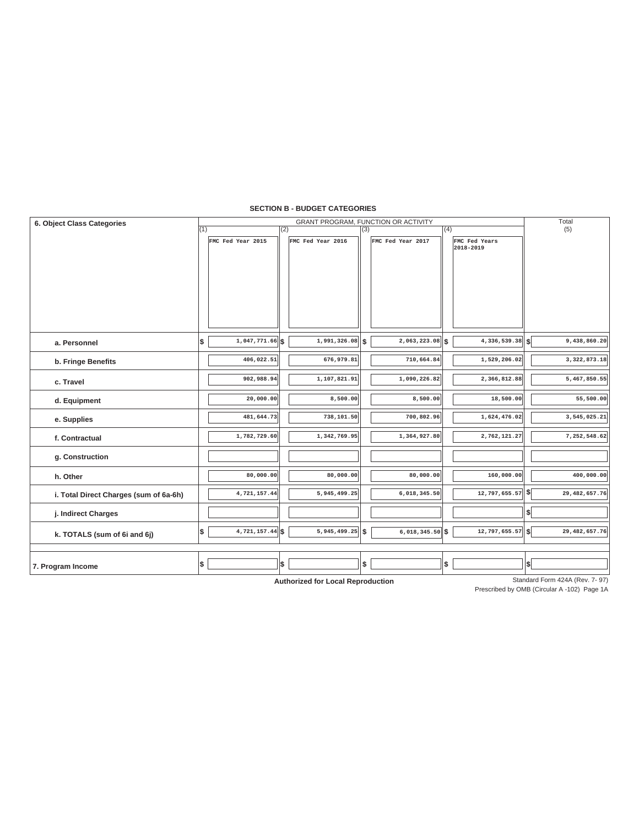#### **SECTION B - BUDGET CATEGORIES**

| 6. Object Class Categories             | GRANT PROGRAM, FUNCTION OR ACTIVITY |                   |     |                   |     |                   |     |                     |          | Total         |
|----------------------------------------|-------------------------------------|-------------------|-----|-------------------|-----|-------------------|-----|---------------------|----------|---------------|
|                                        | (1)                                 |                   | (2) |                   | (3) |                   | (4) |                     |          | (5)           |
|                                        |                                     | FMC Fed Year 2015 |     | FMC Fed Year 2016 |     | FMC Fed Year 2017 |     | FMC Fed Years       |          |               |
|                                        |                                     |                   |     |                   |     |                   |     | 2018-2019           |          |               |
|                                        |                                     |                   |     |                   |     |                   |     |                     |          |               |
|                                        |                                     |                   |     |                   |     |                   |     |                     |          |               |
|                                        |                                     |                   |     |                   |     |                   |     |                     |          |               |
|                                        |                                     |                   |     |                   |     |                   |     |                     |          |               |
|                                        |                                     |                   |     |                   |     |                   |     |                     |          |               |
|                                        |                                     |                   |     |                   |     |                   |     |                     |          |               |
|                                        |                                     |                   |     |                   |     |                   |     |                     |          |               |
| a. Personnel                           | Ι\$                                 | $1,047,771.66$ \$ |     | 1,991,326.08      | \$  | $2,063,223.08$ \$ |     | 4, 336, 539.38   \$ |          | 9,438,860.20  |
| b. Fringe Benefits                     |                                     | 406,022.51        |     | 676,979.81        |     | 710,664.84        |     | 1,529,206.02        |          | 3,322,873.18  |
| c. Travel                              |                                     | 902,988.94        |     | 1,107,821.91      |     | 1,090,226.82      |     | 2,366,812.88        |          | 5,467,850.55  |
|                                        |                                     |                   |     |                   |     |                   |     |                     |          |               |
| d. Equipment                           |                                     | 20,000.00         |     | 8,500.00          |     | 8,500.00          |     | 18,500.00           |          | 55,500.00     |
| e. Supplies                            |                                     | 481,644.73        |     | 738,101.50        |     | 700,802.96        |     | 1,624,476.02        |          | 3,545,025.21  |
| f. Contractual                         |                                     | 1,782,729.60      |     | 1,342,769.95      |     | 1,364,927.80      |     | 2,762,121.27        |          | 7,252,548.62  |
| g. Construction                        |                                     |                   |     |                   |     |                   |     |                     |          |               |
|                                        |                                     |                   |     |                   |     |                   |     |                     |          |               |
| h. Other                               |                                     | 80,000.00         |     | 80,000.00         |     | 80,000.00         |     | 160,000.00          |          | 400,000.00    |
| i. Total Direct Charges (sum of 6a-6h) |                                     | 4,721,157.44      |     | 5,945,499.25      |     | 6,018,345.50      |     | $12,797,655.57$ \$  |          | 29,482,657.76 |
| j. Indirect Charges                    |                                     |                   |     |                   |     |                   |     |                     | \$       |               |
| k. TOTALS (sum of 6i and 6j)           | \$                                  | $4,721,157.44$ \$ |     | $5,945,499.25$ \$ |     | $6,018,345.50$ \$ |     | 12,797,655.57       | <b>S</b> | 29,482,657.76 |
|                                        |                                     |                   |     |                   |     |                   |     |                     |          |               |
| 7. Program Income                      | ∣\$                                 |                   | \$  |                   | \$  |                   | \$  |                     | \$       |               |

**Authorized for Local Reproduction**

Standard Form 424A (Rev. 7-97)

Prescribed by OMB (Circular A -102) Page 1A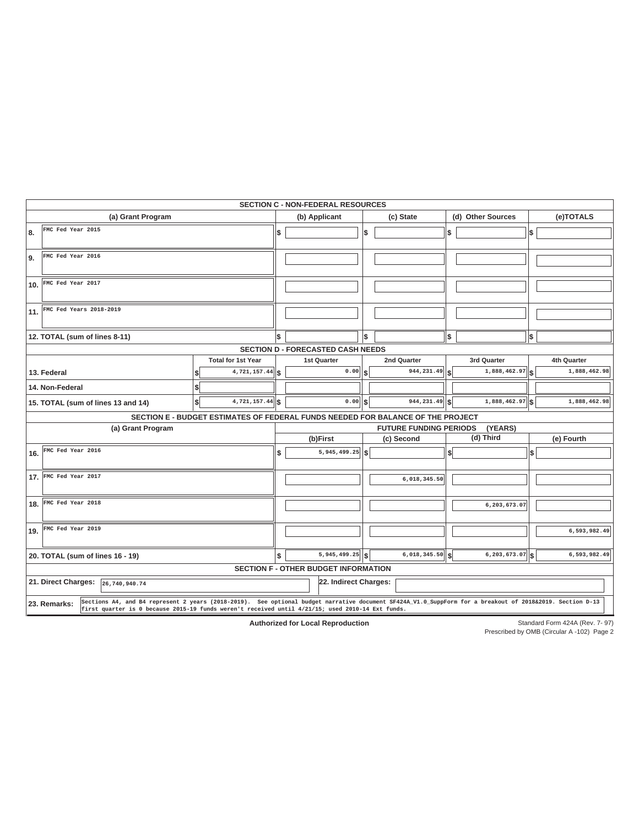|                                      |                                                                                 |     | <b>SECTION C - NON-FEDERAL RESOURCES</b>    |      |                     |     |                     |     |              |  |  |  |
|--------------------------------------|---------------------------------------------------------------------------------|-----|---------------------------------------------|------|---------------------|-----|---------------------|-----|--------------|--|--|--|
| (a) Grant Program                    |                                                                                 |     | (b) Applicant                               |      | (c) State           |     | (d) Other Sources   |     | (e)TOTALS    |  |  |  |
| FMC Fed Year 2015<br>8.              |                                                                                 | \$  |                                             | \$   |                     | \$  |                     | l\$ |              |  |  |  |
| FMC Fed Year 2016<br>9.              |                                                                                 |     |                                             |      |                     |     |                     |     |              |  |  |  |
| FMC Fed Year 2017<br>10.             |                                                                                 |     |                                             |      |                     |     |                     |     |              |  |  |  |
| FMC Fed Years 2018-2019<br>11.       |                                                                                 |     |                                             |      |                     |     |                     |     |              |  |  |  |
| 12. TOTAL (sum of lines 8-11)        |                                                                                 | \$  |                                             | \$   |                     | \$  |                     |     |              |  |  |  |
|                                      |                                                                                 |     | <b>SECTION D - FORECASTED CASH NEEDS</b>    |      |                     |     |                     |     |              |  |  |  |
|                                      | <b>Total for 1st Year</b>                                                       |     | 1st Quarter                                 |      | 2nd Quarter         |     | 3rd Quarter         |     | 4th Quarter  |  |  |  |
| 13. Federal                          | 4,721,157.44                                                                    | ∥\$ | 0.00                                        | \$   | 944,231.49          | \$  | 1,888,462.97        | l\$ | 1,888,462.98 |  |  |  |
| 14. Non-Federal                      |                                                                                 |     |                                             |      |                     |     |                     |     |              |  |  |  |
| 15. TOTAL (sum of lines 13 and 14)   | $\overline{4,721,157.44}$ \$<br>\$                                              |     | 0.00                                        | l \$ | 944,231.49          | l S | 1,888,462.97 \$     |     | 1,888,462.98 |  |  |  |
|                                      | SECTION E - BUDGET ESTIMATES OF FEDERAL FUNDS NEEDED FOR BALANCE OF THE PROJECT |     |                                             |      |                     |     |                     |     |              |  |  |  |
| (a) Grant Program                    |                                                                                 |     | (YEARS)<br><b>FUTURE FUNDING PERIODS</b>    |      |                     |     |                     |     |              |  |  |  |
|                                      |                                                                                 |     | (b)First                                    |      | (c) Second          |     | (d) Third           |     | (e) Fourth   |  |  |  |
| FMC Fed Year 2016                    |                                                                                 |     |                                             |      |                     |     |                     |     |              |  |  |  |
| 16.                                  |                                                                                 | \$  | 5,945,499.25                                | l \$ |                     | \$  |                     | \$  |              |  |  |  |
| 17. FMC Fed Year 2017                |                                                                                 |     |                                             |      | 6,018,345.50        |     |                     |     |              |  |  |  |
| FMC Fed Year 2018<br>18.             |                                                                                 |     |                                             |      |                     |     | 6,203,673.07        |     |              |  |  |  |
| FMC Fed Year 2019<br>19.             |                                                                                 |     |                                             |      |                     |     |                     |     | 6,593,982.49 |  |  |  |
| 20. TOTAL (sum of lines 16 - 19)     |                                                                                 | \$  | $5,945,499.25$ \$                           |      | $6,018,345.50$ $\,$ |     | $6, 203, 673.07$ \$ |     | 6,593,982.49 |  |  |  |
|                                      |                                                                                 |     | <b>SECTION F - OTHER BUDGET INFORMATION</b> |      |                     |     |                     |     |              |  |  |  |
| 21. Direct Charges:<br>26,740,940.74 |                                                                                 |     | 22. Indirect Charges:                       |      |                     |     |                     |     |              |  |  |  |

**Authorized for Local Reproduction**

Standard Form 424A (Rev. 7- 97)

Prescribed by OMB (Circular A -102) Page 2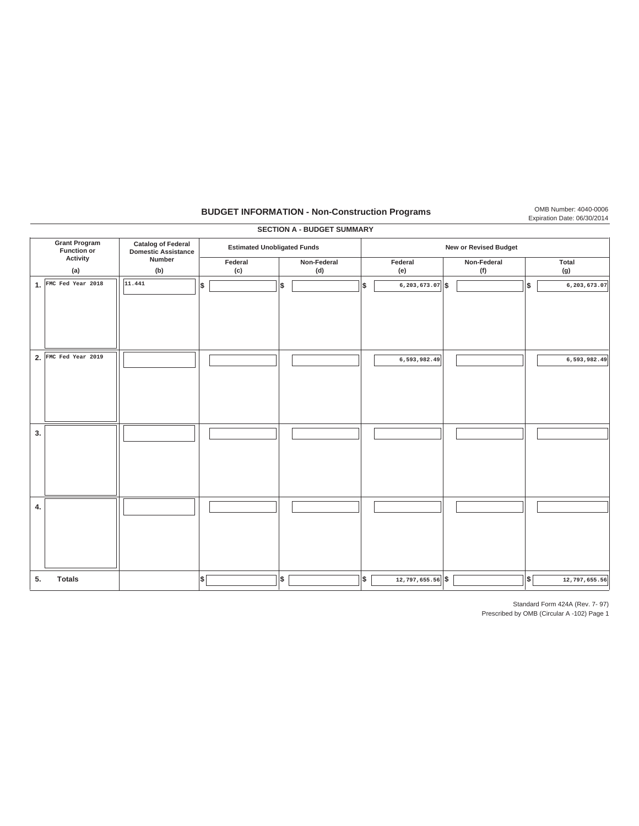### **BUDGET INFORMATION - Non-Construction Programs** OMB Number: 4040-0006

|    |                                     |                                                  |                                    |      | <b>SECTION A - BUDGET SUMMARY</b> |     |                              |                    |    |               |
|----|-------------------------------------|--------------------------------------------------|------------------------------------|------|-----------------------------------|-----|------------------------------|--------------------|----|---------------|
|    | <b>Grant Program</b><br>Function or | <b>Catalog of Federal</b><br>Domestic Assistance | <b>Estimated Unobligated Funds</b> |      |                                   |     | <b>New or Revised Budget</b> |                    |    |               |
|    | Activity<br>(a)                     | Number<br>(b)                                    | Federal<br>(c)                     |      | Non-Federal<br>(d)                |     | Federal<br>(e)               | Non-Federal<br>(f) |    | Total<br>(g)  |
|    | 1. FMC Fed Year 2018                | 11.441                                           | Ι\$                                | \$   |                                   | l\$ | $6, 203, 673.07$ \$          |                    | \$ | 6,203,673.07  |
|    | 2. FMC Fed Year $2019$              |                                                  |                                    |      |                                   |     | 6,593,982.49                 |                    |    | 6,593,982.49  |
| 3. |                                     |                                                  |                                    |      |                                   |     |                              |                    |    |               |
| 4. |                                     |                                                  |                                    |      |                                   |     |                              |                    |    |               |
| 5. | <b>Totals</b>                       |                                                  | \$                                 | $\$$ |                                   | \$  | 12,797,655.56 \$             |                    | \$ | 12,797,655.56 |

Standard Form 424A (Rev. 7- 97)

Expiration Date: 06/30/2014

Prescribed by OMB (Circular A -102) Page 1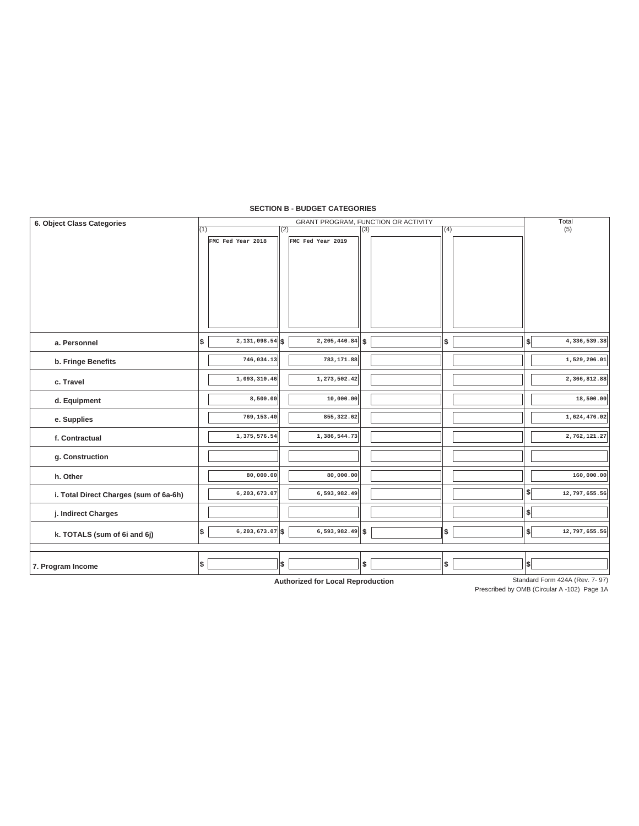#### **SECTION B - BUDGET CATEGORIES**

| 6. Object Class Categories             |     |                              |     |                      |     | GRANT PROGRAM, FUNCTION OR ACTIVITY |     | Total |               |  |  |
|----------------------------------------|-----|------------------------------|-----|----------------------|-----|-------------------------------------|-----|-------|---------------|--|--|
|                                        | (1) |                              | (2) |                      | (3) |                                     | (4) |       | (5)           |  |  |
|                                        |     | FMC Fed Year 2018            |     | FMC Fed Year 2019    |     |                                     |     |       |               |  |  |
|                                        |     |                              |     |                      |     |                                     |     |       |               |  |  |
|                                        |     |                              |     |                      |     |                                     |     |       |               |  |  |
|                                        |     |                              |     |                      |     |                                     |     |       |               |  |  |
|                                        |     |                              |     |                      |     |                                     |     |       |               |  |  |
|                                        |     |                              |     |                      |     |                                     |     |       |               |  |  |
|                                        |     |                              |     |                      |     |                                     |     |       |               |  |  |
| a. Personnel                           | \$  | $\overline{2,131,098.54}$ \$ |     | $2,205,440.84$ \$    |     |                                     | \$  | \$    | 4,336,539.38  |  |  |
| b. Fringe Benefits                     |     | 746,034.13                   |     | 783,171.88           |     |                                     |     |       | 1,529,206.01  |  |  |
| c. Travel                              |     | 1,093,310.46                 |     | 1,273,502.42         |     |                                     |     |       | 2,366,812.88  |  |  |
| d. Equipment                           |     | 8,500.00                     |     | 10,000.00            |     |                                     |     |       | 18,500.00     |  |  |
| e. Supplies                            |     | 769,153.40                   |     | 855, 322.62          |     |                                     |     |       | 1,624,476.02  |  |  |
| f. Contractual                         |     | 1,375,576.54                 |     | 1,386,544.73         |     |                                     |     |       | 2,762,121.27  |  |  |
| g. Construction                        |     |                              |     |                      |     |                                     |     |       |               |  |  |
| h. Other                               |     | 80,000.00                    |     | 80,000.00            |     |                                     |     |       | 160,000.00    |  |  |
| i. Total Direct Charges (sum of 6a-6h) |     | 6,203,673.07                 |     | 6,593,982.49         |     |                                     |     | \$ſ   | 12,797,655.56 |  |  |
| j. Indirect Charges                    |     |                              |     |                      |     |                                     |     | \$    |               |  |  |
| k. TOTALS (sum of 6i and 6j)           | \$  | $6, 203, 673.07$ \$          |     | $6, 593, 982.49$ \\$ |     |                                     | \$  | \$    | 12,797,655.56 |  |  |
|                                        |     |                              |     |                      |     |                                     |     |       |               |  |  |
| 7. Program Income                      | \$  |                              | \$  |                      | \$  |                                     | \$  | \$    |               |  |  |

**Authorized for Local Reproduction**

Standard Form 424A (Rev. 7-97)

Prescribed by OMB (Circular A -102) Page 1A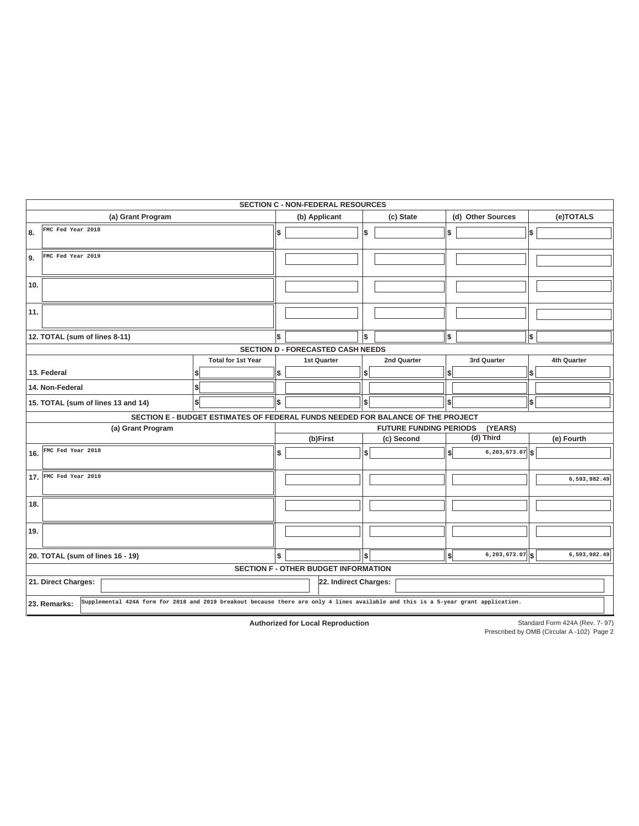| <b>SECTION C - NON-FEDERAL RESOURCES</b>                                                                                                           |                                                                                 |     |                                                       |    |             |     |                     |           |              |  |  |  |  |
|----------------------------------------------------------------------------------------------------------------------------------------------------|---------------------------------------------------------------------------------|-----|-------------------------------------------------------|----|-------------|-----|---------------------|-----------|--------------|--|--|--|--|
| (a) Grant Program                                                                                                                                  |                                                                                 |     | (b) Applicant                                         |    | (c) State   |     | (d) Other Sources   | (e)TOTALS |              |  |  |  |  |
| FMC Fed Year 2018<br>8.                                                                                                                            |                                                                                 | Ι\$ |                                                       | \$ |             | \$  |                     | \$        |              |  |  |  |  |
| FMC Fed Year 2019<br>9.                                                                                                                            |                                                                                 |     |                                                       |    |             |     |                     |           |              |  |  |  |  |
| 10.                                                                                                                                                |                                                                                 |     |                                                       |    |             |     |                     |           |              |  |  |  |  |
| 11.                                                                                                                                                |                                                                                 |     |                                                       |    |             |     |                     |           |              |  |  |  |  |
| 12. TOTAL (sum of lines 8-11)                                                                                                                      |                                                                                 | \$  |                                                       | \$ |             | \$  |                     | \$        |              |  |  |  |  |
|                                                                                                                                                    |                                                                                 |     | <b>SECTION D - FORECASTED CASH NEEDS</b>              |    |             |     |                     |           |              |  |  |  |  |
|                                                                                                                                                    | <b>Total for 1st Year</b>                                                       |     | <b>1st Quarter</b>                                    |    | 2nd Quarter |     | 3rd Quarter         |           | 4th Quarter  |  |  |  |  |
| 13. Federal                                                                                                                                        |                                                                                 | \$  |                                                       | \$ |             | \$  |                     | \$        |              |  |  |  |  |
| 14. Non-Federal                                                                                                                                    |                                                                                 |     |                                                       |    |             |     |                     |           |              |  |  |  |  |
| 15. TOTAL (sum of lines 13 and 14)                                                                                                                 | \$                                                                              | \$  |                                                       | \$ |             | \$  |                     | \$        |              |  |  |  |  |
|                                                                                                                                                    | SECTION E - BUDGET ESTIMATES OF FEDERAL FUNDS NEEDED FOR BALANCE OF THE PROJECT |     |                                                       |    |             |     |                     |           |              |  |  |  |  |
| (a) Grant Program                                                                                                                                  |                                                                                 |     | (YEARS)<br><b>FUTURE FUNDING PERIODS</b><br>(d) Third |    |             |     |                     |           |              |  |  |  |  |
|                                                                                                                                                    |                                                                                 |     | (b)First                                              |    | (c) Second  |     |                     |           | (e) Fourth   |  |  |  |  |
| FMC Fed Year 2018<br>16.                                                                                                                           |                                                                                 | \$  |                                                       | s  |             | \$  | 6,203,673.07        | l\$       |              |  |  |  |  |
| 17. FMC Fed Year 2019                                                                                                                              |                                                                                 |     |                                                       |    |             |     |                     |           | 6,593,982.49 |  |  |  |  |
| 18.                                                                                                                                                |                                                                                 |     |                                                       |    |             |     |                     |           |              |  |  |  |  |
| 19.                                                                                                                                                |                                                                                 |     |                                                       |    |             |     |                     |           |              |  |  |  |  |
| 20. TOTAL (sum of lines 16 - 19)                                                                                                                   |                                                                                 | \$  |                                                       | s  |             | \$İ | $6, 203, 673.07$ \$ |           | 6,593,982.49 |  |  |  |  |
|                                                                                                                                                    |                                                                                 |     | SECTION F - OTHER BUDGET INFORMATION                  |    |             |     |                     |           |              |  |  |  |  |
| 21. Direct Charges:                                                                                                                                |                                                                                 |     | 22. Indirect Charges:                                 |    |             |     |                     |           |              |  |  |  |  |
| Supplemental 424A form for 2018 and 2019 breakout because there are only 4 lines available and this is a 5-year grant application.<br>23. Remarks: |                                                                                 |     |                                                       |    |             |     |                     |           |              |  |  |  |  |

**Authorized for Local Reproduction**

Standard Form 424A (Rev. 7- 97) Prescribed by OMB (Circular A -102) Page 2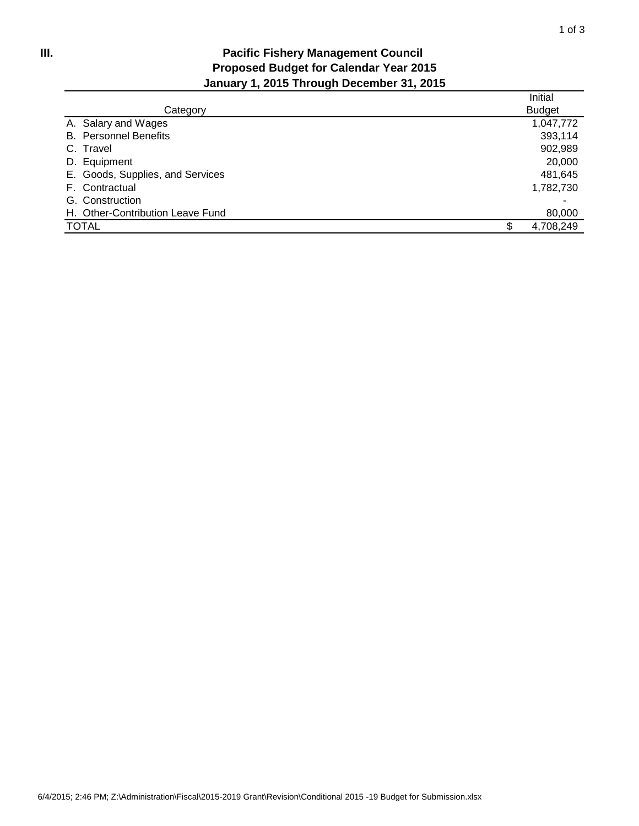## **Pacific Fishery Management Council Proposed Budget for Calendar Year 2015 January 1, 2015 Through December 31, 2015**

|                                  | Initial       |
|----------------------------------|---------------|
| Category                         | <b>Budget</b> |
| A. Salary and Wages              | 1,047,772     |
| <b>B.</b> Personnel Benefits     | 393,114       |
| C. Travel                        | 902,989       |
| D. Equipment                     | 20,000        |
| E. Goods, Supplies, and Services | 481,645       |
| F. Contractual                   | 1,782,730     |
| G. Construction                  |               |
| H. Other-Contribution Leave Fund | 80,000        |
| <b>TOTAL</b>                     | 4,708,249     |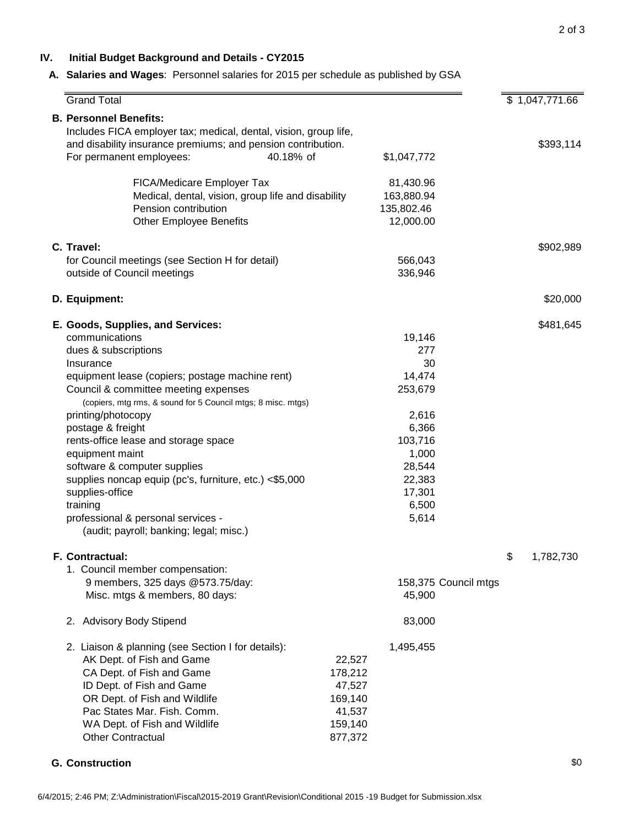#### **IV. Initial Budget Background and Details - CY2015**

#### **A. Salaries and Wages**: Personnel salaries for 2015 per schedule as published by GSA

| <b>Grand Total</b>                                                                                                                                                                                                                                                                                                                                                                                                                                                                                                                                                  |                                                                                                                                | \$1,047,771.66  |
|---------------------------------------------------------------------------------------------------------------------------------------------------------------------------------------------------------------------------------------------------------------------------------------------------------------------------------------------------------------------------------------------------------------------------------------------------------------------------------------------------------------------------------------------------------------------|--------------------------------------------------------------------------------------------------------------------------------|-----------------|
| <b>B. Personnel Benefits:</b><br>Includes FICA employer tax; medical, dental, vision, group life,<br>and disability insurance premiums; and pension contribution.<br>For permanent employees:<br>40.18% of                                                                                                                                                                                                                                                                                                                                                          | \$1,047,772                                                                                                                    | \$393,114       |
| FICA/Medicare Employer Tax<br>Medical, dental, vision, group life and disability<br>Pension contribution<br><b>Other Employee Benefits</b>                                                                                                                                                                                                                                                                                                                                                                                                                          | 81,430.96<br>163,880.94<br>135,802.46<br>12,000.00                                                                             |                 |
| C. Travel:<br>for Council meetings (see Section H for detail)<br>outside of Council meetings                                                                                                                                                                                                                                                                                                                                                                                                                                                                        | 566,043<br>336,946                                                                                                             | \$902,989       |
| D. Equipment:                                                                                                                                                                                                                                                                                                                                                                                                                                                                                                                                                       |                                                                                                                                | \$20,000        |
| E. Goods, Supplies, and Services:<br>communications<br>dues & subscriptions<br>Insurance<br>equipment lease (copiers; postage machine rent)<br>Council & committee meeting expenses<br>(copiers, mtg rms, & sound for 5 Council mtgs; 8 misc. mtgs)<br>printing/photocopy<br>postage & freight<br>rents-office lease and storage space<br>equipment maint<br>software & computer supplies<br>supplies noncap equip (pc's, furniture, etc.) <\$5,000<br>supplies-office<br>training<br>professional & personal services -<br>(audit; payroll; banking; legal; misc.) | 19,146<br>277<br>30<br>14,474<br>253,679<br>2,616<br>6,366<br>103,716<br>1,000<br>28,544<br>22,383<br>17,301<br>6,500<br>5,614 | \$481,645       |
| F. Contractual:<br>1. Council member compensation:<br>9 members, 325 days @573.75/day:<br>Misc. mtgs & members, 80 days:<br>2. Advisory Body Stipend<br>2. Liaison & planning (see Section I for details):                                                                                                                                                                                                                                                                                                                                                          | 158,375 Council mtgs<br>45,900<br>83,000<br>1,495,455                                                                          | \$<br>1,782,730 |
| AK Dept. of Fish and Game<br>CA Dept. of Fish and Game<br>ID Dept. of Fish and Game<br>OR Dept. of Fish and Wildlife<br>Pac States Mar. Fish. Comm.<br>WA Dept. of Fish and Wildlife<br><b>Other Contractual</b>                                                                                                                                                                                                                                                                                                                                                    | 22,527<br>178,212<br>47,527<br>169,140<br>41,537<br>159,140<br>877,372                                                         |                 |

**G. Construction**  $\$0$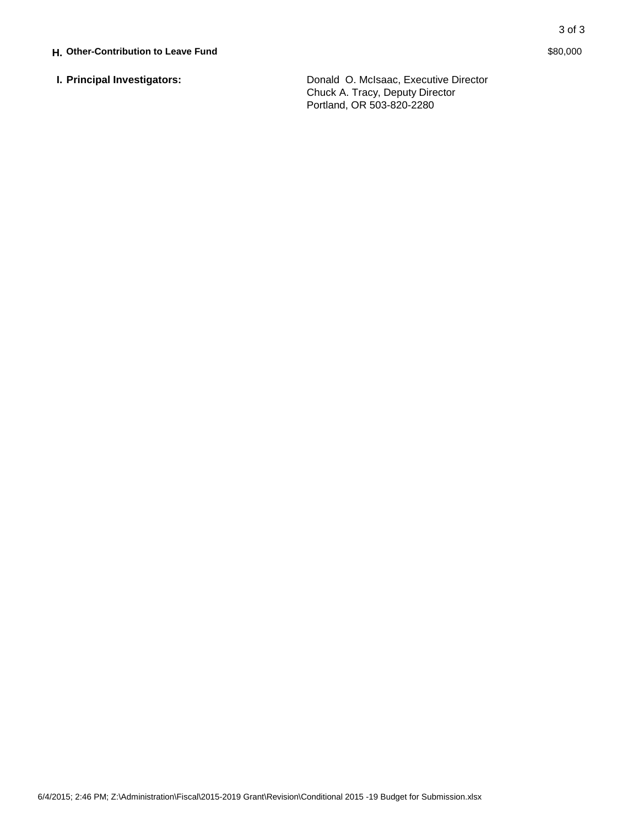**I. Principal Investigators:** Donald O. McIsaac, Executive Director Chuck A. Tracy, Deputy Director Portland, OR 503-820-2280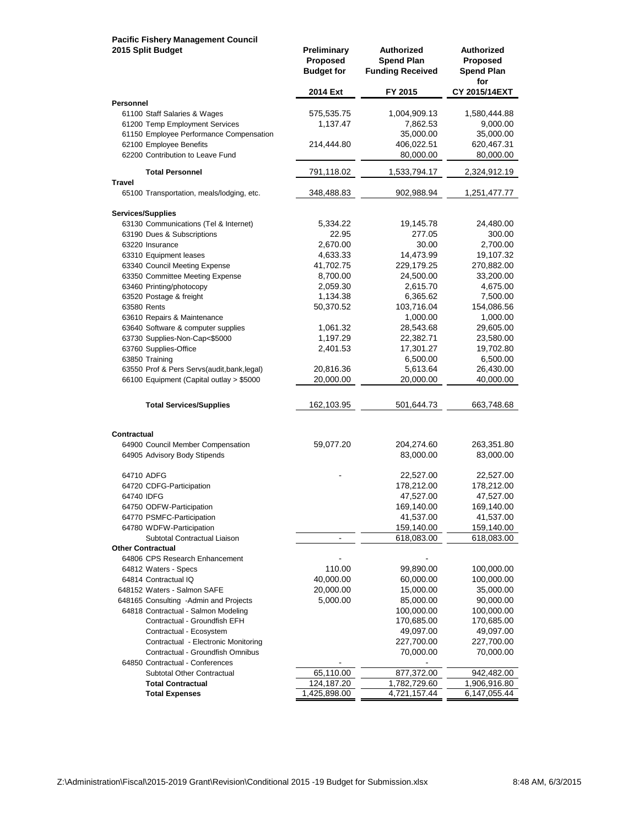# **Pacific Fishery Management Council**

| 2015 Split Budget                                       | Preliminary<br>Proposed<br><b>Budget for</b> | Authorized<br><b>Spend Plan</b><br><b>Funding Received</b> | Authorized<br><b>Proposed</b><br><b>Spend Plan</b><br>for |
|---------------------------------------------------------|----------------------------------------------|------------------------------------------------------------|-----------------------------------------------------------|
| Personnel                                               | 2014 Ext                                     | FY 2015                                                    | CY 2015/14EXT                                             |
| 61100 Staff Salaries & Wages                            | 575,535.75                                   | 1,004,909.13                                               | 1,580,444.88                                              |
| 61200 Temp Employment Services                          | 1,137.47                                     | 7,862.53                                                   | 9,000.00                                                  |
| 61150 Employee Performance Compensation                 |                                              | 35,000.00                                                  | 35,000.00                                                 |
| 62100 Employee Benefits                                 | 214,444.80                                   | 406,022.51                                                 | 620,467.31                                                |
| 62200 Contribution to Leave Fund                        |                                              | 80,000.00                                                  | 80,000.00                                                 |
| <b>Total Personnel</b>                                  | 791,118.02                                   | 1,533,794.17                                               | 2,324,912.19                                              |
| Travel<br>65100 Transportation, meals/lodging, etc.     | 348,488.83                                   | 902,988.94                                                 | 1,251,477.77                                              |
|                                                         |                                              |                                                            |                                                           |
| <b>Services/Supplies</b>                                |                                              |                                                            |                                                           |
| 63130 Communications (Tel & Internet)                   | 5,334.22                                     | 19,145.78                                                  | 24,480.00                                                 |
| 63190 Dues & Subscriptions                              | 22.95                                        | 277.05                                                     | 300.00                                                    |
| 63220 Insurance                                         | 2,670.00<br>4,633.33                         | 30.00<br>14,473.99                                         | 2,700.00<br>19,107.32                                     |
| 63310 Equipment leases<br>63340 Council Meeting Expense | 41,702.75                                    | 229,179.25                                                 | 270,882.00                                                |
| 63350 Committee Meeting Expense                         | 8,700.00                                     | 24,500.00                                                  | 33,200.00                                                 |
| 63460 Printing/photocopy                                | 2,059.30                                     | 2,615.70                                                   | 4,675.00                                                  |
| 63520 Postage & freight                                 | 1,134.38                                     | 6,365.62                                                   | 7,500.00                                                  |
| 63580 Rents                                             | 50,370.52                                    | 103,716.04                                                 | 154,086.56                                                |
| 63610 Repairs & Maintenance                             |                                              | 1,000.00                                                   | 1,000.00                                                  |
| 63640 Software & computer supplies                      | 1,061.32                                     | 28,543.68                                                  | 29,605.00                                                 |
| 63730 Supplies-Non-Cap<\$5000                           | 1,197.29                                     | 22,382.71                                                  | 23,580.00                                                 |
| 63760 Supplies-Office                                   | 2,401.53                                     | 17,301.27                                                  | 19,702.80                                                 |
| 63850 Training                                          |                                              | 6,500.00                                                   | 6,500.00                                                  |
| 63550 Prof & Pers Servs(audit, bank, legal)             | 20,816.36                                    | 5,613.64                                                   | 26,430.00                                                 |
| 66100 Equipment (Capital outlay > \$5000                | 20,000.00                                    | 20,000.00                                                  | 40,000.00                                                 |
| <b>Total Services/Supplies</b>                          | 162,103.95                                   | 501,644.73                                                 | 663,748.68                                                |
|                                                         |                                              |                                                            |                                                           |
| Contractual<br>64900 Council Member Compensation        | 59,077.20                                    | 204,274.60                                                 | 263,351.80                                                |
| 64905 Advisory Body Stipends                            |                                              | 83,000.00                                                  | 83,000.00                                                 |
|                                                         |                                              |                                                            |                                                           |
| 64710 ADFG                                              |                                              | 22,527.00                                                  | 22,527.00                                                 |
| 64720 CDFG-Participation                                |                                              | 178,212.00                                                 | 178,212.00                                                |
| 64740 IDFG                                              |                                              | 47,527.00                                                  | 47,527.00                                                 |
| 64750 ODFW-Participation                                |                                              | 169,140.00                                                 | 169,140.00                                                |
| 64770 PSMFC-Participation<br>64780 WDFW-Participation   |                                              | 41,537.00<br>159,140.00                                    | 41,537.00<br>159,140.00                                   |
| Subtotal Contractual Liaison                            | $\blacksquare$                               | 618,083.00                                                 | 618,083.00                                                |
| <b>Other Contractual</b>                                |                                              |                                                            |                                                           |
| 64806 CPS Research Enhancement                          |                                              |                                                            |                                                           |
| 64812 Waters - Specs                                    | 110.00                                       | 99,890.00                                                  | 100,000.00                                                |
| 64814 Contractual IQ                                    | 40,000.00                                    | 60,000.00                                                  | 100,000.00                                                |
| 648152 Waters - Salmon SAFE                             | 20,000.00                                    | 15,000.00                                                  | 35,000.00                                                 |
| 648165 Consulting -Admin and Projects                   | 5,000.00                                     | 85,000.00                                                  | 90,000.00                                                 |
| 64818 Contractual - Salmon Modeling                     |                                              | 100,000.00                                                 | 100,000.00                                                |
| Contractual - Groundfish EFH                            |                                              | 170,685.00                                                 | 170,685.00                                                |
| Contractual - Ecosystem                                 |                                              | 49,097.00                                                  | 49,097.00                                                 |
| Contractual - Electronic Monitoring                     |                                              | 227,700.00                                                 | 227,700.00                                                |
| Contractual - Groundfish Omnibus                        |                                              | 70,000.00                                                  | 70,000.00                                                 |
| 64850 Contractual - Conferences                         |                                              |                                                            |                                                           |
| Subtotal Other Contractual                              | 65,110.00                                    | 877,372.00                                                 | 942,482.00                                                |
| <b>Total Contractual</b>                                | 124,187.20                                   | 1,782,729.60<br>4,721, 157.44                              | 1,906,916.80                                              |
| <b>Total Expenses</b>                                   | 1,425,898.00                                 |                                                            | 6,147,055.44                                              |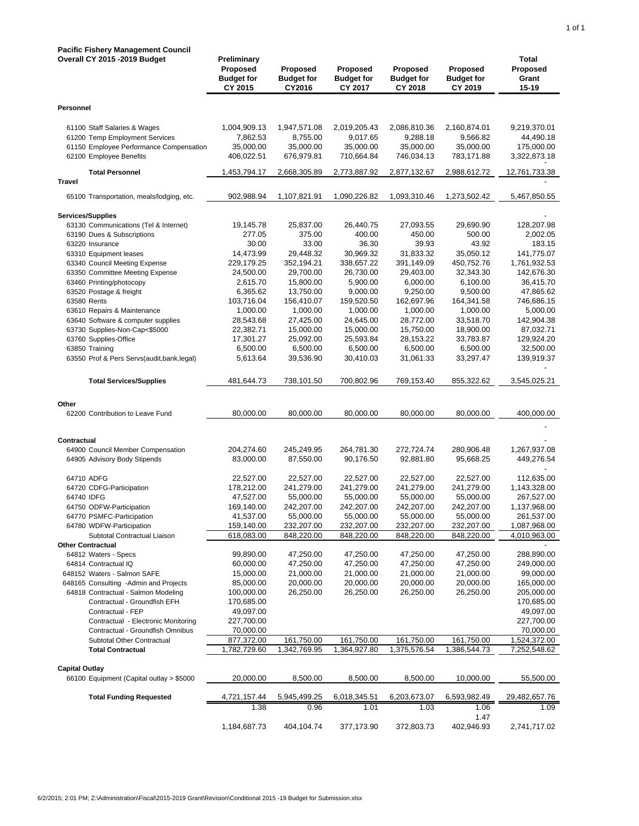| <b>Pacific Fishery Management Council</b>                          |                                                         |                                         |                                          |                                                 |                                                 |                                     |
|--------------------------------------------------------------------|---------------------------------------------------------|-----------------------------------------|------------------------------------------|-------------------------------------------------|-------------------------------------------------|-------------------------------------|
| Overall CY 2015 - 2019 Budget                                      | Preliminary<br>Proposed<br><b>Budget for</b><br>CY 2015 | Proposed<br><b>Budget for</b><br>CY2016 | Proposed<br><b>Budget for</b><br>CY 2017 | <b>Proposed</b><br><b>Budget for</b><br>CY 2018 | <b>Proposed</b><br><b>Budget for</b><br>CY 2019 | Total<br>Proposed<br>Grant<br>15-19 |
| Personnel                                                          |                                                         |                                         |                                          |                                                 |                                                 |                                     |
| 61100 Staff Salaries & Wages                                       | 1,004,909.13                                            | 1,947,571.08                            | 2,019,205.43                             | 2,086,810.36                                    | 2,160,874.01                                    | 9,219,370.01                        |
| 61200 Temp Employment Services                                     | 7,862.53                                                | 8,755.00                                | 9,017.65                                 | 9,288.18                                        | 9,566.82                                        | 44,490.18                           |
| 61150 Employee Performance Compensation<br>62100 Employee Benefits | 35,000.00<br>406,022.51                                 | 35,000.00<br>676,979.81                 | 35,000.00<br>710,664.84                  | 35,000.00<br>746,034.13                         | 35,000.00<br>783,171.88                         | 175,000.00<br>3,322,873.18          |
| <b>Total Personnel</b>                                             | 1,453,794.17                                            | 2,668,305.89                            | 2,773,887.92                             | 2,877,132.67                                    | 2,988,612.72                                    | 12,761,733.38                       |
| Travel                                                             |                                                         |                                         |                                          |                                                 |                                                 |                                     |
| 65100 Transportation, meals/lodging, etc.                          | 902,988.94                                              | 1,107,821.91                            | 1,090,226.82                             | 1,093,310.46                                    | 1,273,502.42                                    | 5,467,850.55                        |
| <b>Services/Supplies</b>                                           |                                                         |                                         |                                          |                                                 |                                                 |                                     |
| 63130 Communications (Tel & Internet)                              | 19,145.78                                               | 25,837.00                               | 26,440.75                                | 27,093.55                                       | 29,690.90                                       | 128,207.98                          |
| 63190 Dues & Subscriptions<br>63220 Insurance                      | 277.05<br>30.00                                         | 375.00<br>33.00                         | 400.00<br>36.30                          | 450.00<br>39.93                                 | 500.00<br>43.92                                 | 2,002.05<br>183.15                  |
| 63310 Equipment leases                                             | 14,473.99                                               | 29,448.32                               | 30,969.32                                | 31,833.32                                       | 35.050.12                                       | 141,775.07                          |
| 63340 Council Meeting Expense                                      | 229,179.25                                              | 352,194.21                              | 338,657.22                               | 391,149.09                                      | 450,752.76                                      | 1,761,932.53                        |
| 63350 Committee Meeting Expense                                    | 24,500.00                                               | 29,700.00                               | 26,730.00                                | 29,403.00                                       | 32,343.30                                       | 142,676.30                          |
| 63460 Printing/photocopy                                           | 2,615.70                                                | 15,800.00                               | 5,900.00                                 | 6,000.00                                        | 6,100.00                                        | 36,415.70                           |
| 63520 Postage & freight                                            | 6,365.62                                                | 13,750.00                               | 9,000.00                                 | 9,250.00                                        | 9,500.00                                        | 47,865.62                           |
| 63580 Rents<br>63610 Repairs & Maintenance                         | 103,716.04<br>1,000.00                                  | 156,410.07<br>1,000.00                  | 159,520.50<br>1,000.00                   | 162,697.96<br>1,000.00                          | 164,341.58<br>1,000.00                          | 746,686.15<br>5,000.00              |
| 63640 Software & computer supplies                                 | 28,543.68                                               | 27,425.00                               | 24,645.00                                | 28,772.00                                       | 33,518.70                                       | 142,904.38                          |
| 63730 Supplies-Non-Cap<\$5000                                      | 22,382.71                                               | 15,000.00                               | 15,000.00                                | 15,750.00                                       | 18,900.00                                       | 87,032.71                           |
| 63760 Supplies-Office                                              | 17,301.27                                               | 25,092.00                               | 25,593.84                                | 28,153.22                                       | 33,783.87                                       | 129,924.20                          |
| 63850 Training                                                     | 6,500.00                                                | 6,500.00                                | 6,500.00                                 | 6,500.00                                        | 6,500.00                                        | 32,500.00                           |
| 63550 Prof & Pers Servs(audit,bank,legal)                          | 5,613.64                                                | 39,536.90                               | 30,410.03                                | 31,061.33                                       | 33,297.47                                       | 139,919.37                          |
| <b>Total Services/Supplies</b>                                     | 481,644.73                                              | 738,101.50                              | 700,802.96                               | 769,153.40                                      | 855,322.62                                      | 3,545,025.21                        |
| Other                                                              |                                                         |                                         |                                          |                                                 |                                                 |                                     |
| 62200 Contribution to Leave Fund                                   | 80,000.00                                               | 80,000.00                               | 80,000.00                                | 80,000.00                                       | 80,000.00                                       | 400,000.00                          |
|                                                                    |                                                         |                                         |                                          |                                                 |                                                 |                                     |
| Contractual                                                        |                                                         |                                         |                                          |                                                 |                                                 |                                     |
| 64900 Council Member Compensation<br>64905 Advisory Body Stipends  | 204,274.60<br>83,000.00                                 | 245,249.95<br>87,550.00                 | 264,781.30<br>90,176.50                  | 272,724.74<br>92,881.80                         | 280,906.48<br>95,668.25                         | 1,267,937.08<br>449,276.54          |
|                                                                    |                                                         |                                         |                                          |                                                 |                                                 |                                     |
| 64710 ADFG                                                         | 22,527.00                                               | 22,527.00                               | 22,527.00                                | 22,527.00                                       | 22,527.00                                       | 112,635.00                          |
| 64720 CDFG-Participation                                           | 178,212.00                                              | 241,279.00                              | 241,279.00                               | 241,279.00                                      | 241,279.00                                      | 1,143,328.00                        |
| 64740 IDFG                                                         | 47,527.00                                               | 55,000.00                               | 55,000.00                                | 55,000.00                                       | 55,000.00                                       | 267,527.00                          |
| 64750 ODFW-Participation<br>64770 PSMFC-Participation              | 169,140.00<br>41,537.00                                 | 242,207.00<br>55,000.00                 | 242,207.00<br>55,000.00                  | 242,207.00<br>55,000.00                         | 242,207.00<br>55,000.00                         | 1,137,968.00<br>261,537.00          |
| 64780 WDFW-Participation                                           | 159,140.00                                              | 232,207.00                              | 232,207.00                               | 232,207.00                                      | 232,207.00                                      | 1,087,968.00                        |
| Subtotal Contractual Liaison                                       | 618,083.00                                              | 848,220.00                              | 848,220.00                               | 848,220.00                                      | 848,220.00                                      | 4,010,963.00                        |
| <b>Other Contractual</b>                                           |                                                         |                                         |                                          |                                                 |                                                 |                                     |
| 64812 Waters - Specs                                               | 99,890.00                                               | 47,250.00                               | 47,250.00                                | 47,250.00                                       | 47,250.00                                       | 288,890.00                          |
| 64814 Contractual IQ                                               | 60,000.00                                               | 47,250.00                               | 47,250.00                                | 47,250.00                                       | 47,250.00                                       | 249,000.00                          |
| 648152 Waters - Salmon SAFE                                        | 15,000.00                                               | 21,000.00                               | 21,000.00                                | 21,000.00                                       | 21,000.00                                       | 99,000.00                           |
| 648165 Consulting -Admin and Projects                              | 85,000.00                                               | 20,000.00                               | 20,000.00                                | 20,000.00                                       | 20,000.00                                       | 165,000.00                          |
| 64818 Contractual - Salmon Modeling                                | 100,000.00                                              | 26,250.00                               | 26,250.00                                | 26,250.00                                       | 26,250.00                                       | 205,000.00                          |
| Contractual - Groundfish EFH<br>Contractual - FEP                  | 170,685.00<br>49,097.00                                 |                                         |                                          |                                                 |                                                 | 170,685.00<br>49,097.00             |
| Contractual - Electronic Monitoring                                | 227,700.00                                              |                                         |                                          |                                                 |                                                 | 227,700.00                          |
| Contractual - Groundfish Omnibus                                   | 70,000.00                                               |                                         |                                          |                                                 |                                                 | 70,000.00                           |
| Subtotal Other Contractual                                         | 877,372.00                                              | 161,750.00                              | 161,750.00                               | 161,750.00                                      | 161,750.00                                      | 1,524,372.00                        |
| <b>Total Contractual</b>                                           | 1,782,729.60                                            | 1,342,769.95                            | 1,364,927.80                             | 1,375,576.54                                    | 1,386,544.73                                    | 7,252,548.62                        |
| <b>Capital Outlay</b>                                              |                                                         |                                         |                                          |                                                 |                                                 |                                     |
| 66100 Equipment (Capital outlay > \$5000                           | 20,000.00                                               | 8,500.00                                | 8,500.00                                 | 8,500.00                                        | 10,000.00                                       | 55,500.00                           |
| <b>Total Funding Requested</b>                                     | 4,721,157.44                                            | 5,945,499.25                            | 6,018,345.51                             | 6,203,673.07                                    | 6,593,982.49                                    | 29,482,657.76                       |
|                                                                    | 1.38                                                    | 0.96                                    | 1.01                                     | 1.03                                            | 1.06                                            | 1.09                                |
|                                                                    | 1,184,687.73                                            | 404,104.74                              | 377,173.90                               | 372,803.73                                      | 1.47<br>402,946.93                              | 2,741,717.02                        |
|                                                                    |                                                         |                                         |                                          |                                                 |                                                 |                                     |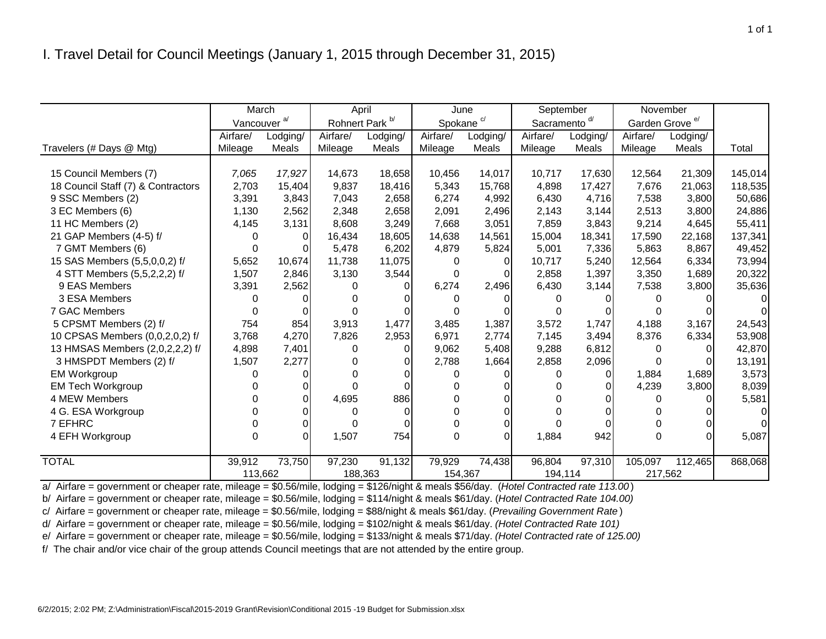|                                    | March                   |          | April                      |          |                       | September<br>November<br>June |                          |          |                            |          |         |
|------------------------------------|-------------------------|----------|----------------------------|----------|-----------------------|-------------------------------|--------------------------|----------|----------------------------|----------|---------|
|                                    | Vancouver <sup>a/</sup> |          | Rohnert Park <sup>b/</sup> |          | Spokane <sup>c/</sup> |                               | Sacramento <sup>d/</sup> |          | Garden Grove <sup>e/</sup> |          |         |
|                                    | Airfare/                | Lodging/ | Airfare/                   | Lodging/ | Airfare/              | Lodging/                      | Airfare/                 | Lodging/ | Airfare/                   | Lodging/ |         |
| Travelers (# Days @ Mtg)           | Mileage                 | Meals    | Mileage                    | Meals    | Mileage               | Meals                         | Mileage                  | Meals    | Mileage                    | Meals    | Total   |
|                                    |                         |          |                            |          |                       |                               |                          |          |                            |          |         |
| 15 Council Members (7)             | 7,065                   | 17,927   | 14,673                     | 18,658   | 10,456                | 14,017                        | 10,717                   | 17,630   | 12,564                     | 21,309   | 145,014 |
| 18 Council Staff (7) & Contractors | 2,703                   | 15,404   | 9,837                      | 18,416   | 5,343                 | 15,768                        | 4,898                    | 17,427   | 7,676                      | 21,063   | 118,535 |
| 9 SSC Members (2)                  | 3,391                   | 3,843    | 7,043                      | 2,658    | 6,274                 | 4,992                         | 6,430                    | 4,716    | 7,538                      | 3,800    | 50,686  |
| 3 EC Members (6)                   | 1,130                   | 2,562    | 2,348                      | 2,658    | 2,091                 | 2,496                         | 2,143                    | 3,144    | 2,513                      | 3,800    | 24,886  |
| 11 HC Members (2)                  | 4,145                   | 3,131    | 8,608                      | 3,249    | 7,668                 | 3,051                         | 7,859                    | 3,843    | 9,214                      | 4,645    | 55,411  |
| 21 GAP Members (4-5) f/            | 0                       | 0        | 16,434                     | 18,605   | 14,638                | 14,561                        | 15,004                   | 18,341   | 17,590                     | 22,168   | 137,341 |
| 7 GMT Members (6)                  | 0                       | 0        | 5,478                      | 6,202    | 4,879                 | 5,824                         | 5,001                    | 7,336    | 5,863                      | 8,867    | 49,452  |
| 15 SAS Members (5,5,0,0,2) f/      | 5,652                   | 10,674   | 11,738                     | 11,075   | 0                     | 0                             | 10.717                   | 5,240    | 12,564                     | 6,334    | 73,994  |
| 4 STT Members (5,5,2,2,2) f/       | 1,507                   | 2,846    | 3,130                      | 3,544    | $\Omega$              | $\Omega$                      | 2,858                    | 1,397    | 3,350                      | 1,689    | 20,322  |
| 9 EAS Members                      | 3,391                   | 2,562    | O                          |          | 6,274                 | 2,496                         | 6,430                    | 3,144    | 7,538                      | 3,800    | 35,636  |
| 3 ESA Members                      | 0                       |          |                            |          | O                     |                               | 0                        |          | 0                          |          |         |
| 7 GAC Members                      | 0                       |          |                            |          | 0                     |                               | 0                        |          | <sup>0</sup>               |          |         |
| 5 CPSMT Members (2) f/             | 754                     | 854      | 3,913                      | 1,477    | 3,485                 | 1,387                         | 3,572                    | 1,747    | 4,188                      | 3,167    | 24,543  |
| 10 CPSAS Members (0,0,2,0,2) f/    | 3,768                   | 4,270    | 7,826                      | 2,953    | 6,971                 | 2,774                         | 7,145                    | 3,494    | 8,376                      | 6,334    | 53,908  |
| 13 HMSAS Members (2,0,2,2,2) f/    | 4,898                   | 7,401    | 0                          | 0        | 9,062                 | 5,408                         | 9,288                    | 6,812    | $\Omega$                   | $\Omega$ | 42,870  |
| 3 HMSPDT Members (2) f/            | 1,507                   | 2,277    | 0                          |          | 2,788                 | 1,664                         | 2,858                    | 2,096    | $\Omega$                   | ΩI       | 13,191  |
| <b>EM Workgroup</b>                | U                       |          | U                          |          | 0                     |                               | <sup>0</sup>             | 0        | 1,884                      | 1,689    | 3,573   |
| <b>EM Tech Workgroup</b>           |                         | 0        | O                          |          | 0                     |                               | 0                        | 0        | 4,239                      | 3,800    | 8,039   |
| 4 MEW Members                      |                         | O        | 4,695                      | 886      | 0                     |                               | 0                        |          | $\Omega$                   |          | 5,581   |
| 4 G. ESA Workgroup                 |                         |          | 0                          |          | 0                     |                               | 0                        |          | ∩                          |          |         |
| 7 EFHRC                            |                         | $\Omega$ | 0                          |          | 0                     | 0                             | 0                        |          | 0                          |          |         |
| 4 EFH Workgroup                    | 0                       | $\Omega$ | 1,507                      | 754      | 0                     | $\Omega$                      | 1,884                    | 942      | $\Omega$                   | ΩI       | 5,087   |
|                                    |                         |          |                            |          |                       |                               |                          |          |                            |          |         |
| <b>TOTAL</b>                       | 39,912                  | 73,750   | 97,230                     | 91,132   | 79,929                | 74,438                        | 96,804                   | 97,310   | 105,097                    | 112,465  | 868,068 |
|                                    | 113,662                 |          | 188,363                    |          | 154,367               |                               | 194,114                  |          | 217,562                    |          |         |

a/ Airfare = government or cheaper rate, mileage = \$0.56/mile, lodging = \$126/night & meals \$56/day. (*Hotel Contracted rate 113.00* )

b/ Airfare = government or cheaper rate, mileage = \$0.56/mile, lodging = \$114/night & meals \$61/day. (*Hotel Contracted Rate 104.00)*

c/ Airfare = government or cheaper rate, mileage = \$0.56/mile, lodging = \$88/night & meals \$61/day. (*Prevailing Government Rate* )

d/ Airfare = government or cheaper rate, mileage = \$0.56/mile, lodging = \$102/night & meals \$61/day. *(Hotel Contracted Rate 101)*

e/ Airfare = government or cheaper rate, mileage = \$0.56/mile, lodging = \$133/night & meals \$71/day. *(Hotel Contracted rate of 125.00)*

f/ The chair and/or vice chair of the group attends Council meetings that are not attended by the entire group.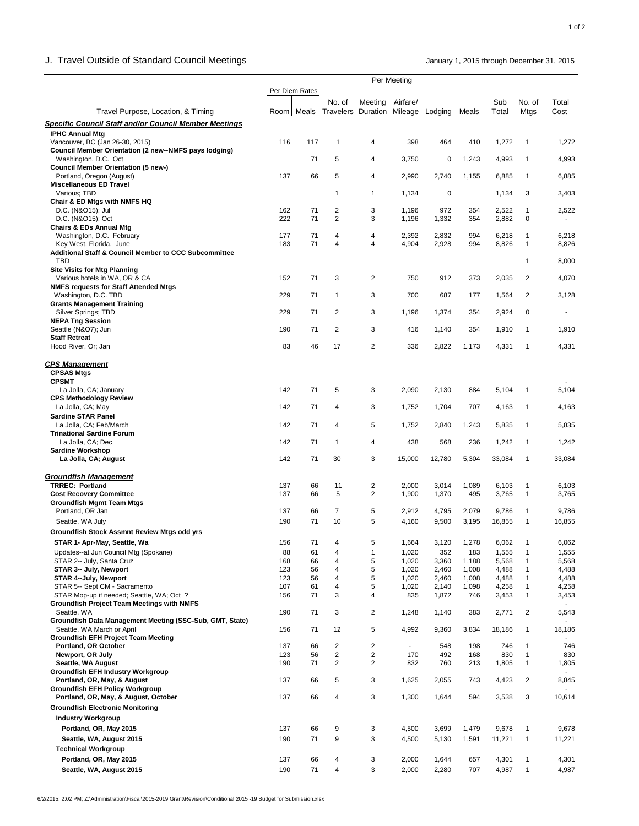### J. Travel Outside of Standard Council Meetings **January 1, 2015** through December 31, 2015

|                                                                               |            |                |                                               |                     | Per Meeting    |                |                |                |                              |                |
|-------------------------------------------------------------------------------|------------|----------------|-----------------------------------------------|---------------------|----------------|----------------|----------------|----------------|------------------------------|----------------|
|                                                                               |            | Per Diem Rates | No. of                                        | Meeting             | Airfare/       |                |                | Sub            | No. of                       | Total          |
| Travel Purpose, Location, & Timing                                            |            |                | Room Meals Travelers Duration Mileage Lodging |                     |                |                | Meals          | Total          | Mtgs                         | Cost           |
| <b>Specific Council Staff and/or Council Member Meetings</b>                  |            |                |                                               |                     |                |                |                |                |                              |                |
| <b>IPHC Annual Mtg</b>                                                        |            |                |                                               |                     |                |                |                |                |                              |                |
| Vancouver, BC (Jan 26-30, 2015)                                               | 116        | 117            | 1                                             | 4                   | 398            | 464            | 410            | 1,272          | $\mathbf{1}$                 | 1,272          |
| Council Member Orientation (2 new--NMFS pays lodging)<br>Washington, D.C. Oct |            | 71             | 5                                             | 4                   | 3,750          | 0              | 1,243          | 4,993          | $\mathbf{1}$                 | 4,993          |
| <b>Council Member Orientation (5 new-)</b>                                    |            |                |                                               |                     |                |                |                |                |                              |                |
| Portland, Oregon (August)                                                     | 137        | 66             | 5                                             | 4                   | 2,990          | 2,740          | 1,155          | 6,885          | $\mathbf{1}$                 | 6,885          |
| <b>Miscellaneous ED Travel</b>                                                |            |                |                                               |                     |                |                |                |                |                              |                |
| Various; TBD<br>Chair & ED Mtgs with NMFS HQ                                  |            |                | 1                                             | 1                   | 1,134          | 0              |                | 1,134          | 3                            | 3,403          |
| D.C. (N&O15); Jul                                                             | 162        | 71             | 2                                             | 3                   | 1,196          | 972            | 354            | 2,522          | $\mathbf{1}$                 | 2,522          |
| D.C. (N&O15); Oct                                                             | 222        | 71             | $\overline{2}$                                | 3                   | 1,196          | 1,332          | 354            | 2,882          | 0                            |                |
| <b>Chairs &amp; EDs Annual Mtg</b>                                            |            |                |                                               |                     |                |                |                |                |                              |                |
| Washington, D.C. February<br>Key West, Florida, June                          | 177<br>183 | 71<br>71       | 4<br>4                                        | 4<br>4              | 2,392<br>4,904 | 2,832<br>2,928 | 994<br>994     | 6,218<br>8,826 | $\mathbf{1}$<br>1            | 6,218<br>8,826 |
| <b>Additional Staff &amp; Council Member to CCC Subcommittee</b>              |            |                |                                               |                     |                |                |                |                |                              |                |
| TBD                                                                           |            |                |                                               |                     |                |                |                |                | $\mathbf{1}$                 | 8,000          |
| <b>Site Visits for Mtg Planning</b>                                           |            |                |                                               |                     |                |                |                |                |                              |                |
| Various hotels in WA, OR & CA                                                 | 152        | 71             | 3                                             | $\overline{2}$      | 750            | 912            | 373            | 2,035          | $\overline{c}$               | 4,070          |
| <b>NMFS requests for Staff Attended Mtgs</b><br>Washington, D.C. TBD          | 229        | 71             | 1                                             | 3                   | 700            | 687            | 177            | 1,564          | 2                            | 3,128          |
| <b>Grants Management Training</b>                                             |            |                |                                               |                     |                |                |                |                |                              |                |
| Silver Springs; TBD                                                           | 229        | 71             | 2                                             | 3                   | 1,196          | 1,374          | 354            | 2,924          | 0                            | $\blacksquare$ |
| <b>NEPA Tng Session</b>                                                       |            |                |                                               |                     |                |                |                |                |                              |                |
| Seattle (N&O7); Jun<br><b>Staff Retreat</b>                                   | 190        | 71             | 2                                             | 3                   | 416            | 1,140          | 354            | 1,910          | $\mathbf{1}$                 | 1,910          |
| Hood River, Or; Jan                                                           | 83         | 46             | 17                                            | $\overline{2}$      | 336            | 2,822          | 1,173          | 4,331          | $\mathbf{1}$                 | 4,331          |
|                                                                               |            |                |                                               |                     |                |                |                |                |                              |                |
| <b>CPS Management</b><br><b>CPSAS Mtgs</b><br><b>CPSMT</b>                    |            |                |                                               |                     |                |                |                |                |                              |                |
| La Jolla, CA; January                                                         | 142        | 71             | 5                                             | 3                   | 2,090          | 2,130          | 884            | 5,104          | $\mathbf{1}$                 | 5,104          |
| <b>CPS Methodology Review</b>                                                 |            |                |                                               |                     |                |                |                |                |                              |                |
| La Jolla, CA; May                                                             | 142        | 71             | 4                                             | 3                   | 1,752          | 1,704          | 707            | 4,163          | $\mathbf{1}$                 | 4,163          |
| <b>Sardine STAR Panel</b>                                                     |            |                |                                               |                     |                |                |                |                |                              |                |
| La Jolla, CA; Feb/March<br><b>Trinational Sardine Forum</b>                   | 142        | 71             | 4                                             | 5                   | 1,752          | 2,840          | 1,243          | 5,835          | $\mathbf{1}$                 | 5,835          |
| La Jolla, CA; Dec                                                             | 142        | 71             | 1                                             | 4                   | 438            | 568            | 236            | 1,242          | $\mathbf{1}$                 | 1,242          |
| <b>Sardine Workshop</b>                                                       |            |                |                                               |                     |                |                |                |                |                              |                |
| La Jolla, CA; August                                                          | 142        | 71             | 30                                            | 3                   | 15,000         | 12,780         | 5,304          | 33,084         | $\mathbf{1}$                 | 33,084         |
|                                                                               |            |                |                                               |                     |                |                |                |                |                              |                |
| <b>Groundfish Management</b><br><b>TRREC: Portland</b>                        | 137        | 66             | 11                                            | 2                   | 2,000          | 3,014          | 1,089          | 6,103          | $\mathbf{1}$                 | 6,103          |
| <b>Cost Recovery Committee</b>                                                | 137        | 66             | 5                                             | 2                   | 1,900          | 1,370          | 495            | 3,765          | $\mathbf{1}$                 | 3,765          |
| <b>Groundfish Mgmt Team Mtgs</b>                                              |            |                |                                               |                     |                |                |                |                |                              |                |
| Portland, OR Jan                                                              | 137        | 66             | 7                                             | 5                   | 2,912          | 4,795          | 2,079          | 9,786          | 1                            | 9,786          |
| Seattle, WA July                                                              | 190        | 71             | 10                                            | 5                   | 4,160          | 9,500          | 3,195          | 16,855         | $\mathbf{1}$                 | 16,855         |
| <b>Groundfish Stock Assmnt Review Mtgs odd yrs</b>                            |            |                |                                               |                     |                |                |                |                |                              |                |
| STAR 1- Apr-May, Seattle, Wa                                                  | 156        | 71             | 4                                             | 5                   | 1,664          | 3,120          | 1,278          | 6,062          | 1                            | 6,062          |
| Updates--at Jun Council Mtg (Spokane)                                         | 88         | 61             | 4                                             | 1                   | 1,020          | 352            | 183            | 1,555          | $\mathbf{1}$                 | 1,555          |
| STAR 2-- July, Santa Cruz<br>STAR 3-- July, Newport                           | 168<br>123 | 66<br>56       | 4<br>4                                        | 5<br>5              | 1,020<br>1,020 | 3,360<br>2,460 | 1,188<br>1,008 | 5,568<br>4,488 | $\mathbf{1}$<br>1            | 5,568<br>4,488 |
| STAR 4--July, Newport                                                         | 123        | 56             | 4                                             | 5                   | 1,020          | 2,460          | 1,008          | 4,488          | 1                            | 4,488          |
| STAR 5-- Sept CM - Sacramento                                                 | 107        | 61             | 4                                             | 5                   | 1,020          | 2,140          | 1,098          | 4,258          | $\mathbf{1}$                 | 4,258          |
| STAR Mop-up if needed; Seattle, WA; Oct ?                                     | 156        | 71             | 3                                             | 4                   | 835            | 1,872          | 746            | 3,453          | $\mathbf{1}$                 | 3,453          |
| <b>Groundfish Project Team Meetings with NMFS</b><br>Seattle, WA              | 190        | 71             | 3                                             | 2                   | 1,248          | 1,140          | 383            |                | $\overline{c}$               | 5,543          |
| Groundfish Data Management Meeting (SSC-Sub, GMT, State)                      |            |                |                                               |                     |                |                |                | 2,771          |                              |                |
| Seattle, WA March or April                                                    | 156        | 71             | 12                                            | 5                   | 4,992          | 9,360          | 3,834          | 18,186         | $\mathbf{1}$                 | 18,186         |
| <b>Groundfish EFH Project Team Meeting</b>                                    |            |                |                                               |                     |                |                |                |                |                              |                |
| Portland, OR October                                                          | 137        | 66             | $\overline{\mathbf{c}}$                       | $\overline{2}$      | $\blacksquare$ | 548            | 198            | 746            | $\mathbf{1}$                 | 746            |
| Newport, OR July<br>Seattle, WA August                                        | 123<br>190 | 56<br>71       | $\overline{c}$<br>$\overline{2}$              | 2<br>$\overline{2}$ | 170<br>832     | 492<br>760     | 168<br>213     | 830<br>1,805   | $\mathbf{1}$<br>$\mathbf{1}$ | 830<br>1,805   |
| <b>Groundfish EFH Industry Workgroup</b>                                      |            |                |                                               |                     |                |                |                |                |                              |                |
| Portland, OR, May, & August                                                   | 137        | 66             | 5                                             | 3                   | 1,625          | 2,055          | 743            | 4,423          | $\overline{c}$               | 8,845          |
| <b>Groundfish EFH Policy Workgroup</b>                                        |            |                |                                               |                     |                |                |                |                |                              |                |
| Portland, OR, May, & August, October                                          | 137        | 66             | 4                                             | 3                   | 1,300          | 1,644          | 594            | 3,538          | 3                            | 10,614         |
| <b>Groundfish Electronic Monitoring</b>                                       |            |                |                                               |                     |                |                |                |                |                              |                |
| <b>Industry Workgroup</b>                                                     |            |                |                                               |                     |                |                |                |                |                              |                |
| Portland, OR, May 2015                                                        | 137        | 66             | 9                                             | 3                   | 4,500          | 3,699          | 1,479          | 9,678          | $\mathbf{1}$                 | 9,678          |
| Seattle, WA, August 2015                                                      | 190        | 71             | 9                                             | 3                   | 4,500          | 5,130          | 1,591          | 11,221         | $\mathbf{1}$                 | 11,221         |
| <b>Technical Workgroup</b>                                                    |            |                |                                               |                     |                |                |                |                |                              |                |
| Portland, OR, May 2015                                                        | 137        | 66             | 4                                             | 3                   | 2,000          | 1,644          | 657            | 4,301          | $\mathbf{1}$                 | 4,301          |
| Seattle, WA, August 2015                                                      | 190        | 71             | 4                                             | 3                   | 2,000          | 2,280          | 707            | 4,987          | $\mathbf{1}$                 | 4,987          |